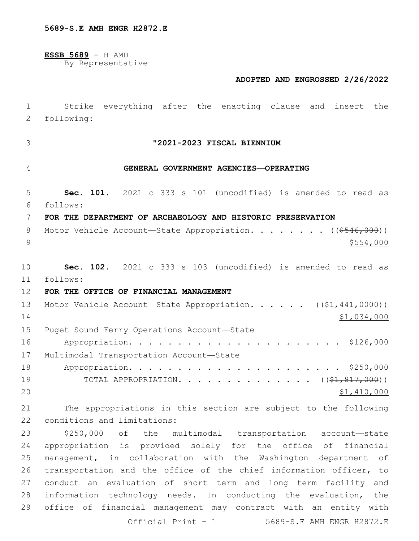**ESSB 5689** - H AMD

By Representative

#### **ADOPTED AND ENGROSSED 2/26/2022**

# 1 Strike everything after the enacting clause and insert the 2 following: 3 **"2021-2023 FISCAL BIENNIUM** 4 **GENERAL GOVERNMENT AGENCIES—OPERATING** 5 **Sec. 101.** 2021 c 333 s 101 (uncodified) is amended to read as follows: 6 7 **FOR THE DEPARTMENT OF ARCHAEOLOGY AND HISTORIC PRESERVATION** 8 Motor Vehicle Account—State Appropriation. . . . . . . ((\$546,000))  $9 \frac{$554,000}{ }$ 10 **Sec. 102.** 2021 c 333 s 103 (uncodified) is amended to read as follows: 11 12 **FOR THE OFFICE OF FINANCIAL MANAGEMENT** 13 Motor Vehicle Account—State Appropriation. . . . . ((\$1,441,0000))  $14$  \$1,034,000 15 Puget Sound Ferry Operations Account-State 16 Appropriation. . . . . . . . . . . . . . . . . . . . . . \$126,000 17 Multimodal Transportation Account-State 18 Appropriation. . . . . . . . . . . . . . . . . . . . . . \$250,000 19 TOTAL APPROPRIATION. . . . . . . . . . . . . (  $(\frac{21}{61}, \frac{817}{600})$  )  $20$  \$1,410,000 21 The appropriations in this section are subject to the following 22 conditions and limitations: 23 \$250,000 of the multimodal transportation account—state 24 appropriation is provided solely for the office of financial 25 management, in collaboration with the Washington department of 26 transportation and the office of the chief information officer, to 27 conduct an evaluation of short term and long term facility and 28 information technology needs. In conducting the evaluation, the 29 office of financial management may contract with an entity with Official Print - 1 5689-S.E AMH ENGR H2872.E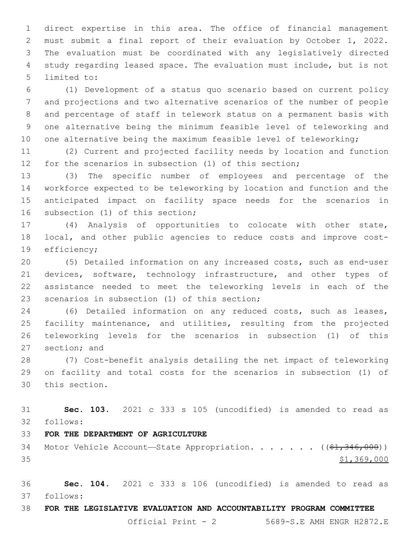direct expertise in this area. The office of financial management must submit a final report of their evaluation by October 1, 2022. The evaluation must be coordinated with any legislatively directed study regarding leased space. The evaluation must include, but is not 5 limited to:

 (1) Development of a status quo scenario based on current policy and projections and two alternative scenarios of the number of people and percentage of staff in telework status on a permanent basis with one alternative being the minimum feasible level of teleworking and 10 one alternative being the maximum feasible level of teleworking;

 (2) Current and projected facility needs by location and function for the scenarios in subsection (1) of this section;

 (3) The specific number of employees and percentage of the workforce expected to be teleworking by location and function and the anticipated impact on facility space needs for the scenarios in 16 subsection (1) of this section;

 (4) Analysis of opportunities to colocate with other state, local, and other public agencies to reduce costs and improve cost-19 efficiency;

 (5) Detailed information on any increased costs, such as end-user 21 devices, software, technology infrastructure, and other types of assistance needed to meet the teleworking levels in each of the 23 scenarios in subsection (1) of this section;

 (6) Detailed information on any reduced costs, such as leases, facility maintenance, and utilities, resulting from the projected teleworking levels for the scenarios in subsection (1) of this 27 section; and

 (7) Cost-benefit analysis detailing the net impact of teleworking on facility and total costs for the scenarios in subsection (1) of 30 this section.

 **Sec. 103.** 2021 c 333 s 105 (uncodified) is amended to read as follows: 32

**FOR THE DEPARTMENT OF AGRICULTURE**

34 Motor Vehicle Account—State Appropriation. . . . . . ((\$1,346,000)) \$1,369,000

 **Sec. 104.** 2021 c 333 s 106 (uncodified) is amended to read as follows: 37

## **FOR THE LEGISLATIVE EVALUATION AND ACCOUNTABILITY PROGRAM COMMITTEE**

Official Print - 2 5689-S.E AMH ENGR H2872.E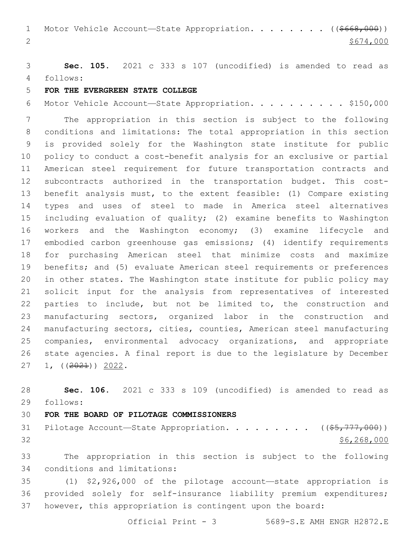1 Motor Vehicle Account—State Appropriation. . . . . . . ((\$668,000)) 2  $\frac{$674,000}{ }$ 

 **Sec. 105.** 2021 c 333 s 107 (uncodified) is amended to read as follows: 4

### **FOR THE EVERGREEN STATE COLLEGE**

Motor Vehicle Account—State Appropriation. . . . . . . . . . \$150,000

 The appropriation in this section is subject to the following conditions and limitations: The total appropriation in this section is provided solely for the Washington state institute for public policy to conduct a cost-benefit analysis for an exclusive or partial American steel requirement for future transportation contracts and subcontracts authorized in the transportation budget. This cost- benefit analysis must, to the extent feasible: (1) Compare existing types and uses of steel to made in America steel alternatives including evaluation of quality; (2) examine benefits to Washington workers and the Washington economy; (3) examine lifecycle and embodied carbon greenhouse gas emissions; (4) identify requirements for purchasing American steel that minimize costs and maximize benefits; and (5) evaluate American steel requirements or preferences in other states. The Washington state institute for public policy may solicit input for the analysis from representatives of interested parties to include, but not be limited to, the construction and manufacturing sectors, organized labor in the construction and manufacturing sectors, cities, counties, American steel manufacturing companies, environmental advocacy organizations, and appropriate state agencies. A final report is due to the legislature by December  $27 \quad 1, \quad (2021)$ ) 2022.

 **Sec. 106.** 2021 c 333 s 109 (uncodified) is amended to read as follows: 29

#### **FOR THE BOARD OF PILOTAGE COMMISSIONERS**

31 Pilotage Account—State Appropriation. . . . . . . .  $($   $($ \$5,777,000)) \$6,268,000

 The appropriation in this section is subject to the following 34 conditions and limitations:

 (1) \$2,926,000 of the pilotage account—state appropriation is provided solely for self-insurance liability premium expenditures; however, this appropriation is contingent upon the board:

Official Print - 3 5689-S.E AMH ENGR H2872.E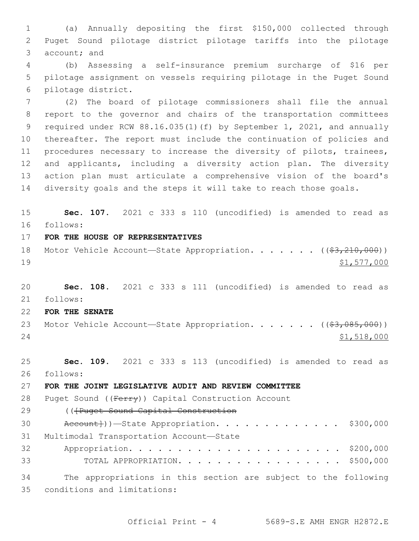(a) Annually depositing the first \$150,000 collected through Puget Sound pilotage district pilotage tariffs into the pilotage 3 account; and

 (b) Assessing a self-insurance premium surcharge of \$16 per pilotage assignment on vessels requiring pilotage in the Puget Sound 6 pilotage district.

 (2) The board of pilotage commissioners shall file the annual report to the governor and chairs of the transportation committees required under RCW 88.16.035(1)(f) by September 1, 2021, and annually thereafter. The report must include the continuation of policies and procedures necessary to increase the diversity of pilots, trainees, and applicants, including a diversity action plan. The diversity action plan must articulate a comprehensive vision of the board's diversity goals and the steps it will take to reach those goals.

 **Sec. 107.** 2021 c 333 s 110 (uncodified) is amended to read as follows: 16

- **FOR THE HOUSE OF REPRESENTATIVES**
- 18 Motor Vehicle Account—State Appropriation. . . . . . ((\$3,210,000)) \$1,577,000

 **Sec. 108.** 2021 c 333 s 111 (uncodified) is amended to read as follows: 21

**FOR THE SENATE**

23 Motor Vehicle Account—State Appropriation. . . . . . ((\$3,085,000)) 24 \$1,518,000

 **Sec. 109.** 2021 c 333 s 113 (uncodified) is amended to read as follows: 26

**FOR THE JOINT LEGISLATIVE AUDIT AND REVIEW COMMITTEE**

28 Puget Sound ((Ferry)) Capital Construction Account

29 ((Fruget Sound Capital Construction

 $\text{Accept}()$   $\rightarrow$  State Appropriation. . . . . . . . . . . \$300,000 31 Multimodal Transportation Account-State Appropriation. . . . . . . . . . . . . . . . . . . . . . \$200,000 TOTAL APPROPRIATION. . . . . . . . . . . . . . . . . \$500,000

 The appropriations in this section are subject to the following 35 conditions and limitations: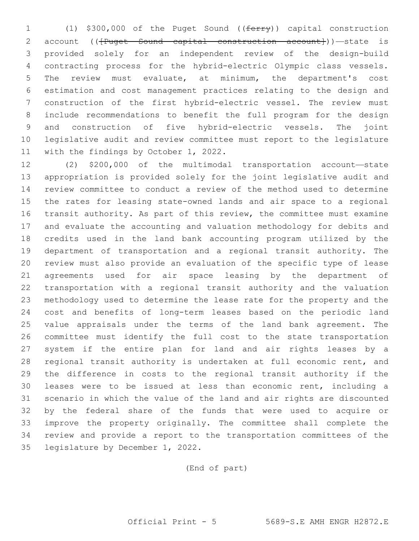(1) \$300,000 of the Puget Sound ((ferry)) capital construction 2 account ((<del>[Puget Sound capital construction account]</del>))—state is provided solely for an independent review of the design-build contracting process for the hybrid-electric Olympic class vessels. The review must evaluate, at minimum, the department's cost estimation and cost management practices relating to the design and construction of the first hybrid-electric vessel. The review must include recommendations to benefit the full program for the design and construction of five hybrid-electric vessels. The joint legislative audit and review committee must report to the legislature 11 with the findings by October 1, 2022.

 (2) \$200,000 of the multimodal transportation account—state appropriation is provided solely for the joint legislative audit and review committee to conduct a review of the method used to determine the rates for leasing state-owned lands and air space to a regional transit authority. As part of this review, the committee must examine and evaluate the accounting and valuation methodology for debits and credits used in the land bank accounting program utilized by the department of transportation and a regional transit authority. The review must also provide an evaluation of the specific type of lease agreements used for air space leasing by the department of transportation with a regional transit authority and the valuation methodology used to determine the lease rate for the property and the cost and benefits of long-term leases based on the periodic land value appraisals under the terms of the land bank agreement. The committee must identify the full cost to the state transportation system if the entire plan for land and air rights leases by a regional transit authority is undertaken at full economic rent, and the difference in costs to the regional transit authority if the leases were to be issued at less than economic rent, including a scenario in which the value of the land and air rights are discounted by the federal share of the funds that were used to acquire or improve the property originally. The committee shall complete the review and provide a report to the transportation committees of the 35 legislature by December 1, 2022.

(End of part)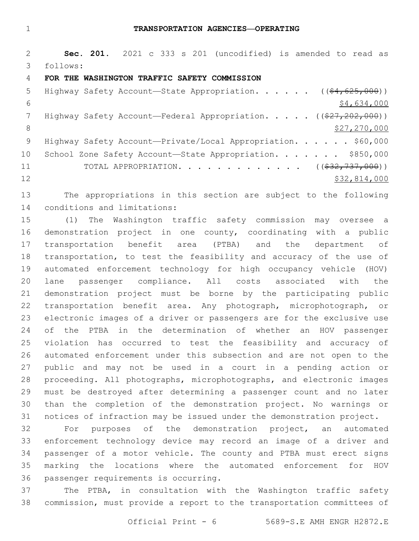**Sec. 201.** 2021 c 333 s 201 (uncodified) is amended to read as follows: 3

#### **FOR THE WASHINGTON TRAFFIC SAFETY COMMISSION**

| 5               | Highway Safety Account—State Appropriation. ( $(\frac{64}{625}, \frac{625}{600})$ ) |
|-----------------|-------------------------------------------------------------------------------------|
| 6               | \$4,634,000                                                                         |
|                 | Highway Safety Account—Federal Appropriation. $($ $($ $27, 202, 000)$ )             |
| 8               | \$27,270,000                                                                        |
| - 9             | Highway Safety Account-Private/Local Appropriation. \$60,000                        |
| 10 <sub>o</sub> | School Zone Safety Account-State Appropriation. \$850,000                           |
| 11              | TOTAL APPROPRIATION. ( $(\frac{232}{737}, 000)$ )                                   |
| 12              | \$32,814,000                                                                        |

 The appropriations in this section are subject to the following 14 conditions and limitations:

 (1) The Washington traffic safety commission may oversee a demonstration project in one county, coordinating with a public transportation benefit area (PTBA) and the department of transportation, to test the feasibility and accuracy of the use of automated enforcement technology for high occupancy vehicle (HOV) lane passenger compliance. All costs associated with the demonstration project must be borne by the participating public transportation benefit area. Any photograph, microphotograph, or electronic images of a driver or passengers are for the exclusive use of the PTBA in the determination of whether an HOV passenger violation has occurred to test the feasibility and accuracy of automated enforcement under this subsection and are not open to the public and may not be used in a court in a pending action or proceeding. All photographs, microphotographs, and electronic images must be destroyed after determining a passenger count and no later than the completion of the demonstration project. No warnings or notices of infraction may be issued under the demonstration project.

 For purposes of the demonstration project, an automated enforcement technology device may record an image of a driver and passenger of a motor vehicle. The county and PTBA must erect signs marking the locations where the automated enforcement for HOV 36 passenger requirements is occurring.

 The PTBA, in consultation with the Washington traffic safety commission, must provide a report to the transportation committees of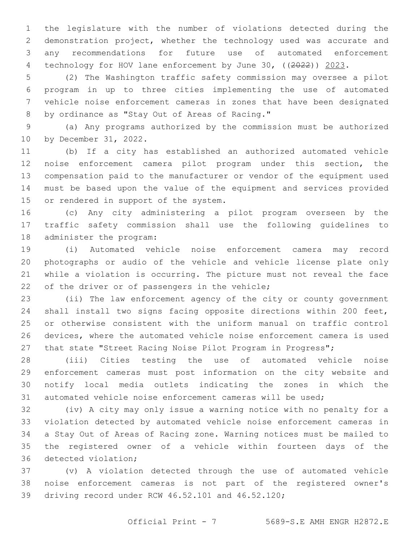the legislature with the number of violations detected during the demonstration project, whether the technology used was accurate and any recommendations for future use of automated enforcement 4 technology for HOV lane enforcement by June 30, ((2022)) 2023.

 (2) The Washington traffic safety commission may oversee a pilot program in up to three cities implementing the use of automated vehicle noise enforcement cameras in zones that have been designated 8 by ordinance as "Stay Out of Areas of Racing."

 (a) Any programs authorized by the commission must be authorized 10 by December 31, 2022.

 (b) If a city has established an authorized automated vehicle noise enforcement camera pilot program under this section, the compensation paid to the manufacturer or vendor of the equipment used must be based upon the value of the equipment and services provided 15 or rendered in support of the system.

 (c) Any city administering a pilot program overseen by the traffic safety commission shall use the following guidelines to 18 administer the program:

 (i) Automated vehicle noise enforcement camera may record photographs or audio of the vehicle and vehicle license plate only while a violation is occurring. The picture must not reveal the face 22 of the driver or of passengers in the vehicle;

 (ii) The law enforcement agency of the city or county government shall install two signs facing opposite directions within 200 feet, or otherwise consistent with the uniform manual on traffic control devices, where the automated vehicle noise enforcement camera is used that state "Street Racing Noise Pilot Program in Progress";

 (iii) Cities testing the use of automated vehicle noise enforcement cameras must post information on the city website and notify local media outlets indicating the zones in which the automated vehicle noise enforcement cameras will be used;

 (iv) A city may only issue a warning notice with no penalty for a violation detected by automated vehicle noise enforcement cameras in a Stay Out of Areas of Racing zone. Warning notices must be mailed to the registered owner of a vehicle within fourteen days of the 36 detected violation;

 (v) A violation detected through the use of automated vehicle noise enforcement cameras is not part of the registered owner's 39 driving record under RCW 46.52.101 and 46.52.120;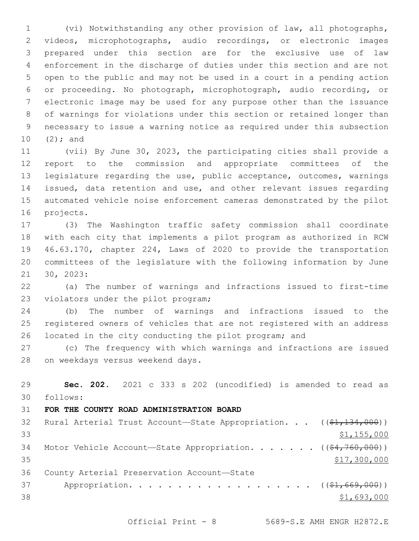(vi) Notwithstanding any other provision of law, all photographs, videos, microphotographs, audio recordings, or electronic images prepared under this section are for the exclusive use of law enforcement in the discharge of duties under this section and are not open to the public and may not be used in a court in a pending action or proceeding. No photograph, microphotograph, audio recording, or electronic image may be used for any purpose other than the issuance of warnings for violations under this section or retained longer than necessary to issue a warning notice as required under this subsection 10  $(2)$ ; and

 (vii) By June 30, 2023, the participating cities shall provide a report to the commission and appropriate committees of the legislature regarding the use, public acceptance, outcomes, warnings issued, data retention and use, and other relevant issues regarding automated vehicle noise enforcement cameras demonstrated by the pilot 16 projects.

 (3) The Washington traffic safety commission shall coordinate with each city that implements a pilot program as authorized in RCW 46.63.170, chapter 224, Laws of 2020 to provide the transportation committees of the legislature with the following information by June 21 30, 2023:

 (a) The number of warnings and infractions issued to first-time 23 violators under the pilot program;

 (b) The number of warnings and infractions issued to the registered owners of vehicles that are not registered with an address located in the city conducting the pilot program; and

 (c) The frequency with which warnings and infractions are issued 28 on weekdays versus weekend days.

 **Sec. 202.** 2021 c 333 s 202 (uncodified) is amended to read as follows: 30 **FOR THE COUNTY ROAD ADMINISTRATION BOARD** 32 Rural Arterial Trust Account—State Appropriation. . . ((\$1,134,000))  $$1,155,000$ 34 Motor Vehicle Account—State Appropriation. . . . . . ((\$4,760,000)) \$17,300,000 36 County Arterial Preservation Account-State 37 Appropriation. . . . . . . . . . . . . . . . . . (  $(\frac{1}{21}, 669, 000)$  ) \$1,693,000

Official Print - 8 5689-S.E AMH ENGR H2872.E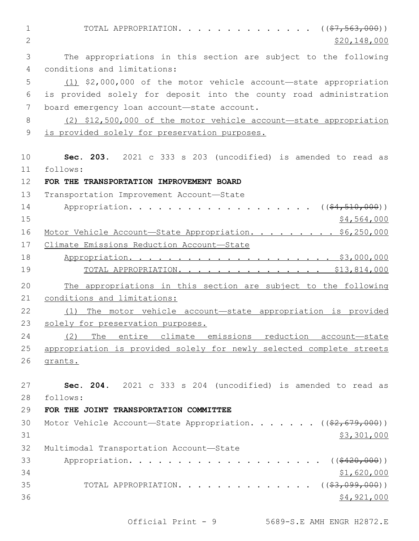1 TOTAL APPROPRIATION. . . . . . . . . . . . . ((<del>\$7,563,000</del>))  $2 \times 520,148,000$ 3 The appropriations in this section are subject to the following conditions and limitations:4 5 (1) \$2,000,000 of the motor vehicle account—state appropriation 6 is provided solely for deposit into the county road administration 7 board emergency loan account-state account. 8 (2) \$12,500,000 of the motor vehicle account—state appropriation 9 is provided solely for preservation purposes. 10 **Sec. 203.** 2021 c 333 s 203 (uncodified) is amended to read as follows: 11 12 **FOR THE TRANSPORTATION IMPROVEMENT BOARD** 13 Transportation Improvement Account-State 14 Appropriation. . . . . . . . . . . . . . . . . (  $(\frac{64,510,000}{51,000})$  $15$  \$4,564,000 16 Motor Vehicle Account—State Appropriation. . . . . . . . \$6,250,000 17 Climate Emissions Reduction Account—State 18 Appropriation. . . . . . . . . . . . . . . . . . . . . \$3,000,000 19 TOTAL APPROPRIATION. . . . . . . . . . . . . . . \$13,814,000 20 The appropriations in this section are subject to the following 21 conditions and limitations: 22 (1) The motor vehicle account—state appropriation is provided 23 solely for preservation purposes. 24 (2) The entire climate emissions reduction account—state 25 appropriation is provided solely for newly selected complete streets 26 grants. 27 **Sec. 204.** 2021 c 333 s 204 (uncodified) is amended to read as follows: 28 29 **FOR THE JOINT TRANSPORTATION COMMITTEE** 30 Motor Vehicle Account—State Appropriation. . . . . . ((\$2,679,000))  $31$  \$3,301,000 32 Multimodal Transportation Account-State 33 Appropriation. . . . . . . . . . . . . . . . . . ((<del>\$420,000</del>))  $34$  \$1,620,000 35 TOTAL APPROPRIATION. . . . . . . . . . . . . ((\$3,099,000))  $36$   $$4,921,000$ 

Official Print - 9 5689-S.E AMH ENGR H2872.E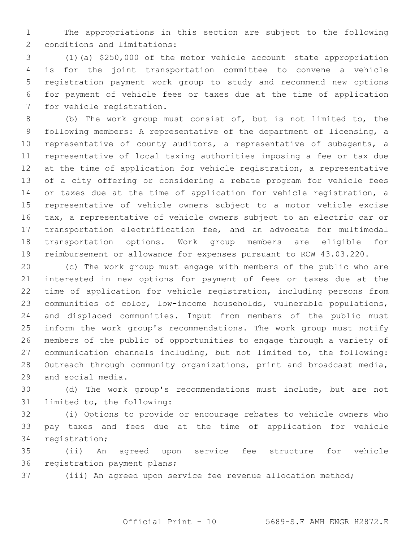The appropriations in this section are subject to the following 2 conditions and limitations:

 (1)(a) \$250,000 of the motor vehicle account—state appropriation is for the joint transportation committee to convene a vehicle registration payment work group to study and recommend new options for payment of vehicle fees or taxes due at the time of application 7 for vehicle registration.

 (b) The work group must consist of, but is not limited to, the following members: A representative of the department of licensing, a representative of county auditors, a representative of subagents, a representative of local taxing authorities imposing a fee or tax due at the time of application for vehicle registration, a representative of a city offering or considering a rebate program for vehicle fees or taxes due at the time of application for vehicle registration, a representative of vehicle owners subject to a motor vehicle excise tax, a representative of vehicle owners subject to an electric car or transportation electrification fee, and an advocate for multimodal transportation options. Work group members are eligible for reimbursement or allowance for expenses pursuant to RCW 43.03.220.

 (c) The work group must engage with members of the public who are interested in new options for payment of fees or taxes due at the time of application for vehicle registration, including persons from communities of color, low-income households, vulnerable populations, and displaced communities. Input from members of the public must inform the work group's recommendations. The work group must notify members of the public of opportunities to engage through a variety of communication channels including, but not limited to, the following: Outreach through community organizations, print and broadcast media, 29 and social media.

 (d) The work group's recommendations must include, but are not 31 limited to, the following:

 (i) Options to provide or encourage rebates to vehicle owners who pay taxes and fees due at the time of application for vehicle 34 registration;

 (ii) An agreed upon service fee structure for vehicle 36 registration payment plans;

(iii) An agreed upon service fee revenue allocation method;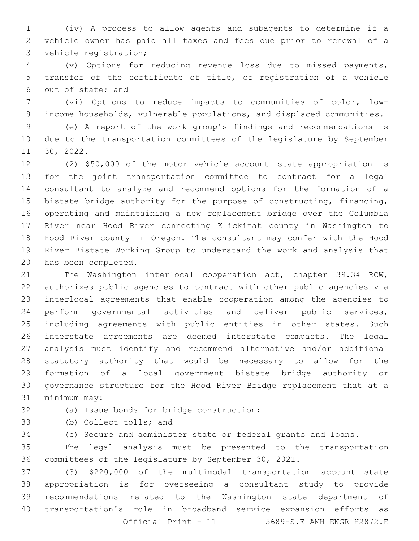(iv) A process to allow agents and subagents to determine if a vehicle owner has paid all taxes and fees due prior to renewal of a 3 vehicle registration;

 (v) Options for reducing revenue loss due to missed payments, transfer of the certificate of title, or registration of a vehicle 6 out of state; and

 (vi) Options to reduce impacts to communities of color, low-income households, vulnerable populations, and displaced communities.

 (e) A report of the work group's findings and recommendations is due to the transportation committees of the legislature by September 30, 2022.11

 (2) \$50,000 of the motor vehicle account—state appropriation is for the joint transportation committee to contract for a legal consultant to analyze and recommend options for the formation of a bistate bridge authority for the purpose of constructing, financing, operating and maintaining a new replacement bridge over the Columbia River near Hood River connecting Klickitat county in Washington to Hood River county in Oregon. The consultant may confer with the Hood River Bistate Working Group to understand the work and analysis that 20 has been completed.

 The Washington interlocal cooperation act, chapter 39.34 RCW, authorizes public agencies to contract with other public agencies via interlocal agreements that enable cooperation among the agencies to perform governmental activities and deliver public services, including agreements with public entities in other states. Such interstate agreements are deemed interstate compacts. The legal analysis must identify and recommend alternative and/or additional statutory authority that would be necessary to allow for the formation of a local government bistate bridge authority or governance structure for the Hood River Bridge replacement that at a 31 minimum may:

32 (a) Issue bonds for bridge construction;

33 (b) Collect tolls; and

(c) Secure and administer state or federal grants and loans.

 The legal analysis must be presented to the transportation committees of the legislature by September 30, 2021.

 (3) \$220,000 of the multimodal transportation account—state appropriation is for overseeing a consultant study to provide recommendations related to the Washington state department of transportation's role in broadband service expansion efforts as Official Print - 11 5689-S.E AMH ENGR H2872.E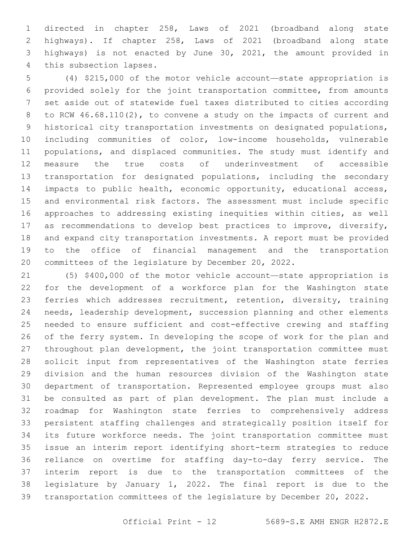directed in chapter 258, Laws of 2021 (broadband along state highways). If chapter 258, Laws of 2021 (broadband along state highways) is not enacted by June 30, 2021, the amount provided in 4 this subsection lapses.

 (4) \$215,000 of the motor vehicle account—state appropriation is provided solely for the joint transportation committee, from amounts set aside out of statewide fuel taxes distributed to cities according to RCW 46.68.110(2), to convene a study on the impacts of current and historical city transportation investments on designated populations, including communities of color, low-income households, vulnerable populations, and displaced communities. The study must identify and measure the true costs of underinvestment of accessible transportation for designated populations, including the secondary 14 impacts to public health, economic opportunity, educational access, and environmental risk factors. The assessment must include specific approaches to addressing existing inequities within cities, as well as recommendations to develop best practices to improve, diversify, and expand city transportation investments. A report must be provided to the office of financial management and the transportation committees of the legislature by December 20, 2022.

 (5) \$400,000 of the motor vehicle account—state appropriation is for the development of a workforce plan for the Washington state ferries which addresses recruitment, retention, diversity, training needs, leadership development, succession planning and other elements needed to ensure sufficient and cost-effective crewing and staffing of the ferry system. In developing the scope of work for the plan and throughout plan development, the joint transportation committee must solicit input from representatives of the Washington state ferries division and the human resources division of the Washington state department of transportation. Represented employee groups must also be consulted as part of plan development. The plan must include a roadmap for Washington state ferries to comprehensively address persistent staffing challenges and strategically position itself for its future workforce needs. The joint transportation committee must issue an interim report identifying short-term strategies to reduce reliance on overtime for staffing day-to-day ferry service. The interim report is due to the transportation committees of the legislature by January 1, 2022. The final report is due to the transportation committees of the legislature by December 20, 2022.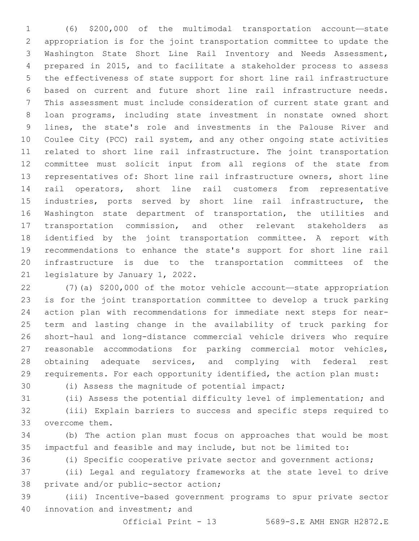(6) \$200,000 of the multimodal transportation account—state appropriation is for the joint transportation committee to update the Washington State Short Line Rail Inventory and Needs Assessment, prepared in 2015, and to facilitate a stakeholder process to assess the effectiveness of state support for short line rail infrastructure based on current and future short line rail infrastructure needs. This assessment must include consideration of current state grant and loan programs, including state investment in nonstate owned short lines, the state's role and investments in the Palouse River and Coulee City (PCC) rail system, and any other ongoing state activities related to short line rail infrastructure. The joint transportation committee must solicit input from all regions of the state from representatives of: Short line rail infrastructure owners, short line rail operators, short line rail customers from representative industries, ports served by short line rail infrastructure, the Washington state department of transportation, the utilities and transportation commission, and other relevant stakeholders as identified by the joint transportation committee. A report with recommendations to enhance the state's support for short line rail infrastructure is due to the transportation committees of the 21 legislature by January 1, 2022.

 (7)(a) \$200,000 of the motor vehicle account—state appropriation is for the joint transportation committee to develop a truck parking action plan with recommendations for immediate next steps for near- term and lasting change in the availability of truck parking for short-haul and long-distance commercial vehicle drivers who require reasonable accommodations for parking commercial motor vehicles, 28 obtaining adequate services, and complying with federal rest requirements. For each opportunity identified, the action plan must:

30 (i) Assess the magnitude of potential impact;

(ii) Assess the potential difficulty level of implementation; and

 (iii) Explain barriers to success and specific steps required to 33 overcome them.

 (b) The action plan must focus on approaches that would be most impactful and feasible and may include, but not be limited to:

(i) Specific cooperative private sector and government actions;

 (ii) Legal and regulatory frameworks at the state level to drive 38 private and/or public-sector action;

 (iii) Incentive-based government programs to spur private sector 40 innovation and investment; and

Official Print - 13 5689-S.E AMH ENGR H2872.E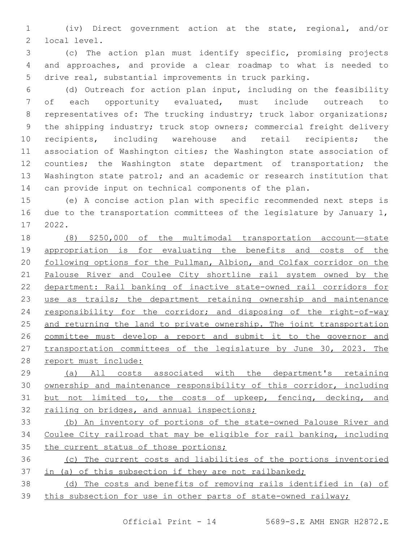(iv) Direct government action at the state, regional, and/or 2 local level.

 (c) The action plan must identify specific, promising projects and approaches, and provide a clear roadmap to what is needed to drive real, substantial improvements in truck parking.

 (d) Outreach for action plan input, including on the feasibility of each opportunity evaluated, must include outreach to 8 representatives of: The trucking industry; truck labor organizations; the shipping industry; truck stop owners; commercial freight delivery 10 recipients, including warehouse and retail recipients; the association of Washington cities; the Washington state association of 12 counties; the Washington state department of transportation; the Washington state patrol; and an academic or research institution that can provide input on technical components of the plan.

 (e) A concise action plan with specific recommended next steps is 16 due to the transportation committees of the legislature by January 1, 17 2022.

 (8) \$250,000 of the multimodal transportation account—state 19 appropriation is for evaluating the benefits and costs of the 20 following options for the Pullman, Albion, and Colfax corridor on the Palouse River and Coulee City shortline rail system owned by the department: Rail banking of inactive state-owned rail corridors for use as trails; the department retaining ownership and maintenance 24 responsibility for the corridor; and disposing of the right-of-way and returning the land to private ownership. The joint transportation committee must develop a report and submit it to the governor and transportation committees of the legislature by June 30, 2023. The report must include:

 (a) All costs associated with the department's retaining ownership and maintenance responsibility of this corridor, including but not limited to, the costs of upkeep, fencing, decking, and 32 railing on bridges, and annual inspections;

 (b) An inventory of portions of the state-owned Palouse River and Coulee City railroad that may be eligible for rail banking, including 35 the current status of those portions;

 (c) The current costs and liabilities of the portions inventoried in (a) of this subsection if they are not railbanked;

 (d) The costs and benefits of removing rails identified in (a) of this subsection for use in other parts of state-owned railway;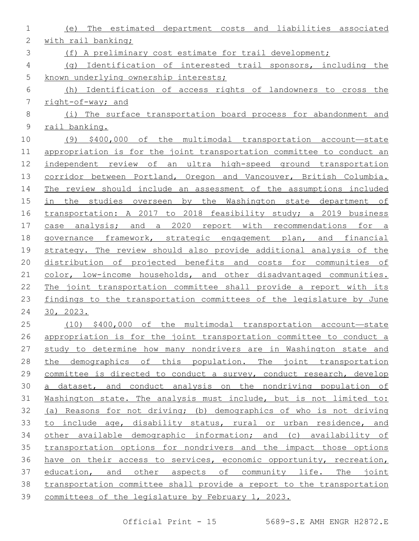| $\mathbf 1$    | The estimated department costs and liabilities associated<br>(e)      |  |  |  |
|----------------|-----------------------------------------------------------------------|--|--|--|
| $\mathbf{2}$   | with rail banking;                                                    |  |  |  |
| 3              | (f) A preliminary cost estimate for trail development;                |  |  |  |
| 4              | (q) Identification of interested trail sponsors, including the        |  |  |  |
| 5              | known underlying ownership interests;                                 |  |  |  |
| 6              | (h) Identification of access rights of landowners to cross the        |  |  |  |
| $\overline{7}$ | right-of-way; and                                                     |  |  |  |
| $\,8\,$        | (i) The surface transportation board process for abandonment and      |  |  |  |
| $\mathsf 9$    | rail banking.                                                         |  |  |  |
| 10             | (9) \$400,000 of the multimodal transportation account-state          |  |  |  |
| 11             | appropriation is for the joint transportation committee to conduct an |  |  |  |
| 12             | independent review of an ultra high-speed ground transportation       |  |  |  |
| 13             | corridor between Portland, Oregon and Vancouver, British Columbia.    |  |  |  |
| 14             | The review should include an assessment of the assumptions included   |  |  |  |
| 15             | in the studies overseen by the Washington state department of         |  |  |  |
| 16             | transportation: A 2017 to 2018 feasibility study; a 2019 business     |  |  |  |
| 17             | case analysis; and a 2020 report with recommendations for a           |  |  |  |
| 18             | governance framework, strategic engagement plan, and financial        |  |  |  |
| 19             | strategy. The review should also provide additional analysis of the   |  |  |  |
| 20             | distribution of projected benefits and costs for communities of       |  |  |  |
| 21             | color, low-income households, and other disadvantaged communities.    |  |  |  |
| 22             | The joint transportation committee shall provide a report with its    |  |  |  |
| 23             | findings to the transportation committees of the legislature by June  |  |  |  |
| 24             | 30, 2023.                                                             |  |  |  |
| 25             | $(10)$ \$400,000 of the multimodal transportation account-state       |  |  |  |
| 26             | appropriation is for the joint transportation committee to conduct a  |  |  |  |
| 27             | study to determine how many nondrivers are in Washington state and    |  |  |  |
| 28             | the demographics of this population. The joint transportation         |  |  |  |
| 29             | committee is directed to conduct a survey, conduct research, develop  |  |  |  |
| 30             | a dataset, and conduct analysis on the nondriving population of       |  |  |  |
| 31             | Washington state. The analysis must include, but is not limited to:   |  |  |  |
| 32             | (a) Reasons for not driving; (b) demographics of who is not driving   |  |  |  |
| 33             | to include age, disability status, rural or urban residence, and      |  |  |  |
| 34             | other available demographic information; and (c) availability of      |  |  |  |
| 35             | transportation options for nondrivers and the impact those options    |  |  |  |
| 36             | have on their access to services, economic opportunity, recreation,   |  |  |  |
| 37             | education, and other aspects of community life. The joint             |  |  |  |
| 38             | transportation committee shall provide a report to the transportation |  |  |  |
| 39             | committees of the legislature by February 1, 2023.                    |  |  |  |
|                |                                                                       |  |  |  |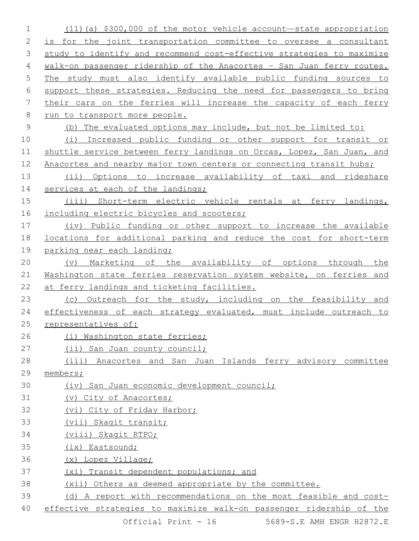(11)(a) \$300,000 of the motor vehicle account—state appropriation is for the joint transportation committee to oversee a consultant study to identify and recommend cost-effective strategies to maximize walk-on passenger ridership of the Anacortes – San Juan ferry routes. The study must also identify available public funding sources to support these strategies. Reducing the need for passengers to bring their cars on the ferries will increase the capacity of each ferry run to transport more people. (b) The evaluated options may include, but not be limited to: (i) Increased public funding or other support for transit or 11 shuttle service between ferry landings on Orcas, Lopez, San Juan, and 12 Anacortes and nearby major town centers or connecting transit hubs; (ii) Options to increase availability of taxi and rideshare 14 services at each of the landings; (iii) Short-term electric vehicle rentals at ferry landings, 16 including electric bicycles and scooters; (iv) Public funding or other support to increase the available locations for additional parking and reduce the cost for short-term 19 parking near each landing; (v) Marketing of the availability of options through the Washington state ferries reservation system website, on ferries and at ferry landings and ticketing facilities. 23 (c) Outreach for the study, including on the feasibility and 24 effectiveness of each strategy evaluated, must include outreach to representatives of: (i) Washington state ferries; 27 (ii) San Juan county council; (iii) Anacortes and San Juan Islands ferry advisory committee members; (iv) San Juan economic development council; (v) City of Anacortes; (vi) City of Friday Harbor; (vii) Skagit transit; (viii) Skagit RTPO; (ix) Eastsound; (x) Lopez Village; (xi) Transit dependent populations; and (xii) Others as deemed appropriate by the committee. (d) A report with recommendations on the most feasible and cost-effective strategies to maximize walk-on passenger ridership of the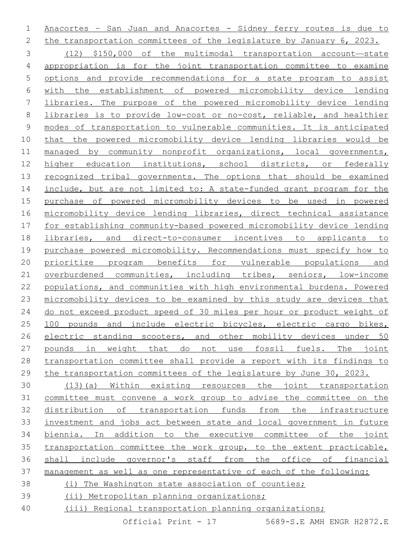Anacortes – San Juan and Anacortes - Sidney ferry routes is due to the transportation committees of the legislature by January 6, 2023. (12) \$150,000 of the multimodal transportation account—state appropriation is for the joint transportation committee to examine options and provide recommendations for a state program to assist with the establishment of powered micromobility device lending libraries. The purpose of the powered micromobility device lending libraries is to provide low-cost or no-cost, reliable, and healthier modes of transportation to vulnerable communities. It is anticipated that the powered micromobility device lending libraries would be managed by community nonprofit organizations, local governments, higher education institutions, school districts, or federally 13 recognized tribal governments. The options that should be examined include, but are not limited to: A state-funded grant program for the purchase of powered micromobility devices to be used in powered micromobility device lending libraries, direct technical assistance for establishing community-based powered micromobility device lending libraries, and direct-to-consumer incentives to applicants to purchase powered micromobility. Recommendations must specify how to prioritize program benefits for vulnerable populations and overburdened communities, including tribes, seniors, low-income populations, and communities with high environmental burdens. Powered micromobility devices to be examined by this study are devices that do not exceed product speed of 30 miles per hour or product weight of 100 pounds and include electric bicycles, electric cargo bikes, electric standing scooters, and other mobility devices under 50 pounds in weight that do not use fossil fuels. The joint transportation committee shall provide a report with its findings to the transportation committees of the legislature by June 30, 2023. (13)(a) Within existing resources the joint transportation committee must convene a work group to advise the committee on the distribution of transportation funds from the infrastructure investment and jobs act between state and local government in future biennia. In addition to the executive committee of the joint

management as well as one representative of each of the following:

 transportation committee the work group, to the extent practicable, shall include governor's staff from the office of financial

- (i) The Washington state association of counties;
- (ii) Metropolitan planning organizations;
- (iii) Regional transportation planning organizations;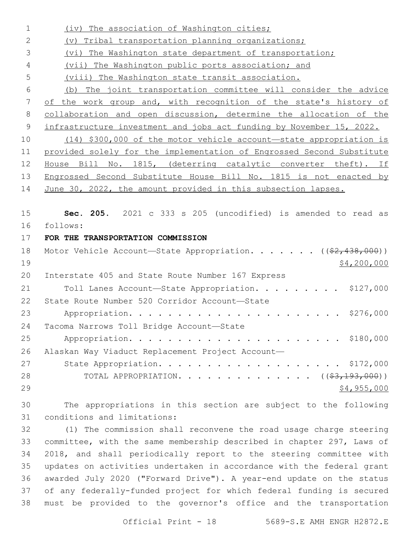| $\mathbf 1$    | (iv) The association of Washington cities;                               |
|----------------|--------------------------------------------------------------------------|
| $\mathbf{2}$   | (v) Tribal transportation planning organizations;                        |
| 3              | (vi) The Washington state department of transportation;                  |
| 4              | (vii) The Washington public ports association; and                       |
| 5              | (viii) The Washington state transit association.                         |
| 6              | (b) The joint transportation committee will consider the advice          |
| $\overline{7}$ | of the work group and, with recognition of the state's history of        |
| $\,8\,$        | collaboration and open discussion, determine the allocation of the       |
| $\mathsf 9$    | infrastructure investment and jobs act funding by November 15, 2022.     |
| 10             | $(14)$ \$300,000 of the motor vehicle account—state appropriation is     |
| 11             | provided solely for the implementation of Engrossed Second Substitute    |
| 12             | House Bill No. 1815, (deterring catalytic converter theft). If           |
| 13             | Engrossed Second Substitute House Bill No. 1815 is not enacted by        |
| 14             | June 30, 2022, the amount provided in this subsection lapses.            |
|                |                                                                          |
| 15             | Sec. 205. 2021 c 333 s 205 (uncodified) is amended to read as            |
| 16             | follows:                                                                 |
| 17             | FOR THE TRANSPORTATION COMMISSION                                        |
| 18             | Motor Vehicle Account-State Appropriation. ((\$2,438,000))               |
| 19             | \$4,200,000                                                              |
| 20             | Interstate 405 and State Route Number 167 Express                        |
| 21             | Toll Lanes Account-State Appropriation. \$127,000                        |
| 22             | State Route Number 520 Corridor Account-State                            |
| 23             | \$276,000                                                                |
| 24             | Tacoma Narrows Toll Bridge Account-State                                 |
| 25             |                                                                          |
| 26             | Alaskan Way Viaduct Replacement Project Account-                         |
| 27             | State Appropriation. \$172,000                                           |
| 28             | TOTAL APPROPRIATION. ( $(\frac{2}{7}, \frac{193}{193}, \frac{000}{193})$ |
| 29             | \$4,955,000                                                              |
| 30             | The appropriations in this section are subject to the following          |
| 31             |                                                                          |
|                | conditions and limitations:                                              |
| 32             | (1) The commission shall reconvene the road usage charge steering        |
| 33             | committee, with the same membership described in chapter 297, Laws of    |
| 34             | 2018, and shall periodically report to the steering committee with       |

 awarded July 2020 ("Forward Drive"). A year-end update on the status of any federally-funded project for which federal funding is secured must be provided to the governor's office and the transportation

Official Print - 18 5689-S.E AMH ENGR H2872.E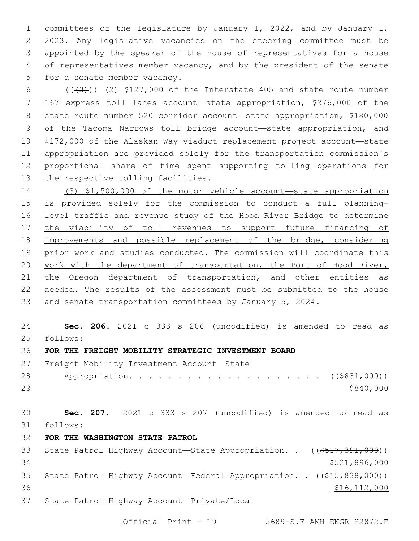1 committees of the legislature by January 1, 2022, and by January 1, 2 2023. Any legislative vacancies on the steering committee must be 3 appointed by the speaker of the house of representatives for a house 4 of representatives member vacancy, and by the president of the senate 5 for a senate member vacancy.

 $((+3))$   $(2)$  \$127,000 of the Interstate 405 and state route number 167 express toll lanes account—state appropriation, \$276,000 of the state route number 520 corridor account—state appropriation, \$180,000 of the Tacoma Narrows toll bridge account—state appropriation, and \$172,000 of the Alaskan Way viaduct replacement project account—state appropriation are provided solely for the transportation commission's proportional share of time spent supporting tolling operations for 13 the respective tolling facilities.

14 (3) \$1,500,000 of the motor vehicle account—state appropriation 15 is provided solely for the commission to conduct a full planning-16 level traffic and revenue study of the Hood River Bridge to determine 17 the viability of toll revenues to support future financing of 18 improvements and possible replacement of the bridge, considering 19 prior work and studies conducted. The commission will coordinate this 20 work with the department of transportation, the Port of Hood River, 21 the Oregon department of transportation, and other entities as 22 needed. The results of the assessment must be submitted to the house 23 and senate transportation committees by January 5, 2024.

24 **Sec. 206.** 2021 c 333 s 206 (uncodified) is amended to read as follows: 25

# 26 **FOR THE FREIGHT MOBILITY STRATEGIC INVESTMENT BOARD**

27 Freight Mobility Investment Account-State

28 Appropriation. . . . . . . . . . . . . . . . . . (  $(*831,000)$  )  $29$   $$840,000$ 

30 **Sec. 207.** 2021 c 333 s 207 (uncodified) is amended to read as follows: 31

32 **FOR THE WASHINGTON STATE PATROL**

| 33 |  | State Patrol Highway Account-State Appropriation. . ((\$517,391,000))  |                |
|----|--|------------------------------------------------------------------------|----------------|
| 34 |  |                                                                        | \$521,896,000  |
| 35 |  | State Patrol Highway Account—Federal Appropriation. . ((\$15,838,000)) |                |
| 36 |  |                                                                        | \$16, 112, 000 |
| 37 |  | State Patrol Highway Account-Private/Local                             |                |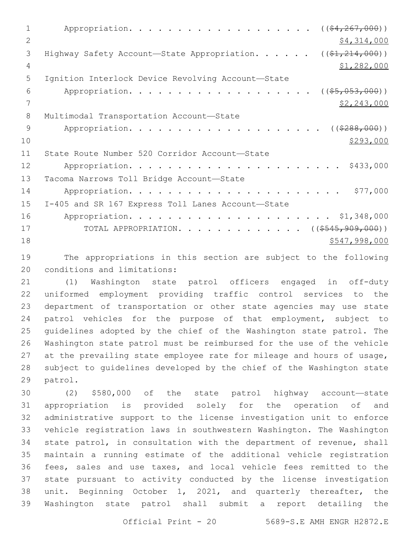1 Appropriation. . . . . . . . . . . . . . . . . (  $(\frac{64,267,000}{5})$ 2  $\frac{1}{2}$   $\frac{1}{2}$   $\frac{1}{2}$   $\frac{1}{2}$   $\frac{1}{2}$   $\frac{1}{2}$   $\frac{1}{2}$   $\frac{1}{2}$   $\frac{1}{2}$   $\frac{1}{2}$   $\frac{1}{2}$   $\frac{1}{2}$   $\frac{1}{2}$   $\frac{1}{2}$   $\frac{1}{2}$   $\frac{1}{2}$   $\frac{1}{2}$   $\frac{1}{2}$   $\frac{1}{2}$   $\frac{1}{2}$   $\frac{1}{2}$   $\frac{1}{2}$ 3 Highway Safety Account—State Appropriation. . . . . . ((\$1,214,000)) 4  $\frac{4}{31,282,000}$ 5 Ignition Interlock Device Revolving Account-State 6 Appropriation. . . . . . . . . . . . . . . . . (  $(\frac{25}{1000})$  )  $7 \frac{\text{S2,243,000}}{9}$ 8 Multimodal Transportation Account-State 9 Appropriation. . . . . . . . . . . . . . . . . . (  $(\frac{2888,000}{1})$  $\frac{$293,000}{ }$ 11 State Route Number 520 Corridor Account-State 12 Appropriation. . . . . . . . . . . . . . . . . . . . . . \$433,000 13 Tacoma Narrows Toll Bridge Account-State 14 Appropriation. . . . . . . . . . . . . . . . . . . . . . \$77,000 15 I-405 and SR 167 Express Toll Lanes Account-State 16 Appropriation. . . . . . . . . . . . . . . . . . . . . \$1,348,000 17 TOTAL APPROPRIATION. . . . . . . . . . . . ((<del>\$545,909,000</del>)) 18 \$547,998,000

19 The appropriations in this section are subject to the following 20 conditions and limitations:

 (1) Washington state patrol officers engaged in off-duty uniformed employment providing traffic control services to the department of transportation or other state agencies may use state patrol vehicles for the purpose of that employment, subject to guidelines adopted by the chief of the Washington state patrol. The Washington state patrol must be reimbursed for the use of the vehicle at the prevailing state employee rate for mileage and hours of usage, subject to guidelines developed by the chief of the Washington state 29 patrol.

 (2) \$580,000 of the state patrol highway account—state appropriation is provided solely for the operation of and administrative support to the license investigation unit to enforce vehicle registration laws in southwestern Washington. The Washington state patrol, in consultation with the department of revenue, shall maintain a running estimate of the additional vehicle registration fees, sales and use taxes, and local vehicle fees remitted to the state pursuant to activity conducted by the license investigation unit. Beginning October 1, 2021, and quarterly thereafter, the Washington state patrol shall submit a report detailing the

Official Print - 20 5689-S.E AMH ENGR H2872.E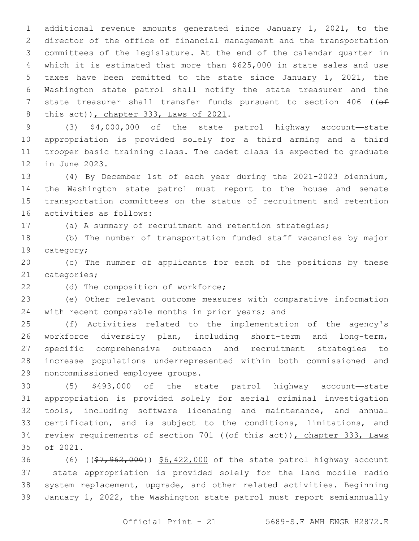additional revenue amounts generated since January 1, 2021, to the director of the office of financial management and the transportation committees of the legislature. At the end of the calendar quarter in which it is estimated that more than \$625,000 in state sales and use taxes have been remitted to the state since January 1, 2021, the Washington state patrol shall notify the state treasurer and the 7 state treasurer shall transfer funds pursuant to section 406 (( $\Theta$ f) this act)), chapter 333, Laws of 2021.

 (3) \$4,000,000 of the state patrol highway account—state appropriation is provided solely for a third arming and a third trooper basic training class. The cadet class is expected to graduate 12 in June 2023.

 (4) By December 1st of each year during the 2021-2023 biennium**,**  the Washington state patrol must report to the house and senate transportation committees on the status of recruitment and retention 16 activities as follows:

(a) A summary of recruitment and retention strategies;

 (b) The number of transportation funded staff vacancies by major 19 category;

 (c) The number of applicants for each of the positions by these 21 categories;

22 (d) The composition of workforce;

 (e) Other relevant outcome measures with comparative information 24 with recent comparable months in prior years; and

 (f) Activities related to the implementation of the agency's workforce diversity plan, including short-term and long-term, specific comprehensive outreach and recruitment strategies to increase populations underrepresented within both commissioned and 29 noncommissioned employee groups.

 (5) \$493,000 of the state patrol highway account—state appropriation is provided solely for aerial criminal investigation tools, including software licensing and maintenance, and annual certification, and is subject to the conditions, limitations, and 34 review requirements of section 701 ((of this act)), chapter 333, Laws 35 of 2021.

36 (6) ((\$7,962,000)) \$6,422,000 of the state patrol highway account —state appropriation is provided solely for the land mobile radio system replacement, upgrade, and other related activities. Beginning January 1, 2022, the Washington state patrol must report semiannually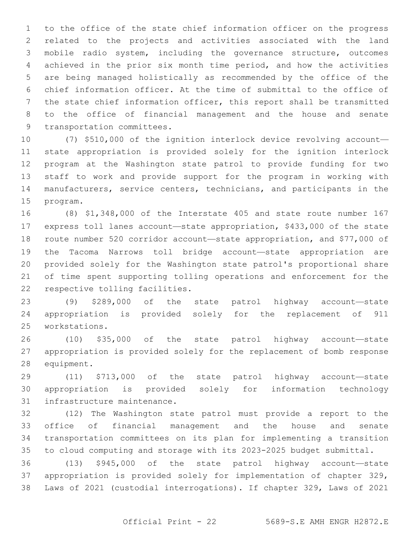to the office of the state chief information officer on the progress related to the projects and activities associated with the land mobile radio system, including the governance structure, outcomes achieved in the prior six month time period, and how the activities are being managed holistically as recommended by the office of the chief information officer. At the time of submittal to the office of the state chief information officer, this report shall be transmitted to the office of financial management and the house and senate 9 transportation committees.

 (7) \$510,000 of the ignition interlock device revolving account— state appropriation is provided solely for the ignition interlock program at the Washington state patrol to provide funding for two staff to work and provide support for the program in working with manufacturers, service centers, technicians, and participants in the 15 program.

 (8) \$1,348,000 of the Interstate 405 and state route number 167 express toll lanes account—state appropriation, \$433,000 of the state route number 520 corridor account—state appropriation, and \$77,000 of the Tacoma Narrows toll bridge account—state appropriation are provided solely for the Washington state patrol's proportional share of time spent supporting tolling operations and enforcement for the 22 respective tolling facilities.

 (9) \$289,000 of the state patrol highway account—state appropriation is provided solely for the replacement of 911 workstations.25

 (10) \$35,000 of the state patrol highway account—state appropriation is provided solely for the replacement of bomb response 28 equipment.

 (11) \$713,000 of the state patrol highway account—state appropriation is provided solely for information technology 31 infrastructure maintenance.

 (12) The Washington state patrol must provide a report to the office of financial management and the house and senate transportation committees on its plan for implementing a transition to cloud computing and storage with its 2023-2025 budget submittal.

 (13) \$945,000 of the state patrol highway account—state appropriation is provided solely for implementation of chapter 329, Laws of 2021 (custodial interrogations). If chapter 329, Laws of 2021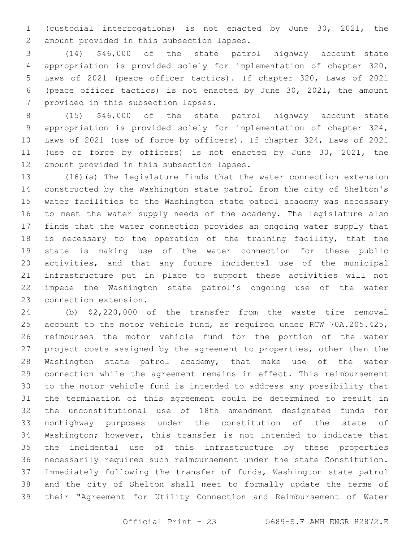(custodial interrogations) is not enacted by June 30, 2021, the 2 amount provided in this subsection lapses.

 (14) \$46,000 of the state patrol highway account—state appropriation is provided solely for implementation of chapter 320, Laws of 2021 (peace officer tactics). If chapter 320, Laws of 2021 (peace officer tactics) is not enacted by June 30, 2021, the amount 7 provided in this subsection lapses.

 (15) \$46,000 of the state patrol highway account—state appropriation is provided solely for implementation of chapter 324, Laws of 2021 (use of force by officers). If chapter 324, Laws of 2021 (use of force by officers) is not enacted by June 30, 2021, the 12 amount provided in this subsection lapses.

 (16)(a) The legislature finds that the water connection extension constructed by the Washington state patrol from the city of Shelton's water facilities to the Washington state patrol academy was necessary to meet the water supply needs of the academy. The legislature also finds that the water connection provides an ongoing water supply that 18 is necessary to the operation of the training facility, that the state is making use of the water connection for these public activities, and that any future incidental use of the municipal infrastructure put in place to support these activities will not impede the Washington state patrol's ongoing use of the water 23 connection extension.

 (b) \$2,220,000 of the transfer from the waste tire removal account to the motor vehicle fund, as required under RCW 70A.205.425, reimburses the motor vehicle fund for the portion of the water project costs assigned by the agreement to properties, other than the Washington state patrol academy, that make use of the water connection while the agreement remains in effect. This reimbursement to the motor vehicle fund is intended to address any possibility that the termination of this agreement could be determined to result in the unconstitutional use of 18th amendment designated funds for nonhighway purposes under the constitution of the state of Washington; however, this transfer is not intended to indicate that the incidental use of this infrastructure by these properties necessarily requires such reimbursement under the state Constitution. Immediately following the transfer of funds, Washington state patrol and the city of Shelton shall meet to formally update the terms of their "Agreement for Utility Connection and Reimbursement of Water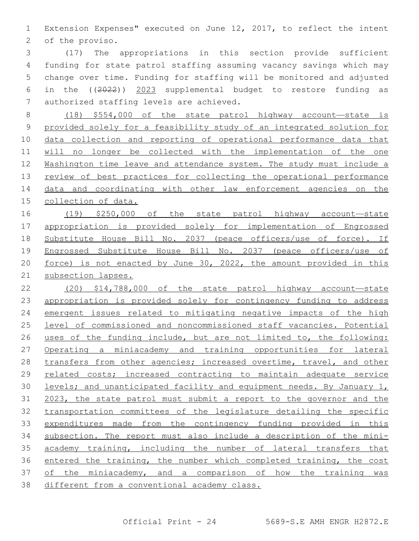Extension Expenses" executed on June 12, 2017, to reflect the intent 2 of the proviso.

 (17) The appropriations in this section provide sufficient funding for state patrol staffing assuming vacancy savings which may change over time. Funding for staffing will be monitored and adjusted in the ((2022)) 2023 supplemental budget to restore funding as 7 authorized staffing levels are achieved.

 (18) \$554,000 of the state patrol highway account—state is provided solely for a feasibility study of an integrated solution for data collection and reporting of operational performance data that will no longer be collected with the implementation of the one Washington time leave and attendance system. The study must include a review of best practices for collecting the operational performance data and coordinating with other law enforcement agencies on the collection of data.

 (19) \$250,000 of the state patrol highway account—state 17 appropriation is provided solely for implementation of Engrossed Substitute House Bill No. 2037 (peace officers/use of force). If Engrossed Substitute House Bill No. 2037 (peace officers/use of force) is not enacted by June 30, 2022, the amount provided in this subsection lapses.

 (20) \$14,788,000 of the state patrol highway account—state appropriation is provided solely for contingency funding to address emergent issues related to mitigating negative impacts of the high level of commissioned and noncommissioned staff vacancies. Potential uses of the funding include, but are not limited to, the following: Operating a miniacademy and training opportunities for lateral transfers from other agencies; increased overtime, travel, and other related costs; increased contracting to maintain adequate service levels; and unanticipated facility and equipment needs. By January 1, 2023, the state patrol must submit a report to the governor and the transportation committees of the legislature detailing the specific expenditures made from the contingency funding provided in this subsection. The report must also include a description of the mini- academy training, including the number of lateral transfers that entered the training, the number which completed training, the cost of the miniacademy, and a comparison of how the training was different from a conventional academy class.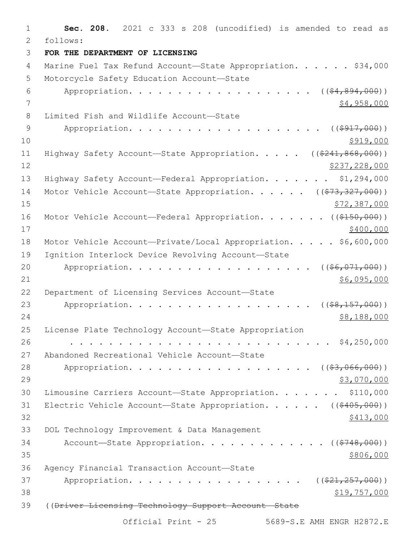1 **Sec. 208.** 2021 c 333 s 208 (uncodified) is amended to read as 2 follows: 3 **FOR THE DEPARTMENT OF LICENSING** 4 Marine Fuel Tax Refund Account-State Appropriation. . . . . \$34,000 5 Motorcycle Safety Education Account-State 6 Appropriation. . . . . . . . . . . . . . . . .  $($  $($  $$\frac{4}{2}$  $,$   $894$  $,$   $000)$ )$ 7 \$4,958,000 8 Limited Fish and Wildlife Account-State 9 Appropriation. . . . . . . . . . . . . . . . .  $($   $($   $\frac{1}{917}$ ,  $000)$ )  $10 \frac{\$919,000}{}$ 11 Highway Safety Account—State Appropriation. . . . . ((\$241,868,000))  $12$  \$237,228,000 13 Highway Safety Account—Federal Appropriation. . . . . . \$1,294,000 14 Motor Vehicle Account—State Appropriation. . . . . ((\$73,327,000))  $15$  \$72,387,000 16 Motor Vehicle Account—Federal Appropriation. . . . . . ((\$150,000))  $17$  \$400,000 18 Motor Vehicle Account-Private/Local Appropriation. . . . \$6,600,000 19 Ignition Interlock Device Revolving Account-State 20 Appropriation. . . . . . . . . . . . . . . . . (  $(\frac{26}{100})$ )  $21$   $$6,095,000$ 22 Department of Licensing Services Account-State 23 Appropriation. . . . . . . . . . . . . . . . . . ((\$8,157,000))  $24$  \$8,188,000 25 License Plate Technology Account—State Appropriation 26 . . . . . . . . . . . . . . . . . . . . . . . . . . . \$4,250,000 27 Abandoned Recreational Vehicle Account-State 28 Appropriation. . . . . . . . . . . . . . . . . ((\$3,066,000)) 29 \$3,070,000 30 Limousine Carriers Account—State Appropriation. . . . . . . \$110,000 31 Electric Vehicle Account—State Appropriation. . . . . ((\$405,000))  $32 \frac{\$413,000}{}$ 33 DOL Technology Improvement & Data Management 34 Account—State Appropriation. . . . . . . . . . . . ((\$748,000))  $35$ Agency Financial Transaction Account—State36 37 Appropriation. . . . . . . . . . . . . . . . (  $(\frac{221,257,000)}{21,257,000)}$  $38$   $$19,757,000$ 39 ((<del>Driver Licensing Technology Support Account State</del>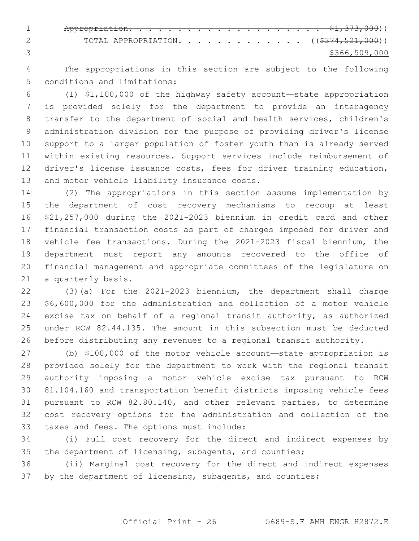Appropriation. . . . . . . . . . . . . . . . . . . . \$1,373,000)) 2 TOTAL APPROPRIATION. . . . . . . . . . . . ((\$374,521,000)) \$366,509,000

 The appropriations in this section are subject to the following 5 conditions and limitations:

 (1) \$1,100,000 of the highway safety account—state appropriation is provided solely for the department to provide an interagency transfer to the department of social and health services, children's administration division for the purpose of providing driver's license support to a larger population of foster youth than is already served within existing resources. Support services include reimbursement of driver's license issuance costs, fees for driver training education, 13 and motor vehicle liability insurance costs.

 (2) The appropriations in this section assume implementation by the department of cost recovery mechanisms to recoup at least \$21,257,000 during the 2021-2023 biennium in credit card and other financial transaction costs as part of charges imposed for driver and vehicle fee transactions. During the 2021-2023 fiscal biennium, the department must report any amounts recovered to the office of financial management and appropriate committees of the legislature on 21 a quarterly basis.

 (3)(a) For the 2021-2023 biennium, the department shall charge \$6,600,000 for the administration and collection of a motor vehicle excise tax on behalf of a regional transit authority, as authorized under RCW 82.44.135. The amount in this subsection must be deducted before distributing any revenues to a regional transit authority.

 (b) \$100,000 of the motor vehicle account—state appropriation is provided solely for the department to work with the regional transit authority imposing a motor vehicle excise tax pursuant to RCW 81.104.160 and transportation benefit districts imposing vehicle fees pursuant to RCW 82.80.140, and other relevant parties, to determine cost recovery options for the administration and collection of the 33 taxes and fees. The options must include:

 (i) Full cost recovery for the direct and indirect expenses by the department of licensing, subagents, and counties;

 (ii) Marginal cost recovery for the direct and indirect expenses 37 by the department of licensing, subagents, and counties;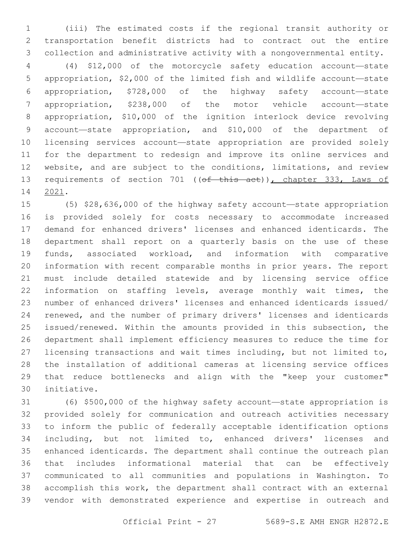(iii) The estimated costs if the regional transit authority or transportation benefit districts had to contract out the entire collection and administrative activity with a nongovernmental entity.

 (4) \$12,000 of the motorcycle safety education account—state appropriation, \$2,000 of the limited fish and wildlife account—state appropriation, \$728,000 of the highway safety account—state appropriation, \$238,000 of the motor vehicle account—state appropriation, \$10,000 of the ignition interlock device revolving account—state appropriation, and \$10,000 of the department of licensing services account—state appropriation are provided solely for the department to redesign and improve its online services and website, and are subject to the conditions, limitations, and review 13 requirements of section 701 ((of this act)), chapter 333, Laws of 14 2021.

 (5) \$28,636,000 of the highway safety account—state appropriation is provided solely for costs necessary to accommodate increased demand for enhanced drivers' licenses and enhanced identicards. The department shall report on a quarterly basis on the use of these funds, associated workload, and information with comparative information with recent comparable months in prior years. The report must include detailed statewide and by licensing service office information on staffing levels, average monthly wait times, the number of enhanced drivers' licenses and enhanced identicards issued/ renewed, and the number of primary drivers' licenses and identicards issued/renewed. Within the amounts provided in this subsection, the department shall implement efficiency measures to reduce the time for licensing transactions and wait times including, but not limited to, the installation of additional cameras at licensing service offices that reduce bottlenecks and align with the "keep your customer" initiative.30

 (6) \$500,000 of the highway safety account—state appropriation is provided solely for communication and outreach activities necessary to inform the public of federally acceptable identification options including, but not limited to, enhanced drivers' licenses and enhanced identicards. The department shall continue the outreach plan that includes informational material that can be effectively communicated to all communities and populations in Washington. To accomplish this work, the department shall contract with an external vendor with demonstrated experience and expertise in outreach and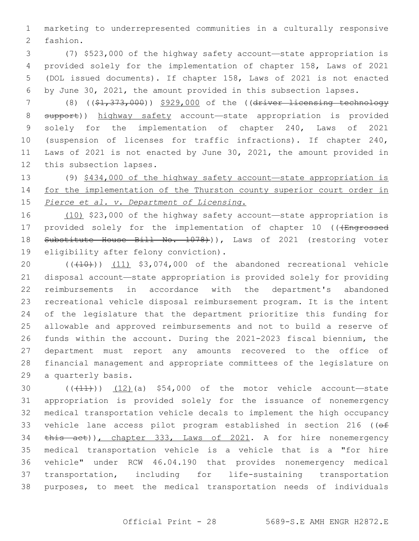marketing to underrepresented communities in a culturally responsive 2 fashion.

 (7) \$523,000 of the highway safety account—state appropriation is provided solely for the implementation of chapter 158, Laws of 2021 (DOL issued documents). If chapter 158, Laws of 2021 is not enacted by June 30, 2021, the amount provided in this subsection lapses.

 (8) ((\$1,373,000)) \$929,000 of the ((driver licensing technology 8 support)) highway safety account—state appropriation is provided solely for the implementation of chapter 240, Laws of 2021 (suspension of licenses for traffic infractions). If chapter 240, Laws of 2021 is not enacted by June 30, 2021, the amount provided in 12 this subsection lapses.

 (9) \$434,000 of the highway safety account—state appropriation is 14 for the implementation of the Thurston county superior court order in *Pierce et al. v. Department of Licensing*.

 (10) \$23,000 of the highway safety account—state appropriation is 17 provided solely for the implementation of chapter 10 (((Engrossed 18 Substitute House Bill No. 1078))), Laws of 2021 (restoring voter 19 eligibility after felony conviction).

20 (((410)) (11) \$3,074,000 of the abandoned recreational vehicle disposal account—state appropriation is provided solely for providing reimbursements in accordance with the department's abandoned recreational vehicle disposal reimbursement program. It is the intent of the legislature that the department prioritize this funding for allowable and approved reimbursements and not to build a reserve of funds within the account. During the 2021-2023 fiscal biennium, the department must report any amounts recovered to the office of financial management and appropriate committees of the legislature on 29 a quarterly basis.

 ( $(\overline{+11})$ ) (12)(a) \$54,000 of the motor vehicle account—state appropriation is provided solely for the issuance of nonemergency medical transportation vehicle decals to implement the high occupancy 33 vehicle lane access pilot program established in section 216 ((of 34 this act)), chapter 333, Laws of 2021. A for hire nonemergency medical transportation vehicle is a vehicle that is a "for hire vehicle" under RCW 46.04.190 that provides nonemergency medical transportation, including for life-sustaining transportation purposes, to meet the medical transportation needs of individuals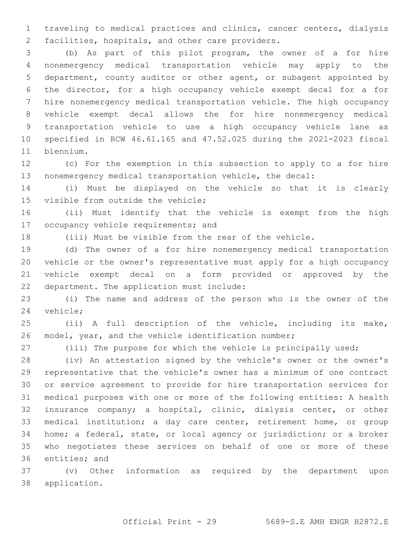traveling to medical practices and clinics, cancer centers, dialysis 2 facilities, hospitals, and other care providers.

 (b) As part of this pilot program, the owner of a for hire nonemergency medical transportation vehicle may apply to the department, county auditor or other agent, or subagent appointed by the director, for a high occupancy vehicle exempt decal for a for hire nonemergency medical transportation vehicle. The high occupancy vehicle exempt decal allows the for hire nonemergency medical transportation vehicle to use a high occupancy vehicle lane as specified in RCW 46.61.165 and 47.52.025 during the 2021-2023 fiscal 11 biennium.

 (c) For the exemption in this subsection to apply to a for hire nonemergency medical transportation vehicle, the decal:

 (i) Must be displayed on the vehicle so that it is clearly 15 visible from outside the vehicle;

 (ii) Must identify that the vehicle is exempt from the high 17 occupancy vehicle requirements; and

(iii) Must be visible from the rear of the vehicle.

 (d) The owner of a for hire nonemergency medical transportation vehicle or the owner's representative must apply for a high occupancy vehicle exempt decal on a form provided or approved by the 22 department. The application must include:

 (i) The name and address of the person who is the owner of the 24 vehicle;

 (ii) A full description of the vehicle, including its make, model, year, and the vehicle identification number;

(iii) The purpose for which the vehicle is principally used;

 (iv) An attestation signed by the vehicle's owner or the owner's representative that the vehicle's owner has a minimum of one contract or service agreement to provide for hire transportation services for medical purposes with one or more of the following entities: A health insurance company; a hospital, clinic, dialysis center, or other medical institution; a day care center, retirement home, or group home; a federal, state, or local agency or jurisdiction; or a broker who negotiates these services on behalf of one or more of these 36 entities; and

 (v) Other information as required by the department upon 38 application.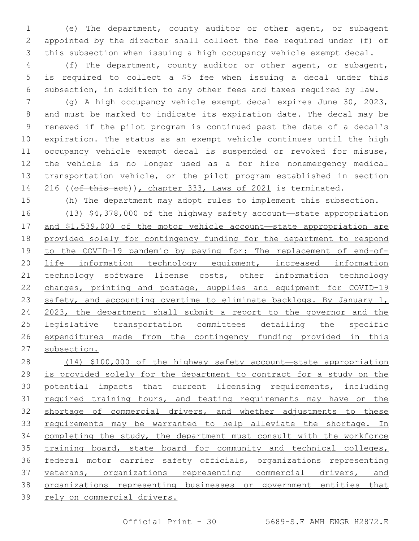(e) The department, county auditor or other agent, or subagent appointed by the director shall collect the fee required under (f) of this subsection when issuing a high occupancy vehicle exempt decal.

 (f) The department, county auditor or other agent, or subagent, is required to collect a \$5 fee when issuing a decal under this subsection, in addition to any other fees and taxes required by law.

 (g) A high occupancy vehicle exempt decal expires June 30, 2023, and must be marked to indicate its expiration date. The decal may be renewed if the pilot program is continued past the date of a decal's expiration. The status as an exempt vehicle continues until the high occupancy vehicle exempt decal is suspended or revoked for misuse, the vehicle is no longer used as a for hire nonemergency medical transportation vehicle, or the pilot program established in section 14 216 ((of this act)), chapter 333, Laws of 2021 is terminated.

(h) The department may adopt rules to implement this subsection.

 (13) \$4,378,000 of the highway safety account—state appropriation and \$1,539,000 of the motor vehicle account—state appropriation are provided solely for contingency funding for the department to respond to the COVID-19 pandemic by paying for: The replacement of end-of-20 life information technology equipment, increased information technology software license costs, other information technology changes, printing and postage, supplies and equipment for COVID-19 23 safety, and accounting overtime to eliminate backlogs. By January 1, 2023, the department shall submit a report to the governor and the legislative transportation committees detailing the specific expenditures made from the contingency funding provided in this subsection.

 (14) \$100,000 of the highway safety account—state appropriation is provided solely for the department to contract for a study on the potential impacts that current licensing requirements, including 31 required training hours, and testing requirements may have on the shortage of commercial drivers, and whether adjustments to these requirements may be warranted to help alleviate the shortage. In 34 completing the study, the department must consult with the workforce 35 training board, state board for community and technical colleges, federal motor carrier safety officials, organizations representing 37 veterans, organizations representing commercial drivers, and organizations representing businesses or government entities that rely on commercial drivers.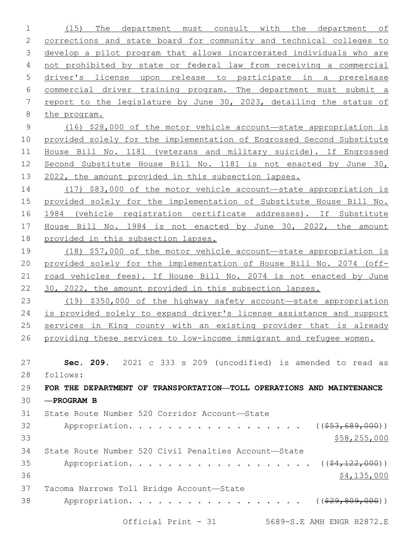(15) The department must consult with the department of corrections and state board for community and technical colleges to develop a pilot program that allows incarcerated individuals who are not prohibited by state or federal law from receiving a commercial driver's license upon release to participate in a prerelease commercial driver training program. The department must submit a report to the legislature by June 30, 2023, detailing the status of the program. (16) \$28,000 of the motor vehicle account—state appropriation is provided solely for the implementation of Engrossed Second Substitute House Bill No. 1181 (veterans and military suicide). If Engrossed Second Substitute House Bill No. 1181 is not enacted by June 30, 2022, the amount provided in this subsection lapses. (17) \$83,000 of the motor vehicle account—state appropriation is provided solely for the implementation of Substitute House Bill No. 16 1984 (vehicle registration certificate addresses). If Substitute House Bill No. 1984 is not enacted by June 30, 2022, the amount provided in this subsection lapses. (18) \$57,000 of the motor vehicle account—state appropriation is provided solely for the implementation of House Bill No. 2074 (off- road vehicles fees). If House Bill No. 2074 is not enacted by June 30, 2022, the amount provided in this subsection lapses. (19) \$350,000 of the highway safety account—state appropriation is provided solely to expand driver's license assistance and support services in King county with an existing provider that is already 26 providing these services to low-income immigrant and refugee women. **Sec. 209.** 2021 c 333 s 209 (uncodified) is amended to read as follows: 28 **FOR THE DEPARTMENT OF TRANSPORTATION—TOLL OPERATIONS AND MAINTENANCE —PROGRAM B** 31 State Route Number 520 Corridor Account-State 32 Appropriation. . . . . . . . . . . . . . . . (  $(\frac{253,689,000}{s})$  \$58,255,000 State Route Number 520 Civil Penalties Account—State 35 Appropriation. . . . . . . . . . . . . . . . . (  $(\frac{24,122,000}{1})$   $$4,135,000$ 37 Tacoma Narrows Toll Bridge Account-State 38 Appropriation. . . . . . . . . . . . . . . . ((\$29,809,000))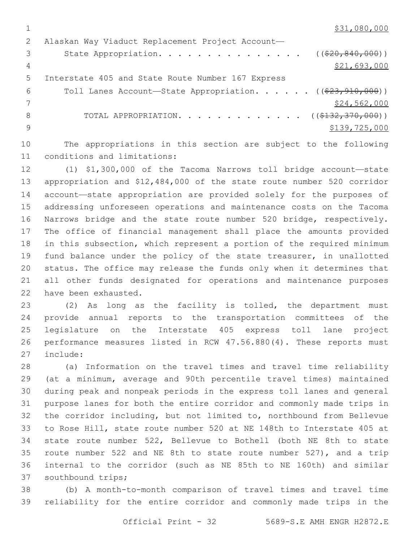\$31,080,000

|    | Alaskan Way Viaduct Replacement Project Account-                                  |
|----|-----------------------------------------------------------------------------------|
|    | State Appropriation. ( $(\frac{20}{620}, \frac{840}{600}))$                       |
| 4  | \$21,693,000                                                                      |
| .5 | Interstate 405 and State Route Number 167 Express                                 |
| 6  | Toll Lanes Account-State Appropriation. $($ $($ $\frac{23}{7}$ , $910$ , $000)$ ) |
|    | \$24,562,000                                                                      |
| 8  | TOTAL APPROPRIATION. ( $(\frac{\xi}{132}, \frac{370}{100})$ )                     |
|    | \$139,725,000                                                                     |
|    |                                                                                   |

 The appropriations in this section are subject to the following 11 conditions and limitations:

 (1) \$1,300,000 of the Tacoma Narrows toll bridge account—state appropriation and \$12,484,000 of the state route number 520 corridor account—state appropriation are provided solely for the purposes of addressing unforeseen operations and maintenance costs on the Tacoma Narrows bridge and the state route number 520 bridge, respectively. The office of financial management shall place the amounts provided in this subsection, which represent a portion of the required minimum fund balance under the policy of the state treasurer, in unallotted status. The office may release the funds only when it determines that all other funds designated for operations and maintenance purposes 22 have been exhausted.

 (2) As long as the facility is tolled, the department must provide annual reports to the transportation committees of the legislature on the Interstate 405 express toll lane project performance measures listed in RCW 47.56.880(4). These reports must 27 include:

 (a) Information on the travel times and travel time reliability (at a minimum, average and 90th percentile travel times) maintained during peak and nonpeak periods in the express toll lanes and general purpose lanes for both the entire corridor and commonly made trips in the corridor including, but not limited to, northbound from Bellevue to Rose Hill, state route number 520 at NE 148th to Interstate 405 at state route number 522, Bellevue to Bothell (both NE 8th to state route number 522 and NE 8th to state route number 527), and a trip internal to the corridor (such as NE 85th to NE 160th) and similar 37 southbound trips;

 (b) A month-to-month comparison of travel times and travel time reliability for the entire corridor and commonly made trips in the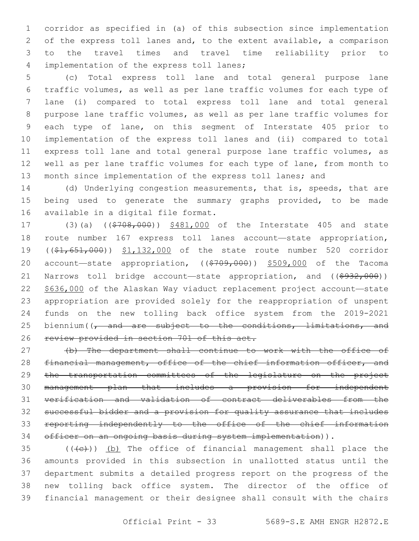corridor as specified in (a) of this subsection since implementation of the express toll lanes and, to the extent available, a comparison to the travel times and travel time reliability prior to 4 implementation of the express toll lanes;

 (c) Total express toll lane and total general purpose lane traffic volumes, as well as per lane traffic volumes for each type of lane (i) compared to total express toll lane and total general purpose lane traffic volumes, as well as per lane traffic volumes for each type of lane, on this segment of Interstate 405 prior to implementation of the express toll lanes and (ii) compared to total express toll lane and total general purpose lane traffic volumes, as well as per lane traffic volumes for each type of lane, from month to 13 month since implementation of the express toll lanes; and

14 (d) Underlying congestion measurements, that is, speeds, that are being used to generate the summary graphs provided, to be made 16 available in a digital file format.

17 (3)(a) ((\$708,000)) \$481,000 of the Interstate 405 and state route number 167 express toll lanes account—state appropriation, 19 ((\$1,651,000)) \$1,132,000 of the state route number 520 corridor 20 account—state appropriation, ((\$709,000)) \$509,000 of the Tacoma 21 Narrows toll bridge account—state appropriation, and  $($  $($ \$932,000)) \$636,000 of the Alaskan Way viaduct replacement project account—state appropriation are provided solely for the reappropriation of unspent funds on the new tolling back office system from the 2019-2021 25 biennium( $\sqrt{7}$  and are subject to the conditions, limitations, and 26 review provided in section 701 of this act.

 (b) The department shall continue to work with the office of 28 financial management, office of the chief information officer, and 29 the transportation committees of the legislature on the project management plan that includes a provision for independent verification and validation of contract deliverables from the successful bidder and a provision for quality assurance that includes reporting independently to the office of the chief information 34 officer on an ongoing basis during system implementation)).

 (( $\left(\frac{1}{10}\right)$ ) (b) The office of financial management shall place the amounts provided in this subsection in unallotted status until the department submits a detailed progress report on the progress of the new tolling back office system. The director of the office of financial management or their designee shall consult with the chairs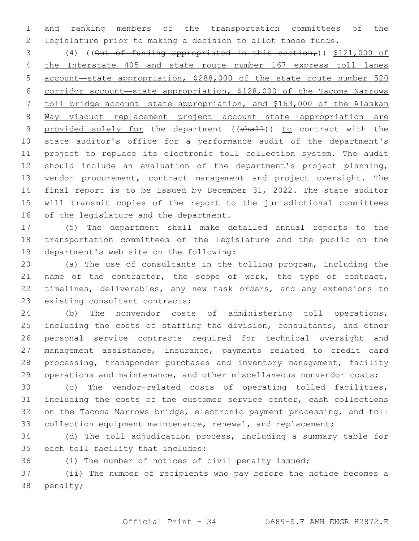and ranking members of the transportation committees of the legislature prior to making a decision to allot these funds.

3 (4) ((Out of funding appropriated in this section,)) \$121,000 of the Interstate 405 and state route number 167 express toll lanes account—state appropriation, \$288,000 of the state route number 520 corridor account—state appropriation, \$128,000 of the Tacoma Narrows toll bridge account—state appropriation, and \$163,000 of the Alaskan Way viaduct replacement project account—state appropriation are 9 provided solely for the department ((shall)) to contract with the state auditor's office for a performance audit of the department's project to replace its electronic toll collection system. The audit should include an evaluation of the department's project planning, vendor procurement, contract management and project oversight. The final report is to be issued by December 31, 2022. The state auditor will transmit copies of the report to the jurisdictional committees 16 of the legislature and the department.

 (5) The department shall make detailed annual reports to the transportation committees of the legislature and the public on the 19 department's web site on the following:

 (a) The use of consultants in the tolling program, including the 21 name of the contractor, the scope of work, the type of contract, 22 timelines, deliverables, any new task orders, and any extensions to 23 existing consultant contracts;

 (b) The nonvendor costs of administering toll operations, including the costs of staffing the division, consultants, and other personal service contracts required for technical oversight and management assistance, insurance, payments related to credit card processing, transponder purchases and inventory management, facility 29 operations and maintenance, and other miscellaneous nonvendor costs;

 (c) The vendor-related costs of operating tolled facilities, including the costs of the customer service center, cash collections on the Tacoma Narrows bridge, electronic payment processing, and toll 33 collection equipment maintenance, renewal, and replacement;

 (d) The toll adjudication process, including a summary table for 35 each toll facility that includes:

(i) The number of notices of civil penalty issued;

 (ii) The number of recipients who pay before the notice becomes a 38 penalty;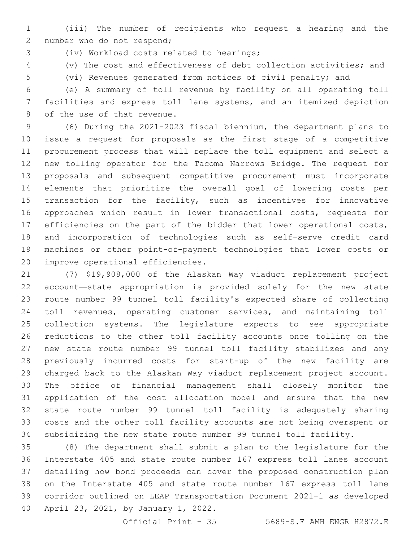(iii) The number of recipients who request a hearing and the 2 number who do not respond;

(iv) Workload costs related to hearings;3

(v) The cost and effectiveness of debt collection activities; and

 (vi) Revenues generated from notices of civil penalty; and (e) A summary of toll revenue by facility on all operating toll facilities and express toll lane systems, and an itemized depiction

8 of the use of that revenue.

 (6) During the 2021-2023 fiscal biennium, the department plans to issue a request for proposals as the first stage of a competitive procurement process that will replace the toll equipment and select a new tolling operator for the Tacoma Narrows Bridge. The request for proposals and subsequent competitive procurement must incorporate elements that prioritize the overall goal of lowering costs per 15 transaction for the facility, such as incentives for innovative approaches which result in lower transactional costs, requests for efficiencies on the part of the bidder that lower operational costs, and incorporation of technologies such as self-serve credit card machines or other point-of-payment technologies that lower costs or 20 improve operational efficiencies.

 (7) \$19,908,000 of the Alaskan Way viaduct replacement project account—state appropriation is provided solely for the new state route number 99 tunnel toll facility's expected share of collecting toll revenues, operating customer services, and maintaining toll collection systems. The legislature expects to see appropriate reductions to the other toll facility accounts once tolling on the new state route number 99 tunnel toll facility stabilizes and any previously incurred costs for start-up of the new facility are charged back to the Alaskan Way viaduct replacement project account. The office of financial management shall closely monitor the application of the cost allocation model and ensure that the new state route number 99 tunnel toll facility is adequately sharing costs and the other toll facility accounts are not being overspent or subsidizing the new state route number 99 tunnel toll facility.

 (8) The department shall submit a plan to the legislature for the Interstate 405 and state route number 167 express toll lanes account detailing how bond proceeds can cover the proposed construction plan on the Interstate 405 and state route number 167 express toll lane corridor outlined on LEAP Transportation Document 2021-1 as developed 40 April 23, 2021, by January 1, 2022.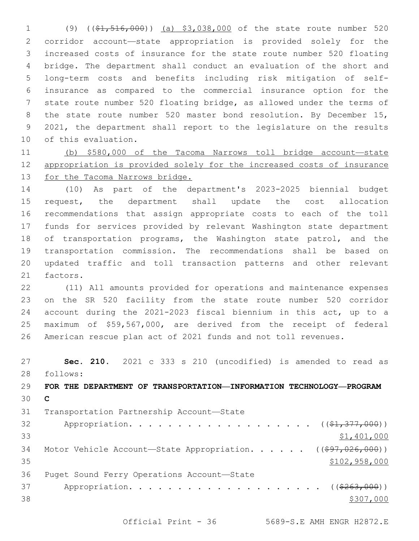(9) ((\$1,516,000)) (a) \$3,038,000 of the state route number 520 corridor account—state appropriation is provided solely for the increased costs of insurance for the state route number 520 floating bridge. The department shall conduct an evaluation of the short and long-term costs and benefits including risk mitigation of self- insurance as compared to the commercial insurance option for the state route number 520 floating bridge, as allowed under the terms of 8 the state route number 520 master bond resolution. By December 15, 2021, the department shall report to the legislature on the results 10 of this evaluation.

 (b) \$580,000 of the Tacoma Narrows toll bridge account—state appropriation is provided solely for the increased costs of insurance for the Tacoma Narrows bridge.

 (10) As part of the department's 2023-2025 biennial budget request, the department shall update the cost allocation recommendations that assign appropriate costs to each of the toll funds for services provided by relevant Washington state department 18 of transportation programs, the Washington state patrol, and the transportation commission. The recommendations shall be based on updated traffic and toll transaction patterns and other relevant 21 factors.

 (11) All amounts provided for operations and maintenance expenses on the SR 520 facility from the state route number 520 corridor account during the 2021-2023 fiscal biennium in this act, up to a maximum of \$59,567,000, are derived from the receipt of federal American rescue plan act of 2021 funds and not toll revenues.

 **Sec. 210.** 2021 c 333 s 210 (uncodified) is amended to read as follows: 28 **FOR THE DEPARTMENT OF TRANSPORTATION—INFORMATION TECHNOLOGY—PROGRAM C**

31 Transportation Partnership Account—State 32 Appropriation. . . . . . . . . . . . . . . . . (  $(\frac{21}{7}377,000)$  ) \$1,401,000 34 Motor Vehicle Account—State Appropriation. . . . . ((\$97,026,000)) 35 \$102,958,000 36 Puget Sound Ferry Operations Account-State 37 Appropriation. . . . . . . . . . . . . . . . . . (  $(*263,000)$  )  $\frac{$307,000}{2}$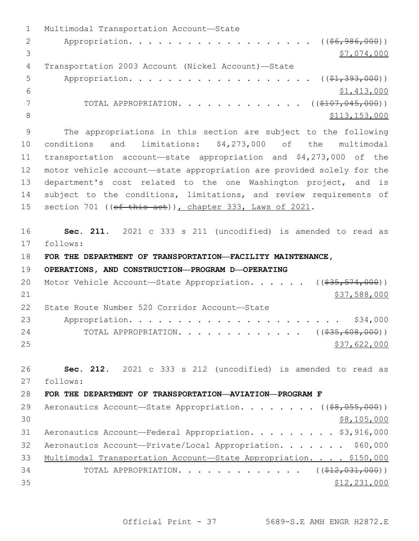1 Multimodal Transportation Account-State 2 Appropriation. . . . . . . . . . . . . . . . . (  $(\frac{26}{196}, \frac{986}{100})$  )  $3 \overline{\phantom{0}}$   $\overline{\phantom{0}}$   $\overline{\phantom{0}}$   $\overline{\phantom{0}}$   $\overline{\phantom{0}}$   $\overline{\phantom{0}}$   $\overline{\phantom{0}}$   $\overline{\phantom{0}}$   $\overline{\phantom{0}}$   $\overline{\phantom{0}}$   $\overline{\phantom{0}}$   $\overline{\phantom{0}}$   $\overline{\phantom{0}}$   $\overline{\phantom{0}}$   $\overline{\phantom{0}}$   $\overline{\phantom{0}}$   $\overline{\phantom{0}}$   $\overline{\phantom{0}}$   $\overline$ Transportation 2003 Account (Nickel Account)—State4 5 Appropriation. . . . . . . . . . . . . . . . . (  $(\frac{1}{2}, \frac{393}{100})$  )  $6$   $$1,413,000$ 7 TOTAL APPROPRIATION. . . . . . . . . . . . . ((\$107,045,000)) 8 \$113,153,000 \$113,153,000 \$113,153,000 \$113,153,000 \$113,153,000 \$113,153,000 \$113,153,000 \$113,153,000 \$12,153,000 \$12,153,000 \$12,153,000 \$12,153,000 \$12,153,000 \$12,153,000 \$12,153,000 \$12,153,000 \$12,153,153,000 \$12, 9 The appropriations in this section are subject to the following 10 conditions and limitations: \$4,273,000 of the multimodal 11 transportation account—state appropriation and \$4,273,000 of the 12 motor vehicle account—state appropriation are provided solely for the 13 department's cost related to the one Washington project, and is 14 subject to the conditions, limitations, and review requirements of 15 section 701 ((of this act)), chapter 333, Laws of 2021. 16 **Sec. 211.** 2021 c 333 s 211 (uncodified) is amended to read as 17 follows: 18 **FOR THE DEPARTMENT OF TRANSPORTATION—FACILITY MAINTENANCE,**  19 **OPERATIONS, AND CONSTRUCTION—PROGRAM D—OPERATING** 20 Motor Vehicle Account—State Appropriation. . . . . ((\$35,574,000))  $21$  \$37,588,000 22 State Route Number 520 Corridor Account-State 23 Appropriation. . . . . . . . . . . . . . . . . . . . . . \$34,000 24 TOTAL APPROPRIATION. . . . . . . . . . . . ((\$35,608,000))  $25$  \$37,622,000 26 **Sec. 212.** 2021 c 333 s 212 (uncodified) is amended to read as follows: 27 28 **FOR THE DEPARTMENT OF TRANSPORTATION—AVIATION—PROGRAM F** 29 Aeronautics Account—State Appropriation. . . . . . . ((\$8,055,000))  $30 \,$  \$8,105,000 31 Aeronautics Account—Federal Appropriation. . . . . . . . \$3,916,000 32 Aeronautics Account—Private/Local Appropriation. . . . . . . \$60,000 33 Multimodal Transportation Account-State Appropriation. . . . \$150,000 34 TOTAL APPROPRIATION. . . . . . . . . . . . . ((\$12,031,000))  $35$  \$12,231,000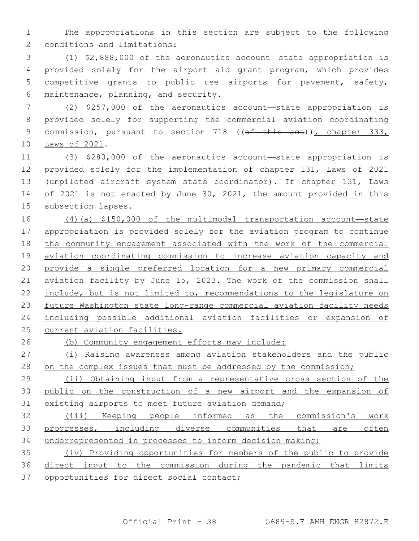The appropriations in this section are subject to the following 2 conditions and limitations:

 (1) \$2,888,000 of the aeronautics account—state appropriation is provided solely for the airport aid grant program, which provides competitive grants to public use airports for pavement, safety, 6 maintenance, planning, and security.

 (2) \$257,000 of the aeronautics account—state appropriation is provided solely for supporting the commercial aviation coordinating 9 commission, pursuant to section 718 ((of this act)), chapter 333, 10 Laws of 2021.

 (3) \$280,000 of the aeronautics account—state appropriation is provided solely for the implementation of chapter 131, Laws of 2021 (unpiloted aircraft system state coordinator). If chapter 131, Laws of 2021 is not enacted by June 30, 2021, the amount provided in this 15 subsection lapses.

 (4)(a) \$150,000 of the multimodal transportation account—state 17 appropriation is provided solely for the aviation program to continue 18 the community engagement associated with the work of the commercial aviation coordinating commission to increase aviation capacity and provide a single preferred location for a new primary commercial aviation facility by June 15, 2023. The work of the commission shall 22 include, but is not limited to, recommendations to the legislature on future Washington state long-range commercial aviation facility needs including possible additional aviation facilities or expansion of current aviation facilities.

(b) Community engagement efforts may include:

 (i) Raising awareness among aviation stakeholders and the public 28 on the complex issues that must be addressed by the commission;

29 (ii) Obtaining input from a representative cross section of the public on the construction of a new airport and the expansion of 31 existing airports to meet future aviation demand;

 (iii) Keeping people informed as the commission's work progresses, including diverse communities that are often underrepresented in processes to inform decision making;

 (iv) Providing opportunities for members of the public to provide direct input to the commission during the pandemic that limits 37 opportunities for direct social contact;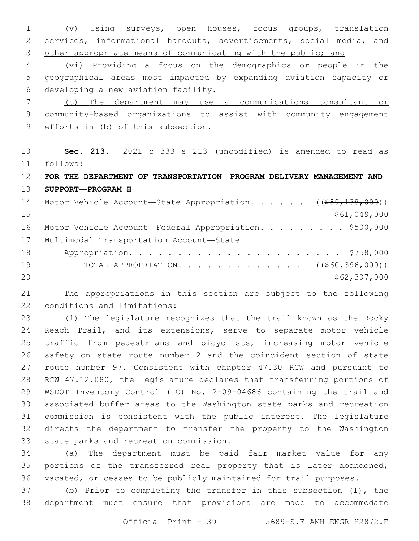(v) Using surveys, open houses, focus groups, translation services, informational handouts, advertisements, social media, and 3 other appropriate means of communicating with the public; and (vi) Providing a focus on the demographics or people in the geographical areas most impacted by expanding aviation capacity or developing a new aviation facility. (c) The department may use a communications consultant or community-based organizations to assist with community engagement efforts in (b) of this subsection. **Sec. 213.** 2021 c 333 s 213 (uncodified) is amended to read as follows: 11 **FOR THE DEPARTMENT OF TRANSPORTATION—PROGRAM DELIVERY MANAGEMENT AND SUPPORT—PROGRAM H** 14 Motor Vehicle Account-State Appropriation. . . . . ((\$59,138,000)) \$61,049,000 16 Motor Vehicle Account—Federal Appropriation. . . . . . . . \$500,000 17 Multimodal Transportation Account-State Appropriation. . . . . . . . . . . . . . . . . . . . . . \$758,000 19 TOTAL APPROPRIATION. . . . . . . . . . . . ((<del>\$60,396,000</del>))  $20 \times 562,307,000$ 

 The appropriations in this section are subject to the following 22 conditions and limitations:

 (1) The legislature recognizes that the trail known as the Rocky Reach Trail, and its extensions, serve to separate motor vehicle traffic from pedestrians and bicyclists, increasing motor vehicle safety on state route number 2 and the coincident section of state route number 97. Consistent with chapter 47.30 RCW and pursuant to RCW 47.12.080, the legislature declares that transferring portions of WSDOT Inventory Control (IC) No. 2-09-04686 containing the trail and associated buffer areas to the Washington state parks and recreation commission is consistent with the public interest. The legislature directs the department to transfer the property to the Washington 33 state parks and recreation commission.

 (a) The department must be paid fair market value for any portions of the transferred real property that is later abandoned, vacated, or ceases to be publicly maintained for trail purposes.

 (b) Prior to completing the transfer in this subsection (1), the department must ensure that provisions are made to accommodate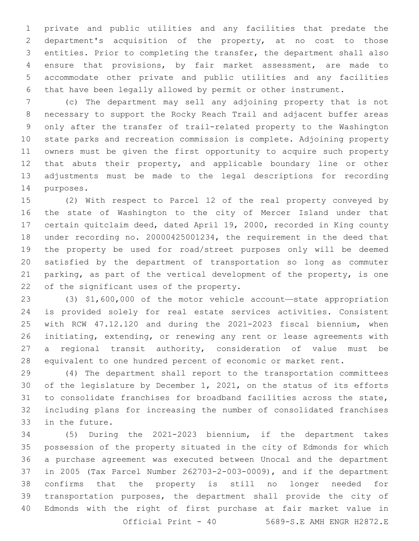private and public utilities and any facilities that predate the department's acquisition of the property, at no cost to those entities. Prior to completing the transfer, the department shall also ensure that provisions, by fair market assessment, are made to accommodate other private and public utilities and any facilities that have been legally allowed by permit or other instrument.

 (c) The department may sell any adjoining property that is not necessary to support the Rocky Reach Trail and adjacent buffer areas only after the transfer of trail-related property to the Washington state parks and recreation commission is complete. Adjoining property owners must be given the first opportunity to acquire such property that abuts their property, and applicable boundary line or other adjustments must be made to the legal descriptions for recording 14 purposes.

 (2) With respect to Parcel 12 of the real property conveyed by the state of Washington to the city of Mercer Island under that certain quitclaim deed, dated April 19, 2000, recorded in King county under recording no. 20000425001234, the requirement in the deed that the property be used for road/street purposes only will be deemed satisfied by the department of transportation so long as commuter parking, as part of the vertical development of the property, is one 22 of the significant uses of the property.

 (3) \$1,600,000 of the motor vehicle account—state appropriation is provided solely for real estate services activities. Consistent with RCW 47.12.120 and during the 2021-2023 fiscal biennium, when initiating, extending, or renewing any rent or lease agreements with a regional transit authority, consideration of value must be equivalent to one hundred percent of economic or market rent.

 (4) The department shall report to the transportation committees of the legislature by December 1, 2021, on the status of its efforts to consolidate franchises for broadband facilities across the state, including plans for increasing the number of consolidated franchises 33 in the future.

 (5) During the 2021-2023 biennium, if the department takes possession of the property situated in the city of Edmonds for which a purchase agreement was executed between Unocal and the department in 2005 (Tax Parcel Number 262703-2-003-0009), and if the department confirms that the property is still no longer needed for transportation purposes, the department shall provide the city of Edmonds with the right of first purchase at fair market value in Official Print - 40 5689-S.E AMH ENGR H2872.E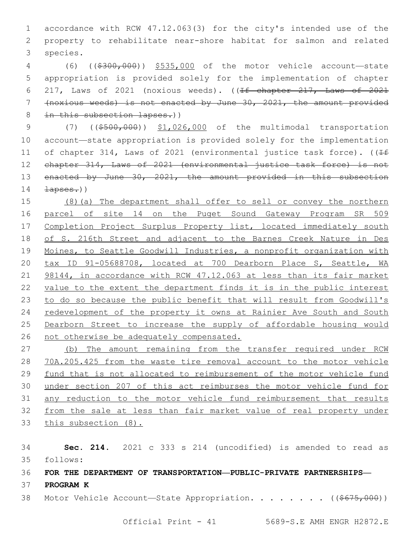accordance with RCW 47.12.063(3) for the city's intended use of the property to rehabilitate near-shore habitat for salmon and related 3 species.

 (6) ((\$300,000)) \$535,000 of the motor vehicle account—state appropriation is provided solely for the implementation of chapter 217, Laws of 2021 (noxious weeds). ((If chapter 217, Laws of 2021 (noxious weeds) is not enacted by June 30, 2021, the amount provided 8 in this subsection lapses.))

9 (7) ((\$500,000)) \$1,026,000 of the multimodal transportation account—state appropriation is provided solely for the implementation 11 of chapter 314, Laws of 2021 (environmental justice task force). ( $\sqrt{1+f}$ 12 chapter 314, Laws of 2021 (environmental justice task force) is not 13 enacted by June 30, 2021, the amount provided in this subsection  $\frac{1}{200}$ 

 (8)(a) The department shall offer to sell or convey the northern parcel of site 14 on the Puget Sound Gateway Program SR 509 17 Completion Project Surplus Property list, located immediately south of S. 216th Street and adjacent to the Barnes Creek Nature in Des Moines, to Seattle Goodwill Industries, a nonprofit organization with tax ID 91-05688708, located at 700 Dearborn Place S, Seattle, WA 21 98144, in accordance with RCW 47.12.063 at less than its fair market value to the extent the department finds it is in the public interest to do so because the public benefit that will result from Goodwill's redevelopment of the property it owns at Rainier Ave South and South Dearborn Street to increase the supply of affordable housing would not otherwise be adequately compensated.

 (b) The amount remaining from the transfer required under RCW 70A.205.425 from the waste tire removal account to the motor vehicle fund that is not allocated to reimbursement of the motor vehicle fund under section 207 of this act reimburses the motor vehicle fund for any reduction to the motor vehicle fund reimbursement that results from the sale at less than fair market value of real property under this subsection (8).

 **Sec. 214.** 2021 c 333 s 214 (uncodified) is amended to read as follows: 35

**FOR THE DEPARTMENT OF TRANSPORTATION—PUBLIC-PRIVATE PARTNERSHIPS—**

- **PROGRAM K**
- 38 Motor Vehicle Account—State Appropriation. . . . . . . ((\$675,000))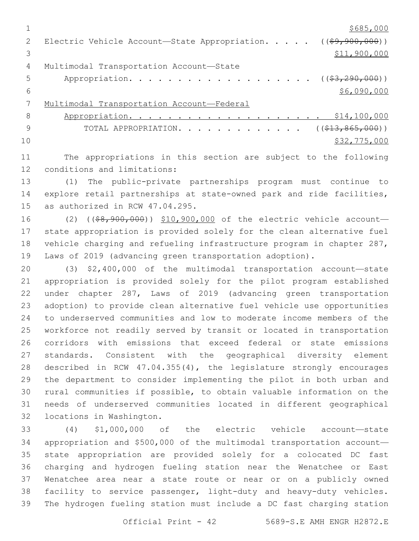$1 \over $685,000$ 2 Electric Vehicle Account—State Appropriation. . . . . ((\$9,900,000))  $3 \hspace{2.5cm} \text{S11,} \text{900,} \text{000}$ 4 Multimodal Transportation Account-State 5 Appropriation. . . . . . . . . . . . . . . . . (  $(\frac{23,290,000)}{2}$  )  $$6,090,000$  Multimodal Transportation Account—Federal 8 Appropriation. . . . . . . . . . . . . . . . . . \$14,100,000 9 TOTAL APPROPRIATION. . . . . . . . . . . . . ((\$13,865,000))  $10 \hspace{2.5cm}$  \$32,775,000

 The appropriations in this section are subject to the following 12 conditions and limitations:

 (1) The public-private partnerships program must continue to explore retail partnerships at state-owned park and ride facilities, 15 as authorized in RCW  $47.04.295$ .

16 (2) ((\$8,900,000)) \$10,900,000 of the electric vehicle account- state appropriation is provided solely for the clean alternative fuel vehicle charging and refueling infrastructure program in chapter 287, Laws of 2019 (advancing green transportation adoption).

 (3) \$2,400,000 of the multimodal transportation account—state appropriation is provided solely for the pilot program established under chapter 287, Laws of 2019 (advancing green transportation adoption) to provide clean alternative fuel vehicle use opportunities to underserved communities and low to moderate income members of the workforce not readily served by transit or located in transportation corridors with emissions that exceed federal or state emissions standards. Consistent with the geographical diversity element described in RCW 47.04.355(4), the legislature strongly encourages the department to consider implementing the pilot in both urban and rural communities if possible, to obtain valuable information on the needs of underserved communities located in different geographical 32 locations in Washington.

 (4) \$1,000,000 of the electric vehicle account—state appropriation and \$500,000 of the multimodal transportation account— state appropriation are provided solely for a colocated DC fast charging and hydrogen fueling station near the Wenatchee or East Wenatchee area near a state route or near or on a publicly owned facility to service passenger, light-duty and heavy-duty vehicles. The hydrogen fueling station must include a DC fast charging station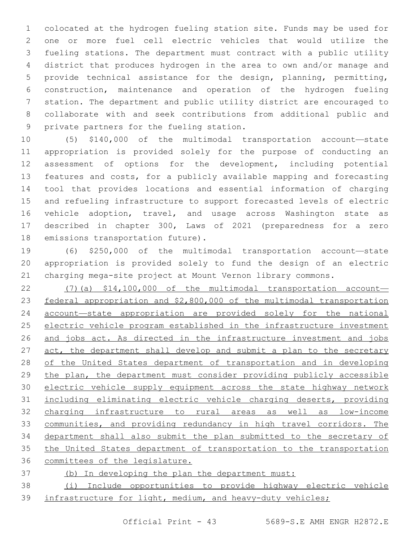colocated at the hydrogen fueling station site. Funds may be used for one or more fuel cell electric vehicles that would utilize the fueling stations. The department must contract with a public utility district that produces hydrogen in the area to own and/or manage and provide technical assistance for the design, planning, permitting, construction, maintenance and operation of the hydrogen fueling station. The department and public utility district are encouraged to collaborate with and seek contributions from additional public and 9 private partners for the fueling station.

 (5) \$140,000 of the multimodal transportation account—state appropriation is provided solely for the purpose of conducting an assessment of options for the development, including potential features and costs, for a publicly available mapping and forecasting tool that provides locations and essential information of charging and refueling infrastructure to support forecasted levels of electric vehicle adoption, travel, and usage across Washington state as described in chapter 300, Laws of 2021 (preparedness for a zero 18 emissions transportation future).

 (6) \$250,000 of the multimodal transportation account—state appropriation is provided solely to fund the design of an electric charging mega-site project at Mount Vernon library commons.

 (7)(a) \$14,100,000 of the multimodal transportation account— federal appropriation and \$2,800,000 of the multimodal transportation account—state appropriation are provided solely for the national electric vehicle program established in the infrastructure investment 26 and jobs act. As directed in the infrastructure investment and jobs act, the department shall develop and submit a plan to the secretary 28 of the United States department of transportation and in developing 29 the plan, the department must consider providing publicly accessible electric vehicle supply equipment across the state highway network including eliminating electric vehicle charging deserts, providing charging infrastructure to rural areas as well as low-income communities, and providing redundancy in high travel corridors. The department shall also submit the plan submitted to the secretary of 35 the United States department of transportation to the transportation committees of the legislature.

## (b) In developing the plan the department must:

 (i) Include opportunities to provide highway electric vehicle 39 infrastructure for light, medium, and heavy-duty vehicles;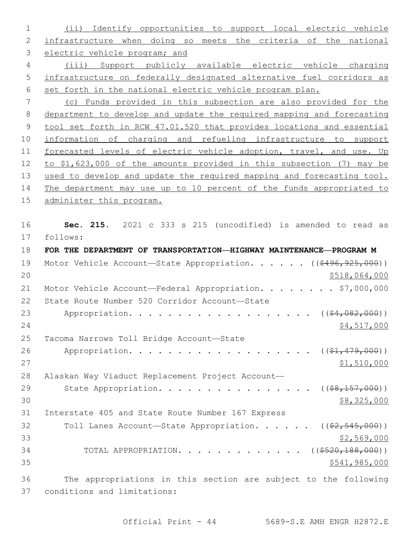1 (ii) Identify opportunities to support local electric vehicle 2 infrastructure when doing so meets the criteria of the national 3 electric vehicle program; and 4 (iii) Support publicly available electric vehicle charging 5 infrastructure on federally designated alternative fuel corridors as 6 set forth in the national electric vehicle program plan. 7 (c) Funds provided in this subsection are also provided for the 8 department to develop and update the required mapping and forecasting 9 tool set forth in RCW 47.01.520 that provides locations and essential 10 information of charging and refueling infrastructure to support 11 forecasted levels of electric vehicle adoption, travel, and use. Up 12 to \$1,623,000 of the amounts provided in this subsection (7) may be 13 used to develop and update the required mapping and forecasting tool. 14 The department may use up to 10 percent of the funds appropriated to 15 administer this program. 16 **Sec. 215.** 2021 c 333 s 215 (uncodified) is amended to read as 17 follows: 18 **FOR THE DEPARTMENT OF TRANSPORTATION—HIGHWAY MAINTENANCE—PROGRAM M** 19 Motor Vehicle Account—State Appropriation. . . . . ((\$496,925,000)) 20 \$518,064,000 21 Motor Vehicle Account—Federal Appropriation. . . . . . . \$7,000,000 22 State Route Number 520 Corridor Account-State 23 Appropriation. . . . . . . . . . . . . . . . . (  $(\frac{64,082,000)}{}$  $24$  \$4,517,000 25 Tacoma Narrows Toll Bridge Account-State 26 Appropriation. . . . . . . . . . . . . . . . . (  $(\frac{21}{21}, \frac{479}{200})$  )  $27$  \$1,510,000 28 Alaskan Way Viaduct Replacement Project Account— 29 State Appropriation. . . . . . . . . . . . . . . ((<del>\$8,157,000</del>))  $30 \,$  \$8,325,000 31 Interstate 405 and State Route Number 167 Express 32 Toll Lanes Account—State Appropriation. . . . . ((\$2,545,000))  $33$  \$2,569,000 34 TOTAL APPROPRIATION. . . . . . . . . . . . ((\$520,188,000))  $35$  \$541,985,000 36 The appropriations in this section are subject to the following 37 conditions and limitations: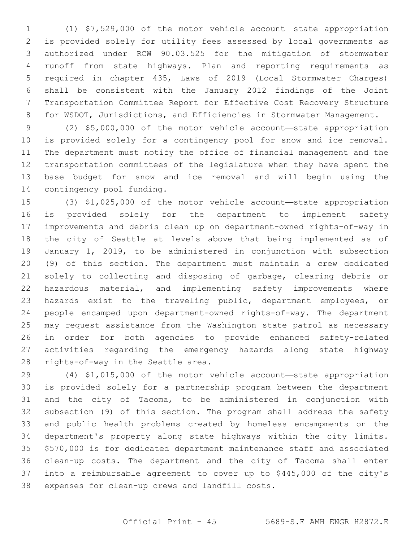(1) \$7,529,000 of the motor vehicle account—state appropriation is provided solely for utility fees assessed by local governments as authorized under RCW 90.03.525 for the mitigation of stormwater runoff from state highways. Plan and reporting requirements as required in chapter 435, Laws of 2019 (Local Stormwater Charges) shall be consistent with the January 2012 findings of the Joint Transportation Committee Report for Effective Cost Recovery Structure for WSDOT, Jurisdictions, and Efficiencies in Stormwater Management.

 (2) \$5,000,000 of the motor vehicle account—state appropriation is provided solely for a contingency pool for snow and ice removal. The department must notify the office of financial management and the transportation committees of the legislature when they have spent the base budget for snow and ice removal and will begin using the 14 contingency pool funding.

 (3) \$1,025,000 of the motor vehicle account—state appropriation is provided solely for the department to implement safety improvements and debris clean up on department-owned rights-of-way in the city of Seattle at levels above that being implemented as of January 1, 2019, to be administered in conjunction with subsection (9) of this section. The department must maintain a crew dedicated solely to collecting and disposing of garbage, clearing debris or 22 hazardous material, and implementing safety improvements where hazards exist to the traveling public, department employees, or people encamped upon department-owned rights-of-way. The department may request assistance from the Washington state patrol as necessary in order for both agencies to provide enhanced safety-related activities regarding the emergency hazards along state highway 28 rights-of-way in the Seattle area.

 (4) \$1,015,000 of the motor vehicle account—state appropriation is provided solely for a partnership program between the department and the city of Tacoma, to be administered in conjunction with subsection (9) of this section. The program shall address the safety and public health problems created by homeless encampments on the department's property along state highways within the city limits. \$570,000 is for dedicated department maintenance staff and associated clean-up costs. The department and the city of Tacoma shall enter into a reimbursable agreement to cover up to \$445,000 of the city's 38 expenses for clean-up crews and landfill costs.

## Official Print - 45 5689-S.E AMH ENGR H2872.E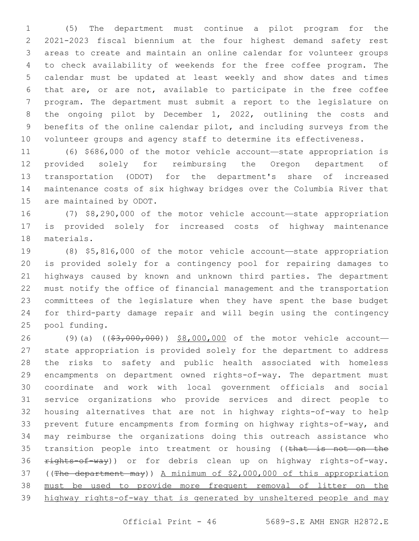(5) The department must continue a pilot program for the 2021-2023 fiscal biennium at the four highest demand safety rest areas to create and maintain an online calendar for volunteer groups to check availability of weekends for the free coffee program. The calendar must be updated at least weekly and show dates and times that are, or are not, available to participate in the free coffee program. The department must submit a report to the legislature on the ongoing pilot by December 1, 2022, outlining the costs and benefits of the online calendar pilot, and including surveys from the volunteer groups and agency staff to determine its effectiveness.

 (6) \$686,000 of the motor vehicle account—state appropriation is provided solely for reimbursing the Oregon department of transportation (ODOT) for the department's share of increased maintenance costs of six highway bridges over the Columbia River that 15 are maintained by ODOT.

 (7) \$8,290,000 of the motor vehicle account—state appropriation is provided solely for increased costs of highway maintenance 18 materials.

 (8) \$5,816,000 of the motor vehicle account—state appropriation is provided solely for a contingency pool for repairing damages to highways caused by known and unknown third parties. The department must notify the office of financial management and the transportation committees of the legislature when they have spent the base budget for third-party damage repair and will begin using the contingency 25 pool funding.

26 (9)(a) ((\$3,000,000)) \$8,000,000 of the motor vehicle account- state appropriation is provided solely for the department to address the risks to safety and public health associated with homeless encampments on department owned rights-of-way. The department must coordinate and work with local government officials and social service organizations who provide services and direct people to housing alternatives that are not in highway rights-of-way to help prevent future encampments from forming on highway rights-of-way, and may reimburse the organizations doing this outreach assistance who 35 transition people into treatment or housing ((that is not on the 36 rights-of-way)) or for debris clean up on highway rights-of-way. ((The department may)) A minimum of \$2,000,000 of this appropriation must be used to provide more frequent removal of litter on the highway rights-of-way that is generated by unsheltered people and may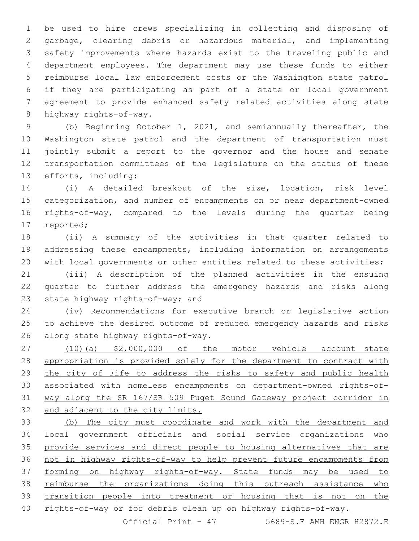1 be used to hire crews specializing in collecting and disposing of garbage, clearing debris or hazardous material, and implementing safety improvements where hazards exist to the traveling public and department employees. The department may use these funds to either reimburse local law enforcement costs or the Washington state patrol if they are participating as part of a state or local government agreement to provide enhanced safety related activities along state 8 highway rights-of-way.

 (b) Beginning October 1, 2021, and semiannually thereafter, the Washington state patrol and the department of transportation must jointly submit a report to the governor and the house and senate transportation committees of the legislature on the status of these 13 efforts, including:

 (i) A detailed breakout of the size, location, risk level categorization, and number of encampments on or near department-owned rights-of-way, compared to the levels during the quarter being 17 reported;

 (ii) A summary of the activities in that quarter related to addressing these encampments, including information on arrangements 20 with local governments or other entities related to these activities;

 (iii) A description of the planned activities in the ensuing quarter to further address the emergency hazards and risks along 23 state highway rights-of-way; and

 (iv) Recommendations for executive branch or legislative action to achieve the desired outcome of reduced emergency hazards and risks 26 along state highway rights-of-way.

 (10)(a) \$2,000,000 of the motor vehicle account—state appropriation is provided solely for the department to contract with 29 the city of Fife to address the risks to safety and public health associated with homeless encampments on department-owned rights-of- way along the SR 167/SR 509 Puget Sound Gateway project corridor in and adjacent to the city limits.

 (b) The city must coordinate and work with the department and local government officials and social service organizations who 35 provide services and direct people to housing alternatives that are not in highway rights-of-way to help prevent future encampments from 37 forming on highway rights-of-way. State funds may be used to reimburse the organizations doing this outreach assistance who transition people into treatment or housing that is not on the rights-of-way or for debris clean up on highway rights-of-way.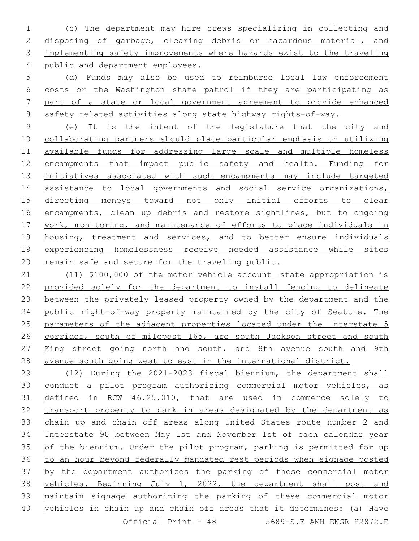(c) The department may hire crews specializing in collecting and disposing of garbage, clearing debris or hazardous material, and implementing safety improvements where hazards exist to the traveling 4 public and department employees.

 (d) Funds may also be used to reimburse local law enforcement costs or the Washington state patrol if they are participating as part of a state or local government agreement to provide enhanced 8 safety related activities along state highway rights-of-way.

 (e) It is the intent of the legislature that the city and collaborating partners should place particular emphasis on utilizing available funds for addressing large scale and multiple homeless encampments that impact public safety and health. Funding for initiatives associated with such encampments may include targeted 14 assistance to local governments and social service organizations, directing moneys toward not only initial efforts to clear 16 encampments, clean up debris and restore sightlines, but to ongoing work, monitoring, and maintenance of efforts to place individuals in housing, treatment and services, and to better ensure individuals experiencing homelessness receive needed assistance while sites remain safe and secure for the traveling public.

 (11) \$100,000 of the motor vehicle account—state appropriation is provided solely for the department to install fencing to delineate between the privately leased property owned by the department and the public right-of-way property maintained by the city of Seattle. The parameters of the adjacent properties located under the Interstate 5 26 corridor, south of milepost 165, are south Jackson street and south 27 King street going north and south, and 8th avenue south and 9th avenue south going west to east in the international district.

 (12) During the 2021-2023 fiscal biennium, the department shall conduct a pilot program authorizing commercial motor vehicles, as defined in RCW 46.25.010, that are used in commerce solely to transport property to park in areas designated by the department as chain up and chain off areas along United States route number 2 and Interstate 90 between May 1st and November 1st of each calendar year of the biennium. Under the pilot program, parking is permitted for up to an hour beyond federally mandated rest periods when signage posted by the department authorizes the parking of these commercial motor vehicles. Beginning July 1, 2022, the department shall post and maintain signage authorizing the parking of these commercial motor vehicles in chain up and chain off areas that it determines: (a) Have Official Print  $-48$  5689-S.E. AMH ENGR H2872.E.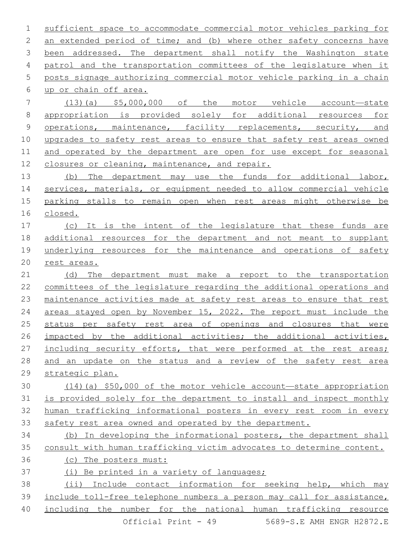sufficient space to accommodate commercial motor vehicles parking for 2 an extended period of time; and (b) where other safety concerns have been addressed. The department shall notify the Washington state patrol and the transportation committees of the legislature when it posts signage authorizing commercial motor vehicle parking in a chain up or chain off area.6 (13)(a) \$5,000,000 of the motor vehicle account—state appropriation is provided solely for additional resources for operations, maintenance, facility replacements, security, and upgrades to safety rest areas to ensure that safety rest areas owned and operated by the department are open for use except for seasonal

closures or cleaning, maintenance, and repair.

13 (b) The department may use the funds for additional labor, services, materials, or equipment needed to allow commercial vehicle parking stalls to remain open when rest areas might otherwise be closed.

 (c) It is the intent of the legislature that these funds are additional resources for the department and not meant to supplant underlying resources for the maintenance and operations of safety rest areas.

 (d) The department must make a report to the transportation committees of the legislature regarding the additional operations and maintenance activities made at safety rest areas to ensure that rest areas stayed open by November 15, 2022. The report must include the status per safety rest area of openings and closures that were impacted by the additional activities; the additional activities, 27 including security efforts, that were performed at the rest areas; and an update on the status and a review of the safety rest area strategic plan.

 (14)(a) \$50,000 of the motor vehicle account—state appropriation is provided solely for the department to install and inspect monthly human trafficking informational posters in every rest room in every safety rest area owned and operated by the department.

 (b) In developing the informational posters, the department shall consult with human trafficking victim advocates to determine content.

(c) The posters must:

(i) Be printed in a variety of languages;

 (ii) Include contact information for seeking help, which may include toll-free telephone numbers a person may call for assistance, including the number for the national human trafficking resource Official Print - 49 5689-S.E AMH ENGR H2872.E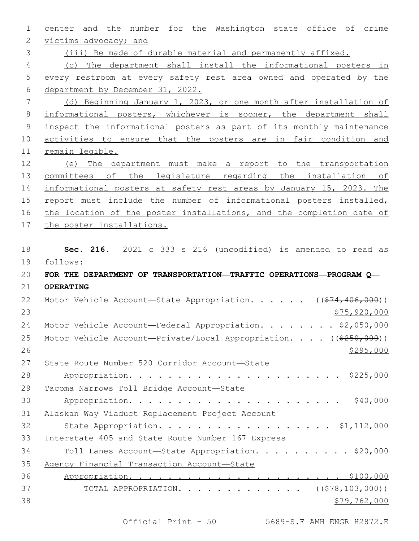center and the number for the Washington state office of crime 2 victims advocacy; and (iii) Be made of durable material and permanently affixed. (c) The department shall install the informational posters in every restroom at every safety rest area owned and operated by the department by December 31, 2022. (d) Beginning January 1, 2023, or one month after installation of informational posters, whichever is sooner, the department shall inspect the informational posters as part of its monthly maintenance activities to ensure that the posters are in fair condition and remain legible. (e) The department must make a report to the transportation 13 committees of the legislature regarding the installation of informational posters at safety rest areas by January 15, 2023. The report must include the number of informational posters installed, 16 the location of the poster installations, and the completion date of the poster installations. **Sec. 216.** 2021 c 333 s 216 (uncodified) is amended to read as follows: 19 **FOR THE DEPARTMENT OF TRANSPORTATION—TRAFFIC OPERATIONS—PROGRAM Q— OPERATING** 22 Motor Vehicle Account—State Appropriation. . . . . ((\$74,406,000)) \$75,920,000 24 Motor Vehicle Account—Federal Appropriation. . . . . . . \$2,050,000 25 Motor Vehicle Account—Private/Local Appropriation. . . . ((\$250,000)) 27 State Route Number 520 Corridor Account-State Appropriation. . . . . . . . . . . . . . . . . . . . . . \$225,000 29 Tacoma Narrows Toll Bridge Account-State Appropriation. . . . . . . . . . . . . . . . . . . . . . \$40,000 Alaskan Way Viaduct Replacement Project Account— 32 State Appropriation. . . . . . . . . . . . . . . . . \$1,112,000 33 Interstate 405 and State Route Number 167 Express 34 Toll Lanes Account-State Appropriation. . . . . . . . . \$20,000 Agency Financial Transaction Account—State Appropriation. . . . . . . . . . . . . . . . . . . . . . \$100,000 37 TOTAL APPROPRIATION. . . . . . . . . . . . . ((\$78,103,000))  $$79,762,000$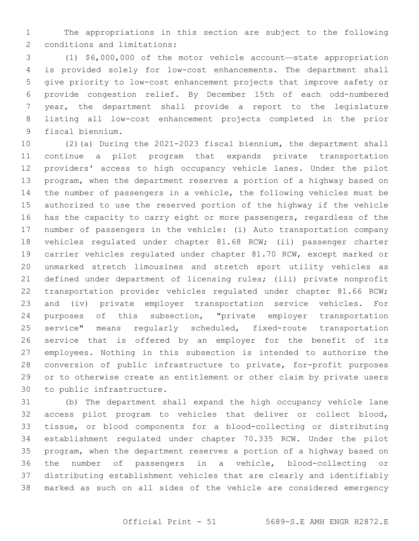The appropriations in this section are subject to the following 2 conditions and limitations:

 (1) \$6,000,000 of the motor vehicle account—state appropriation is provided solely for low-cost enhancements. The department shall give priority to low-cost enhancement projects that improve safety or provide congestion relief. By December 15th of each odd-numbered year, the department shall provide a report to the legislature listing all low-cost enhancement projects completed in the prior 9 fiscal biennium.

 (2)(a) During the 2021-2023 fiscal biennium, the department shall continue a pilot program that expands private transportation providers' access to high occupancy vehicle lanes. Under the pilot program, when the department reserves a portion of a highway based on the number of passengers in a vehicle, the following vehicles must be authorized to use the reserved portion of the highway if the vehicle has the capacity to carry eight or more passengers, regardless of the number of passengers in the vehicle: (i) Auto transportation company vehicles regulated under chapter 81.68 RCW; (ii) passenger charter carrier vehicles regulated under chapter 81.70 RCW, except marked or unmarked stretch limousines and stretch sport utility vehicles as defined under department of licensing rules; (iii) private nonprofit 22 transportation provider vehicles regulated under chapter 81.66 RCW; and (iv) private employer transportation service vehicles. For purposes of this subsection, "private employer transportation service" means regularly scheduled, fixed-route transportation service that is offered by an employer for the benefit of its employees. Nothing in this subsection is intended to authorize the conversion of public infrastructure to private, for-profit purposes or to otherwise create an entitlement or other claim by private users 30 to public infrastructure.

 (b) The department shall expand the high occupancy vehicle lane access pilot program to vehicles that deliver or collect blood, tissue, or blood components for a blood-collecting or distributing establishment regulated under chapter 70.335 RCW. Under the pilot program, when the department reserves a portion of a highway based on the number of passengers in a vehicle, blood-collecting or distributing establishment vehicles that are clearly and identifiably marked as such on all sides of the vehicle are considered emergency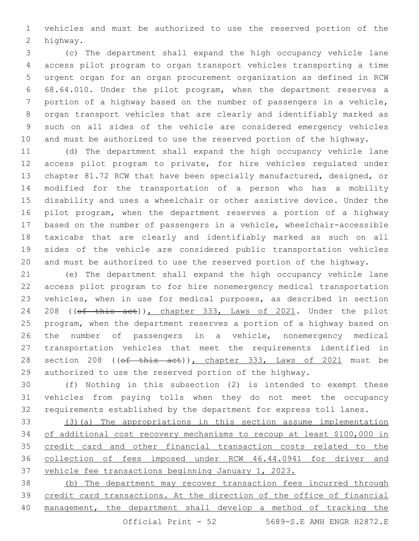vehicles and must be authorized to use the reserved portion of the 2 highway.

 (c) The department shall expand the high occupancy vehicle lane access pilot program to organ transport vehicles transporting a time urgent organ for an organ procurement organization as defined in RCW 68.64.010. Under the pilot program, when the department reserves a portion of a highway based on the number of passengers in a vehicle, organ transport vehicles that are clearly and identifiably marked as such on all sides of the vehicle are considered emergency vehicles and must be authorized to use the reserved portion of the highway.

 (d) The department shall expand the high occupancy vehicle lane access pilot program to private, for hire vehicles regulated under chapter 81.72 RCW that have been specially manufactured, designed, or modified for the transportation of a person who has a mobility disability and uses a wheelchair or other assistive device. Under the pilot program, when the department reserves a portion of a highway based on the number of passengers in a vehicle, wheelchair-accessible taxicabs that are clearly and identifiably marked as such on all sides of the vehicle are considered public transportation vehicles and must be authorized to use the reserved portion of the highway.

 (e) The department shall expand the high occupancy vehicle lane access pilot program to for hire nonemergency medical transportation vehicles, when in use for medical purposes, as described in section 24 208 ((of this act)), chapter 333, Laws of 2021. Under the pilot program, when the department reserves a portion of a highway based on the number of passengers in a vehicle, nonemergency medical transportation vehicles that meet the requirements identified in 28 section 208 ((of this act)), chapter 333, Laws of 2021 must be authorized to use the reserved portion of the highway.

 (f) Nothing in this subsection (2) is intended to exempt these vehicles from paying tolls when they do not meet the occupancy requirements established by the department for express toll lanes.

 (3)(a) The appropriations in this section assume implementation of additional cost recovery mechanisms to recoup at least \$100,000 in 35 credit card and other financial transaction costs related to the collection of fees imposed under RCW 46.44.0941 for driver and vehicle fee transactions beginning January 1, 2023.

 (b) The department may recover transaction fees incurred through 39 credit card transactions. At the direction of the office of financial management, the department shall develop a method of tracking the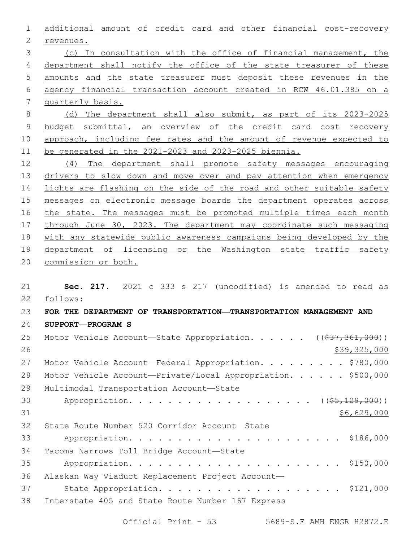additional amount of credit card and other financial cost-recovery 2 revenues. (c) In consultation with the office of financial management, the department shall notify the office of the state treasurer of these amounts and the state treasurer must deposit these revenues in the agency financial transaction account created in RCW 46.01.385 on a quarterly basis. (d) The department shall also submit, as part of its 2023-2025 budget submittal, an overview of the credit card cost recovery 10 approach, including fee rates and the amount of revenue expected to be generated in the 2021-2023 and 2023-2025 biennia. (4) The department shall promote safety messages encouraging 13 drivers to slow down and move over and pay attention when emergency

14 lights are flashing on the side of the road and other suitable safety 15 messages on electronic message boards the department operates across 16 the state. The messages must be promoted multiple times each month 17 through June 30, 2023. The department may coordinate such messaging 18 with any statewide public awareness campaigns being developed by the 19 department of licensing or the Washington state traffic safety 20 commission or both.

21 **Sec. 217.** 2021 c 333 s 217 (uncodified) is amended to read as follows: 22 23 **FOR THE DEPARTMENT OF TRANSPORTATION—TRANSPORTATION MANAGEMENT AND**  24 **SUPPORT—PROGRAM S** 25 Motor Vehicle Account-State Appropriation. . . . . ((\$37,361,000)) 26 \$39,325,000 27 Motor Vehicle Account—Federal Appropriation. . . . . . . . \$780,000 28 Motor Vehicle Account-Private/Local Appropriation. . . . . \$500,000 29 Multimodal Transportation Account-State 30 Appropriation. . . . . . . . . . . . . . . . . (  $(\frac{25}{129,000})$  )  $31$  \$6,629,000 32 State Route Number 520 Corridor Account-State 33 Appropriation. . . . . . . . . . . . . . . . . . . . . . \$186,000 34 Tacoma Narrows Toll Bridge Account-State 35 Appropriation. . . . . . . . . . . . . . . . . . . . . . \$150,000 36 Alaskan Way Viaduct Replacement Project Account— 37 State Appropriation. . . . . . . . . . . . . . . . . . \$121,000 38 Interstate 405 and State Route Number 167 Express

Official Print - 53 5689-S.E AMH ENGR H2872.E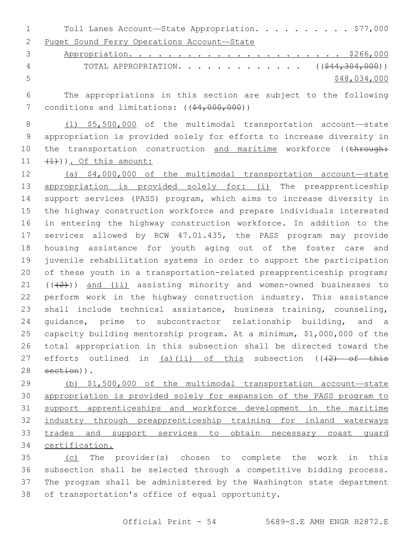1 Toll Lanes Account-State Appropriation. . . . . . . . . \$77,000 Puget Sound Ferry Operations Account—State

 Appropriation. . . . . . . . . . . . . . . . . . . . . . \$266,000 4 TOTAL APPROPRIATION. . . . . . . . . . . . ((<del>\$44,304,000</del>)) \$48,034,000

 The appropriations in this section are subject to the following 7 conditions and limitations: ((\$4,000,000))

 (1) \$5,500,000 of the multimodal transportation account—state appropriation is provided solely for efforts to increase diversity in 10 the transportation construction and maritime workforce ((through:  $11 \quad \text{(1+)}$ )). Of this amount:

 (a) \$4,000,000 of the multimodal transportation account—state 13 appropriation is provided solely for: (i) The preapprenticeship support services (PASS) program, which aims to increase diversity in the highway construction workforce and prepare individuals interested in entering the highway construction workforce. In addition to the services allowed by RCW 47.01.435, the PASS program may provide housing assistance for youth aging out of the foster care and juvenile rehabilitation systems in order to support the participation 20 of these youth in a transportation-related preapprenticeship program;  $((+2))$  and  $(i)$  assisting minority and women-owned businesses to perform work in the highway construction industry. This assistance shall include technical assistance, business training, counseling, guidance, prime to subcontractor relationship building, and a capacity building mentorship program. At a minimum, \$1,000,000 of the total appropriation in this subsection shall be directed toward the 27 efforts outlined in (a)(ii) of this subsection  $((+2)$  of this section)).

 (b) \$1,500,000 of the multimodal transportation account—state appropriation is provided solely for expansion of the PASS program to support apprenticeships and workforce development in the maritime 32 industry through preapprenticeship training for inland waterways 33 trades and support services to obtain necessary coast quard certification.

35 (c) The provider(s) chosen to complete the work in this subsection shall be selected through a competitive bidding process. The program shall be administered by the Washington state department 38 of transportation's office of equal opportunity.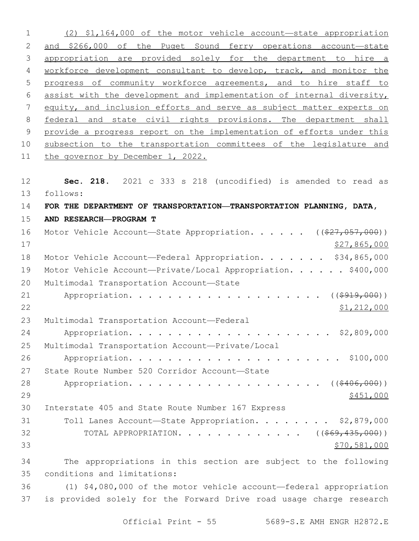| (2) \$1,164,000 of the motor vehicle account-state appropriation          |
|---------------------------------------------------------------------------|
| and \$266,000 of the Puget Sound ferry operations account-state           |
| appropriation are provided solely for the department to hire a            |
| workforce development consultant to develop, track, and monitor the       |
| progress of community workforce agreements, and to hire staff to          |
| assist with the development and implementation of internal diversity,     |
| equity, and inclusion efforts and serve as subject matter experts on      |
| federal and state civil rights provisions. The department shall           |
| provide a progress report on the implementation of efforts under this     |
| subsection to the transportation committees of the legislature and        |
| the governor by December 1, 2022.                                         |
|                                                                           |
| Sec. 218. 2021 c 333 s 218 (uncodified) is amended to read as             |
| follows:                                                                  |
| FOR THE DEPARTMENT OF TRANSPORTATION—TRANSPORTATION PLANNING, DATA,       |
| AND RESEARCH-PROGRAM T                                                    |
| Motor Vehicle Account-State Appropriation. ( $(\frac{27}{7}, 057, 000)$ ) |
| \$27,865,000                                                              |
| Motor Vehicle Account-Federal Appropriation. \$34,865,000                 |
| Motor Vehicle Account-Private/Local Appropriation. \$400,000              |
| Multimodal Transportation Account-State                                   |
| $((\$919,000))$                                                           |
| \$1,212,000                                                               |
| Multimodal Transportation Account-Federal                                 |
|                                                                           |
| Multimodal Transportation Account-Private/Local                           |
|                                                                           |
| State Route Number 520 Corridor Account-State                             |
| Appropriation. ( $(*406,000)$ )                                           |
| \$451,000                                                                 |
| Interstate 405 and State Route Number 167 Express                         |
| Toll Lanes Account-State Appropriation. \$2,879,000                       |
| TOTAL APPROPRIATION. ( $(\frac{269}{435}, \frac{435}{100})$ )             |
| \$70,581,000                                                              |
| The appropriations in this section are subject to the following           |
| conditions and limitations:                                               |
| (1) \$4,080,000 of the motor vehicle account-federal appropriation        |
| is provided solely for the Forward Drive road usage charge research       |
|                                                                           |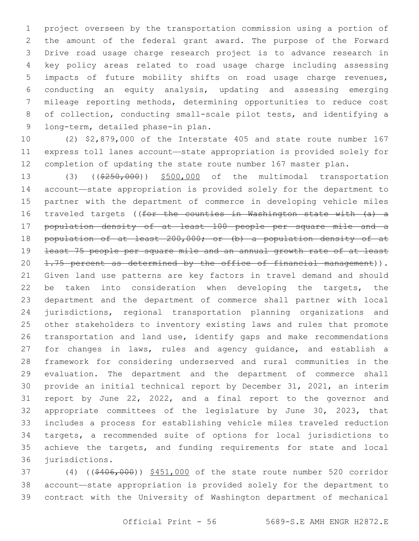project overseen by the transportation commission using a portion of the amount of the federal grant award. The purpose of the Forward Drive road usage charge research project is to advance research in key policy areas related to road usage charge including assessing impacts of future mobility shifts on road usage charge revenues, conducting an equity analysis, updating and assessing emerging mileage reporting methods, determining opportunities to reduce cost of collection, conducting small-scale pilot tests, and identifying a 9 long-term, detailed phase-in plan.

 (2) \$2,879,000 of the Interstate 405 and state route number 167 express toll lanes account—state appropriation is provided solely for completion of updating the state route number 167 master plan.

13 (3) ((\$250,000)) \$500,000 of the multimodal transportation account—state appropriation is provided solely for the department to partner with the department of commerce in developing vehicle miles traveled targets ((for the counties in Washington state with (a) a population density of at least 100 people per square mile and a 18 population of at least 200,000; or (b) a population density of at least 75 people per square mile and an annual growth rate of at least 20 1.75 percent as determined by the office of financial management)). Given land use patterns are key factors in travel demand and should 22 be taken into consideration when developing the targets, the department and the department of commerce shall partner with local jurisdictions, regional transportation planning organizations and other stakeholders to inventory existing laws and rules that promote transportation and land use, identify gaps and make recommendations for changes in laws, rules and agency guidance, and establish a framework for considering underserved and rural communities in the evaluation. The department and the department of commerce shall provide an initial technical report by December 31, 2021, an interim report by June 22, 2022, and a final report to the governor and appropriate committees of the legislature by June 30, 2023, that includes a process for establishing vehicle miles traveled reduction targets, a recommended suite of options for local jurisdictions to achieve the targets, and funding requirements for state and local 36 jurisdictions.

 (4) ((\$406,000)) \$451,000 of the state route number 520 corridor account—state appropriation is provided solely for the department to contract with the University of Washington department of mechanical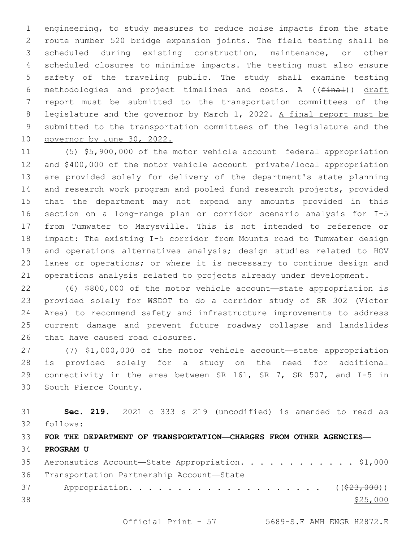engineering, to study measures to reduce noise impacts from the state route number 520 bridge expansion joints. The field testing shall be scheduled during existing construction, maintenance, or other scheduled closures to minimize impacts. The testing must also ensure safety of the traveling public. The study shall examine testing methodologies and project timelines and costs. A ((final)) draft report must be submitted to the transportation committees of the 8 legislature and the governor by March 1, 2022. A final report must be submitted to the transportation committees of the legislature and the governor by June 30, 2022.

 (5) \$5,900,000 of the motor vehicle account—federal appropriation and \$400,000 of the motor vehicle account—private/local appropriation are provided solely for delivery of the department's state planning and research work program and pooled fund research projects, provided that the department may not expend any amounts provided in this section on a long-range plan or corridor scenario analysis for I-5 from Tumwater to Marysville. This is not intended to reference or impact: The existing I-5 corridor from Mounts road to Tumwater design and operations alternatives analysis; design studies related to HOV lanes or operations; or where it is necessary to continue design and operations analysis related to projects already under development.

 (6) \$800,000 of the motor vehicle account—state appropriation is provided solely for WSDOT to do a corridor study of SR 302 (Victor Area) to recommend safety and infrastructure improvements to address current damage and prevent future roadway collapse and landslides 26 that have caused road closures.

 (7) \$1,000,000 of the motor vehicle account—state appropriation is provided solely for a study on the need for additional connectivity in the area between SR 161, SR 7, SR 507, and I-5 in 30 South Pierce County.

 **Sec. 219.** 2021 c 333 s 219 (uncodified) is amended to read as follows: 32 **FOR THE DEPARTMENT OF TRANSPORTATION—CHARGES FROM OTHER AGENCIES— PROGRAM U** 35 Aeronautics Account-State Appropriation. . . . . . . . . . . \$1,000 36 Transportation Partnership Account-State

37 Appropriation. . . . . . . . . . . . . . . . . . ((\$23,000))  $\frac{$25,000}{2}$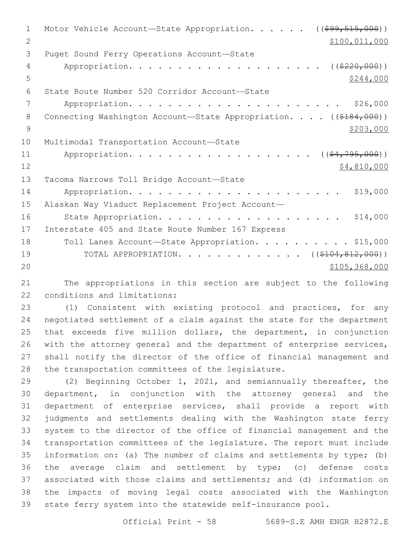| $\mathbf{1}$ | Motor Vehicle Account-State Appropriation. ((\$99,515,000))                  |
|--------------|------------------------------------------------------------------------------|
| 2            | \$100,011,000                                                                |
| 3            | Puget Sound Ferry Operations Account-State                                   |
| 4            | ( ( \$220,000) )                                                             |
| 5            | \$244,000                                                                    |
| 6            | State Route Number 520 Corridor Account-State                                |
| 7            | \$26,000                                                                     |
| 8            | Connecting Washington Account-State Appropriation. ((\$184,000))             |
| 9            | \$203,000                                                                    |
| 10           | Multimodal Transportation Account-State                                      |
| 11           | Appropriation.<br>$($ $($ $\frac{64}{7}$ $\frac{795}{7}$ $\frac{000}{7}$ $)$ |
| 12           | \$4,810,000                                                                  |
| 13           | Tacoma Narrows Toll Bridge Account-State                                     |
| 14           | \$19,000                                                                     |
| 15           | Alaskan Way Viaduct Replacement Project Account-                             |
| 16           | \$14,000                                                                     |
| 17           | Interstate 405 and State Route Number 167 Express                            |
| 18           | Toll Lanes Account-State Appropriation. \$15,000                             |
| 19           | TOTAL APPROPRIATION. ( $(\frac{104}{104}, \frac{812}{100})$ )                |
| 20           | \$105, 368, 000                                                              |
| 21           | The appropriations in this section are subject to the following              |

22 conditions and limitations:

 (1) Consistent with existing protocol and practices, for any negotiated settlement of a claim against the state for the department that exceeds five million dollars, the department, in conjunction 26 with the attorney general and the department of enterprise services, shall notify the director of the office of financial management and 28 the transportation committees of the legislature.

 (2) Beginning October 1, 2021, and semiannually thereafter, the department, in conjunction with the attorney general and the department of enterprise services, shall provide a report with judgments and settlements dealing with the Washington state ferry system to the director of the office of financial management and the transportation committees of the legislature. The report must include information on: (a) The number of claims and settlements by type; (b) the average claim and settlement by type; (c) defense costs associated with those claims and settlements; and (d) information on the impacts of moving legal costs associated with the Washington state ferry system into the statewide self-insurance pool.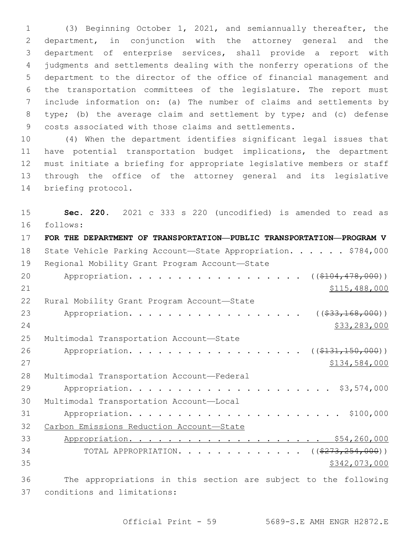(3) Beginning October 1, 2021, and semiannually thereafter, the department, in conjunction with the attorney general and the department of enterprise services, shall provide a report with judgments and settlements dealing with the nonferry operations of the department to the director of the office of financial management and the transportation committees of the legislature. The report must include information on: (a) The number of claims and settlements by type; (b) the average claim and settlement by type; and (c) defense costs associated with those claims and settlements.

 (4) When the department identifies significant legal issues that have potential transportation budget implications, the department must initiate a briefing for appropriate legislative members or staff through the office of the attorney general and its legislative 14 briefing protocol.

 **Sec. 220.** 2021 c 333 s 220 (uncodified) is amended to read as follows: 16 **FOR THE DEPARTMENT OF TRANSPORTATION—PUBLIC TRANSPORTATION—PROGRAM V** 18 State Vehicle Parking Account—State Appropriation. . . . . \$784,000 19 Regional Mobility Grant Program Account-State 20 Appropriation. . . . . . . . . . . . . . . . ((\$104,478,000)) \$115,488,000 22 Rural Mobility Grant Program Account-State 23 Appropriation. . . . . . . . . . . . . . . . . ((\$33,168,000)) \$33,283,000 25 Multimodal Transportation Account-State 26 Appropriation. . . . . . . . . . . . . . . . (  $(\frac{131,150,000)}{}$  \$134,584,000 28 Multimodal Transportation Account-Federal Appropriation. . . . . . . . . . . . . . . . . . . . . \$3,574,000 30 Multimodal Transportation Account-Local Appropriation. . . . . . . . . . . . . . . . . . . . . . \$100,000 Carbon Emissions Reduction Account—State Appropriation. . . . . . . . . . . . . . . . . . . . \$54,260,000 34 TOTAL APPROPRIATION. . . . . . . . . . . . . ((\$273,254,000)) \$342,073,000 The appropriations in this section are subject to the following 37 conditions and limitations: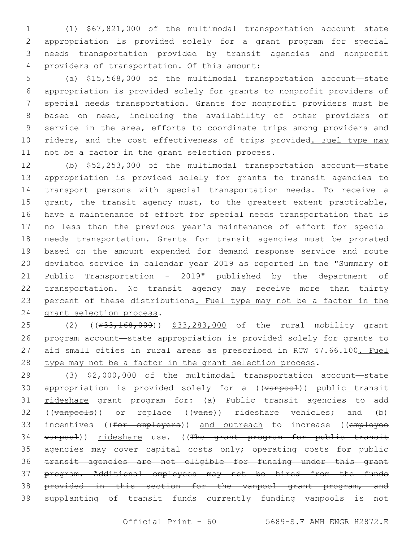(1) \$67,821,000 of the multimodal transportation account—state appropriation is provided solely for a grant program for special needs transportation provided by transit agencies and nonprofit 4 providers of transportation. Of this amount:

 (a) \$15,568,000 of the multimodal transportation account—state appropriation is provided solely for grants to nonprofit providers of special needs transportation. Grants for nonprofit providers must be based on need, including the availability of other providers of service in the area, efforts to coordinate trips among providers and 10 riders, and the cost effectiveness of trips provided. Fuel type may 11 not be a factor in the grant selection process.

 (b) \$52,253,000 of the multimodal transportation account—state appropriation is provided solely for grants to transit agencies to transport persons with special transportation needs. To receive a 15 grant, the transit agency must, to the greatest extent practicable, have a maintenance of effort for special needs transportation that is no less than the previous year's maintenance of effort for special needs transportation. Grants for transit agencies must be prorated based on the amount expended for demand response service and route deviated service in calendar year 2019 as reported in the "Summary of Public Transportation - 2019" published by the department of transportation. No transit agency may receive more than thirty percent of these distributions. Fuel type may not be a factor in the 24 grant selection process.

25 (2) ((\$33,168,000)) \$33,283,000 of the rural mobility grant program account—state appropriation is provided solely for grants to 27 aid small cities in rural areas as prescribed in RCW 47.66.100. Fuel 28 type may not be a factor in the grant selection process.

 (3) \$2,000,000 of the multimodal transportation account—state 30 appropriation is provided solely for a ((vanpool)) public transit 31 rideshare grant program for: (a) Public transit agencies to add 32 ((vanpools)) or replace ((vans)) <u>rideshare vehicles</u>; and (b) 33 incentives ((for employers)) and outreach to increase ((employee 34 vanpool)) rideshare use. ((The grant program for public transit agencies may cover capital costs only; operating costs for public transit agencies are not eligible for funding under this grant program. Additional employees may not be hired from the funds 38 provided in this section for the vanpool grant program, and supplanting of transit funds currently funding vanpools is not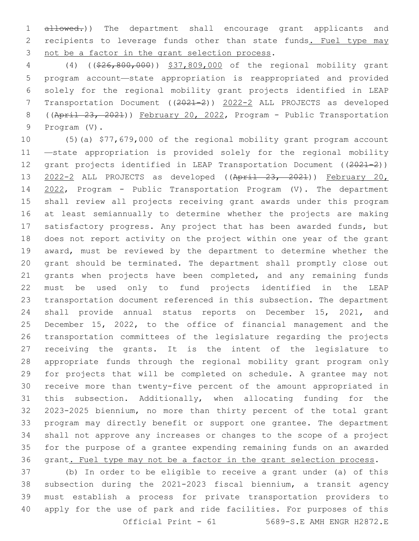1 allowed.)) The department shall encourage grant applicants and 2 recipients to leverage funds other than state funds. Fuel type may 3 not be a factor in the grant selection process.

 (4) ((\$26,800,000)) \$37,809,000 of the regional mobility grant program account—state appropriation is reappropriated and provided solely for the regional mobility grant projects identified in LEAP Transportation Document ((2021-2)) 2022-2 ALL PROJECTS as developed ((April 23, 2021)) February 20, 2022, Program - Public Transportation 9 Program (V).

 (5)(a) \$77,679,000 of the regional mobility grant program account —state appropriation is provided solely for the regional mobility 12 grant projects identified in LEAP Transportation Document ((2021-2)) 2022-2 ALL PROJECTS as developed ((April 23, 2021)) February 20, 2022, Program - Public Transportation Program (V). The department shall review all projects receiving grant awards under this program at least semiannually to determine whether the projects are making satisfactory progress. Any project that has been awarded funds, but does not report activity on the project within one year of the grant award, must be reviewed by the department to determine whether the grant should be terminated. The department shall promptly close out grants when projects have been completed, and any remaining funds must be used only to fund projects identified in the LEAP transportation document referenced in this subsection. The department shall provide annual status reports on December 15, 2021, and December 15, 2022, to the office of financial management and the transportation committees of the legislature regarding the projects receiving the grants. It is the intent of the legislature to appropriate funds through the regional mobility grant program only for projects that will be completed on schedule. A grantee may not receive more than twenty-five percent of the amount appropriated in this subsection. Additionally, when allocating funding for the 2023-2025 biennium, no more than thirty percent of the total grant program may directly benefit or support one grantee. The department shall not approve any increases or changes to the scope of a project for the purpose of a grantee expending remaining funds on an awarded grant. Fuel type may not be a factor in the grant selection process.

 (b) In order to be eligible to receive a grant under (a) of this subsection during the 2021-2023 fiscal biennium, a transit agency must establish a process for private transportation providers to apply for the use of park and ride facilities. For purposes of this Official Print - 61 5689-S.E AMH ENGR H2872.E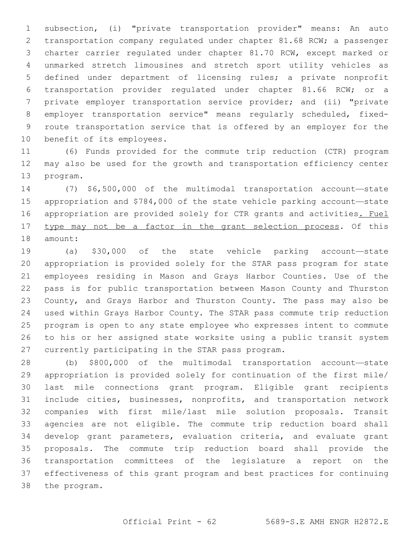subsection, (i) "private transportation provider" means: An auto transportation company regulated under chapter 81.68 RCW; a passenger charter carrier regulated under chapter 81.70 RCW, except marked or unmarked stretch limousines and stretch sport utility vehicles as defined under department of licensing rules; a private nonprofit transportation provider regulated under chapter 81.66 RCW; or a private employer transportation service provider; and (ii) "private employer transportation service" means regularly scheduled, fixed- route transportation service that is offered by an employer for the 10 benefit of its employees.

 (6) Funds provided for the commute trip reduction (CTR) program may also be used for the growth and transportation efficiency center 13 program.

 (7) \$6,500,000 of the multimodal transportation account—state appropriation and \$784,000 of the state vehicle parking account—state appropriation are provided solely for CTR grants and activities. Fuel type may not be a factor in the grant selection process. Of this 18 amount:

 (a) \$30,000 of the state vehicle parking account—state appropriation is provided solely for the STAR pass program for state employees residing in Mason and Grays Harbor Counties. Use of the pass is for public transportation between Mason County and Thurston County, and Grays Harbor and Thurston County. The pass may also be used within Grays Harbor County. The STAR pass commute trip reduction program is open to any state employee who expresses intent to commute to his or her assigned state worksite using a public transit system 27 currently participating in the STAR pass program.

 (b) \$800,000 of the multimodal transportation account—state appropriation is provided solely for continuation of the first mile/ last mile connections grant program. Eligible grant recipients include cities, businesses, nonprofits, and transportation network companies with first mile/last mile solution proposals. Transit agencies are not eligible. The commute trip reduction board shall develop grant parameters, evaluation criteria, and evaluate grant proposals. The commute trip reduction board shall provide the transportation committees of the legislature a report on the effectiveness of this grant program and best practices for continuing 38 the program.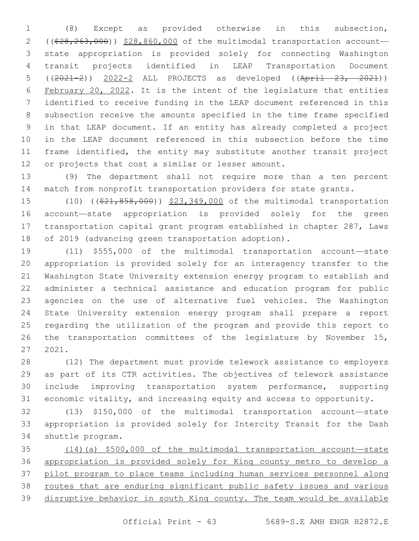(8) Except as provided otherwise in this subsection, 2 ((\$28,263,000)) \$28,860,000 of the multimodal transportation account- state appropriation is provided solely for connecting Washington transit projects identified in LEAP Transportation Document ((2021-2)) 2022-2 ALL PROJECTS as developed ((April 23, 2021)) February 20, 2022. It is the intent of the legislature that entities identified to receive funding in the LEAP document referenced in this subsection receive the amounts specified in the time frame specified in that LEAP document. If an entity has already completed a project in the LEAP document referenced in this subsection before the time frame identified, the entity may substitute another transit project 12 or projects that cost a similar or lesser amount.

 (9) The department shall not require more than a ten percent match from nonprofit transportation providers for state grants.

15 (10) ((\$21,858,000)) \$23,349,000 of the multimodal transportation account—state appropriation is provided solely for the green transportation capital grant program established in chapter 287, Laws of 2019 (advancing green transportation adoption).

 (11) \$555,000 of the multimodal transportation account—state appropriation is provided solely for an interagency transfer to the Washington State University extension energy program to establish and administer a technical assistance and education program for public agencies on the use of alternative fuel vehicles. The Washington State University extension energy program shall prepare a report regarding the utilization of the program and provide this report to the transportation committees of the legislature by November 15, 2021.

 (12) The department must provide telework assistance to employers as part of its CTR activities. The objectives of telework assistance include improving transportation system performance, supporting economic vitality, and increasing equity and access to opportunity.

 (13) \$150,000 of the multimodal transportation account—state appropriation is provided solely for Intercity Transit for the Dash 34 shuttle program.

 (14)(a) \$500,000 of the multimodal transportation account—state appropriation is provided solely for King county metro to develop a pilot program to place teams including human services personnel along 38 routes that are enduring significant public safety issues and various disruptive behavior in south King county. The team would be available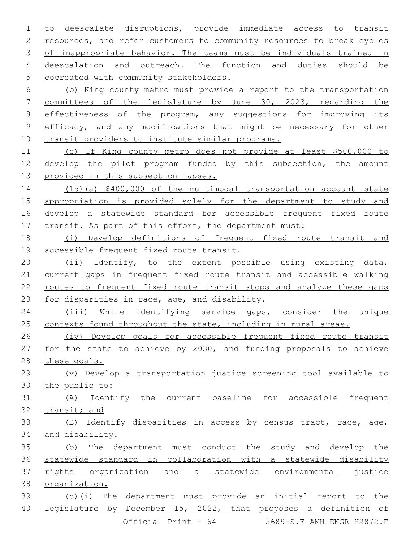to deescalate disruptions, provide immediate access to transit resources, and refer customers to community resources to break cycles 3 of inappropriate behavior. The teams must be individuals trained in deescalation and outreach. The function and duties should be 5 cocreated with community stakeholders. (b) King county metro must provide a report to the transportation committees of the legislature by June 30, 2023, regarding the 8 effectiveness of the program, any suggestions for improving its efficacy, and any modifications that might be necessary for other transit providers to institute similar programs. (c) If King county metro does not provide at least \$500,000 to develop the pilot program funded by this subsection, the amount provided in this subsection lapses. (15)(a) \$400,000 of the multimodal transportation account—state appropriation is provided solely for the department to study and

 develop a statewide standard for accessible frequent fixed route 17 transit. As part of this effort, the department must:

 (i) Develop definitions of frequent fixed route transit and accessible frequent fixed route transit.

 (ii) Identify, to the extent possible using existing data, current gaps in frequent fixed route transit and accessible walking routes to frequent fixed route transit stops and analyze these gaps 23 for disparities in race, age, and disability.

 (iii) While identifying service gaps, consider the unique 25 contexts found throughout the state, including in rural areas.

 (iv) Develop goals for accessible frequent fixed route transit for the state to achieve by 2030, and funding proposals to achieve these goals.

 (v) Develop a transportation justice screening tool available to the public to:

 (A) Identify the current baseline for accessible frequent transit; and

 (B) Identify disparities in access by census tract, race, age, and disability.

 (b) The department must conduct the study and develop the statewide standard in collaboration with a statewide disability rights organization and a statewide environmental justice organization. (c)(i) The department must provide an initial report to the

legislature by December 15, 2022, that proposes a definition of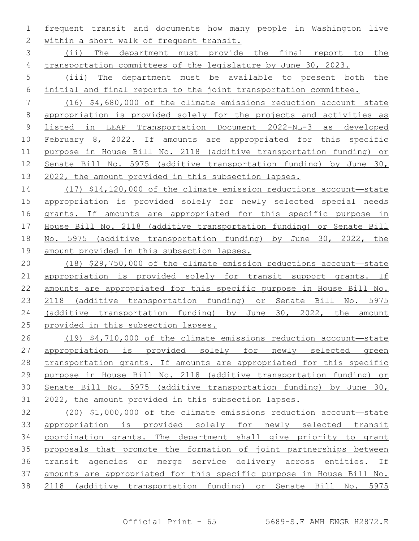frequent transit and documents how many people in Washington live 2 within a short walk of frequent transit.

 (ii) The department must provide the final report to the 4 transportation committees of the legislature by June 30, 2023.

 (iii) The department must be available to present both the initial and final reports to the joint transportation committee.

 (16) \$4,680,000 of the climate emissions reduction account—state appropriation is provided solely for the projects and activities as listed in LEAP Transportation Document 2022-NL-3 as developed February 8, 2022. If amounts are appropriated for this specific purpose in House Bill No. 2118 (additive transportation funding) or 12 Senate Bill No. 5975 (additive transportation funding) by June 30, 2022, the amount provided in this subsection lapses.

 (17) \$14,120,000 of the climate emission reductions account—state appropriation is provided solely for newly selected special needs 16 grants. If amounts are appropriated for this specific purpose in House Bill No. 2118 (additive transportation funding) or Senate Bill 18 No. 5975 (additive transportation funding) by June 30, 2022, the amount provided in this subsection lapses.

 (18) \$29,750,000 of the climate emission reductions account—state appropriation is provided solely for transit support grants. If amounts are appropriated for this specific purpose in House Bill No. 2118 (additive transportation funding) or Senate Bill No. 5975 (additive transportation funding) by June 30, 2022, the amount provided in this subsection lapses.

 (19) \$4,710,000 of the climate emissions reduction account—state appropriation is provided solely for newly selected green 28 transportation grants. If amounts are appropriated for this specific purpose in House Bill No. 2118 (additive transportation funding) or Senate Bill No. 5975 (additive transportation funding) by June 30, 2022, the amount provided in this subsection lapses.

 (20) \$1,000,000 of the climate emissions reduction account—state appropriation is provided solely for newly selected transit coordination grants. The department shall give priority to grant 35 proposals that promote the formation of joint partnerships between transit agencies or merge service delivery across entities. If amounts are appropriated for this specific purpose in House Bill No. 2118 (additive transportation funding) or Senate Bill No. 5975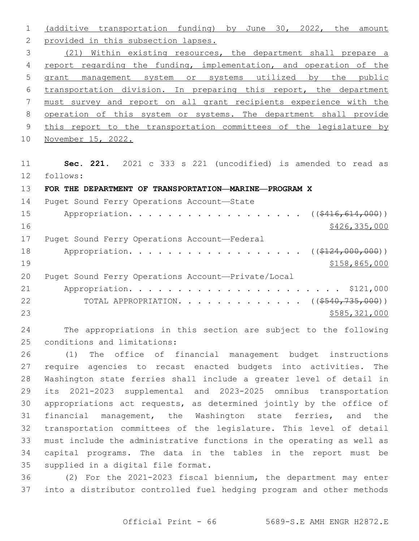(additive transportation funding) by June 30, 2022, the amount 2 provided in this subsection lapses. (21) Within existing resources, the department shall prepare a 4 report regarding the funding, implementation, and operation of the grant management system or systems utilized by the public transportation division. In preparing this report, the department must survey and report on all grant recipients experience with the 8 operation of this system or systems. The department shall provide 9 this report to the transportation committees of the legislature by November 15, 2022. **Sec. 221.** 2021 c 333 s 221 (uncodified) is amended to read as follows: 12 **FOR THE DEPARTMENT OF TRANSPORTATION—MARINE—PROGRAM X** 14 Puget Sound Ferry Operations Account-State 15 Appropriation. . . . . . . . . . . . . . . . ( $(\frac{2416,614,000}{10})$ ) 16 \$426,335,000 17 Puget Sound Ferry Operations Account—Federal 18 Appropriation. . . . . . . . . . . . . . . . ( $(\frac{2124,000,000}{1})$  \$158,865,000 Puget Sound Ferry Operations Account—Private/Local Appropriation. . . . . . . . . . . . . . . . . . . . . . \$121,000 22 TOTAL APPROPRIATION. . . . . . . . . . . . ((\$540,735,000)) \$585,321,000

 The appropriations in this section are subject to the following 25 conditions and limitations:

 (1) The office of financial management budget instructions require agencies to recast enacted budgets into activities. The Washington state ferries shall include a greater level of detail in its 2021-2023 supplemental and 2023-2025 omnibus transportation appropriations act requests, as determined jointly by the office of financial management, the Washington state ferries, and the transportation committees of the legislature. This level of detail must include the administrative functions in the operating as well as capital programs. The data in the tables in the report must be 35 supplied in a digital file format.

 (2) For the 2021-2023 fiscal biennium, the department may enter into a distributor controlled fuel hedging program and other methods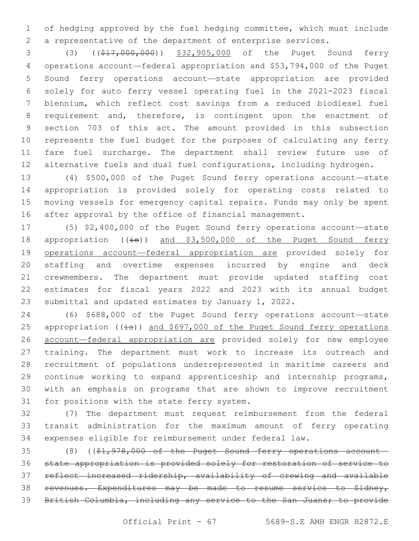of hedging approved by the fuel hedging committee, which must include a representative of the department of enterprise services.

 (3) ((\$17,000,000)) \$32,905,000 of the Puget Sound ferry operations account—federal appropriation and \$53,794,000 of the Puget Sound ferry operations account—state appropriation are provided solely for auto ferry vessel operating fuel in the 2021-2023 fiscal biennium, which reflect cost savings from a reduced biodiesel fuel requirement and, therefore, is contingent upon the enactment of section 703 of this act. The amount provided in this subsection represents the fuel budget for the purposes of calculating any ferry fare fuel surcharge. The department shall review future use of 12 alternative fuels and dual fuel configurations, including hydrogen.

 (4) \$500,000 of the Puget Sound ferry operations account—state appropriation is provided solely for operating costs related to moving vessels for emergency capital repairs. Funds may only be spent after approval by the office of financial management.

 (5) \$2,400,000 of the Puget Sound ferry operations account—state 18 appropriation ((is)) and \$3,500,000 of the Puget Sound ferry 19 operations account—federal appropriation are provided solely for staffing and overtime expenses incurred by engine and deck crewmembers. The department must provide updated staffing cost estimates for fiscal years 2022 and 2023 with its annual budget submittal and updated estimates by January 1, 2022.

 (6) \$688,000 of the Puget Sound ferry operations account—state 25 appropriation  $((\pm s))$  and \$697,000 of the Puget Sound ferry operations account—federal appropriation are provided solely for new employee training. The department must work to increase its outreach and recruitment of populations underrepresented in maritime careers and continue working to expand apprenticeship and internship programs, with an emphasis on programs that are shown to improve recruitment 31 for positions with the state ferry system.

 (7) The department must request reimbursement from the federal transit administration for the maximum amount of ferry operating expenses eligible for reimbursement under federal law.

 (8) ((\$1,978,000 of the Puget Sound ferry operations account— state appropriation is provided solely for restoration of service to reflect increased ridership, availability of crewing and available revenues. Expenditures may be made to resume service to Sidney, British Columbia, including any service to the San Juans; to provide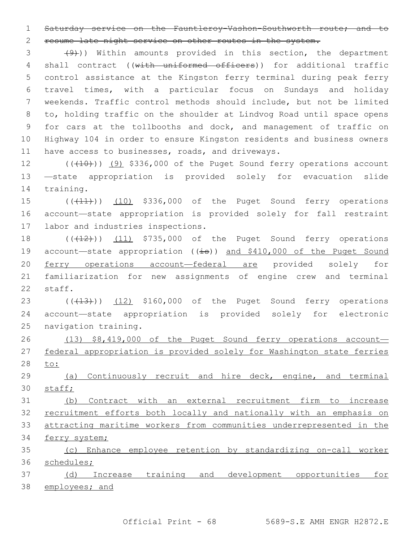Saturday service on the Fauntleroy-Vashon-Southworth route; and to

resume late night service on other routes in the system.

 $(9)$ ) Within amounts provided in this section, the department 4 shall contract ((with uniformed officers)) for additional traffic control assistance at the Kingston ferry terminal during peak ferry travel times, with a particular focus on Sundays and holiday weekends. Traffic control methods should include, but not be limited to, holding traffic on the shoulder at Lindvog Road until space opens for cars at the tollbooths and dock, and management of traffic on Highway 104 in order to ensure Kingston residents and business owners 11 have access to businesses, roads, and driveways.

12 (((10)) (9) \$336,000 of the Puget Sound ferry operations account —state appropriation is provided solely for evacuation slide 14 training.

15 (( $(11)$ )) (10) \$336,000 of the Puget Sound ferry operations account—state appropriation is provided solely for fall restraint 17 labor and industries inspections.

 $((+12))$   $(11)$  \$735,000 of the Puget Sound ferry operations 19 account—state appropriation ((is)) and \$410,000 of the Puget Sound ferry operations account—federal are provided solely for familiarization for new assignments of engine crew and terminal 22 staff.

23 (((413))) (12) \$160,000 of the Puget Sound ferry operations account—state appropriation is provided solely for electronic 25 navigation training.

 (13) \$8,419,000 of the Puget Sound ferry operations account— federal appropriation is provided solely for Washington state ferries to:

 (a) Continuously recruit and hire deck, engine, and terminal staff;

 (b) Contract with an external recruitment firm to increase recruitment efforts both locally and nationally with an emphasis on attracting maritime workers from communities underrepresented in the ferry system;

 (c) Enhance employee retention by standardizing on-call worker schedules;

 (d) Increase training and development opportunities for employees; and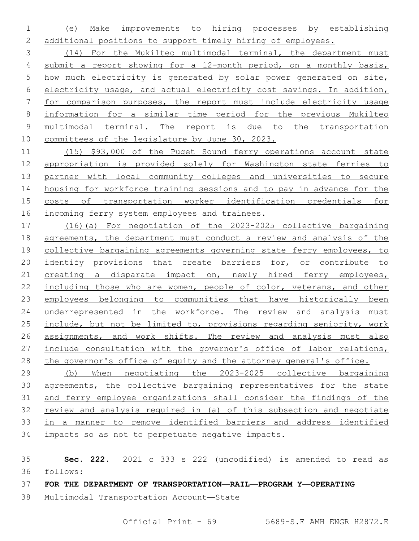(e) Make improvements to hiring processes by establishing additional positions to support timely hiring of employees.

 (14) For the Mukilteo multimodal terminal, the department must submit a report showing for a 12-month period, on a monthly basis, how much electricity is generated by solar power generated on site, electricity usage, and actual electricity cost savings. In addition, for comparison purposes, the report must include electricity usage information for a similar time period for the previous Mukilteo multimodal terminal. The report is due to the transportation committees of the legislature by June 30, 2023.

 (15) \$93,000 of the Puget Sound ferry operations account—state appropriation is provided solely for Washington state ferries to partner with local community colleges and universities to secure housing for workforce training sessions and to pay in advance for the costs of transportation worker identification credentials for incoming ferry system employees and trainees.

 (16)(a) For negotiation of the 2023-2025 collective bargaining agreements, the department must conduct a review and analysis of the collective bargaining agreements governing state ferry employees, to 20 identify provisions that create barriers for, or contribute to creating a disparate impact on, newly hired ferry employees, 22 including those who are women, people of color, veterans, and other employees belonging to communities that have historically been 24 underrepresented in the workforce. The review and analysis must include, but not be limited to, provisions regarding seniority, work 26 assignments, and work shifts. The review and analysis must also include consultation with the governor's office of labor relations, 28 the governor's office of equity and the attorney general's office.

 (b) When negotiating the 2023-2025 collective bargaining agreements, the collective bargaining representatives for the state and ferry employee organizations shall consider the findings of the review and analysis required in (a) of this subsection and negotiate in a manner to remove identified barriers and address identified impacts so as not to perpetuate negative impacts.

 **Sec. 222.** 2021 c 333 s 222 (uncodified) is amended to read as follows: 36

**FOR THE DEPARTMENT OF TRANSPORTATION—RAIL—PROGRAM Y—OPERATING**

38 Multimodal Transportation Account-State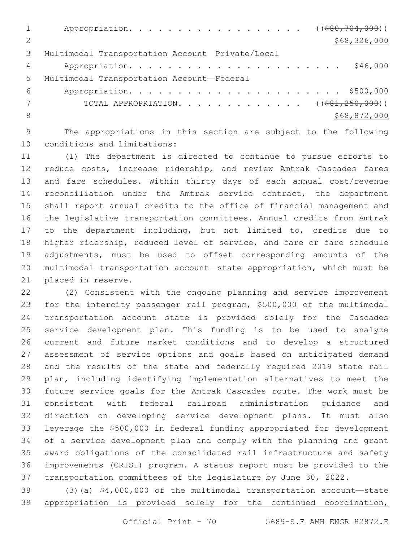|               | Appropriation. ((\$80,704,000))                  |
|---------------|--------------------------------------------------|
| $\mathcal{P}$ | \$68,326,000                                     |
| 3             | Multimodal Transportation Account-Private/Local  |
| 4             | \$46,000                                         |
| $5^{\circ}$   | Multimodal Transportation Account-Federal        |
| 6             |                                                  |
|               | TOTAL APPROPRIATION. ( $(\frac{281}{250},000)$ ) |
| -8            | \$68,872,000                                     |
|               |                                                  |

 The appropriations in this section are subject to the following 10 conditions and limitations:

 (1) The department is directed to continue to pursue efforts to 12 reduce costs, increase ridership, and review Amtrak Cascades fares and fare schedules. Within thirty days of each annual cost/revenue reconciliation under the Amtrak service contract, the department shall report annual credits to the office of financial management and the legislative transportation committees. Annual credits from Amtrak to the department including, but not limited to, credits due to higher ridership, reduced level of service, and fare or fare schedule adjustments, must be used to offset corresponding amounts of the multimodal transportation account—state appropriation, which must be 21 placed in reserve.

 (2) Consistent with the ongoing planning and service improvement for the intercity passenger rail program, \$500,000 of the multimodal transportation account—state is provided solely for the Cascades service development plan. This funding is to be used to analyze current and future market conditions and to develop a structured assessment of service options and goals based on anticipated demand and the results of the state and federally required 2019 state rail plan, including identifying implementation alternatives to meet the future service goals for the Amtrak Cascades route. The work must be consistent with federal railroad administration guidance and direction on developing service development plans. It must also leverage the \$500,000 in federal funding appropriated for development of a service development plan and comply with the planning and grant award obligations of the consolidated rail infrastructure and safety improvements (CRISI) program. A status report must be provided to the transportation committees of the legislature by June 30, 2022.

 (3)(a) \$4,000,000 of the multimodal transportation account—state appropriation is provided solely for the continued coordination,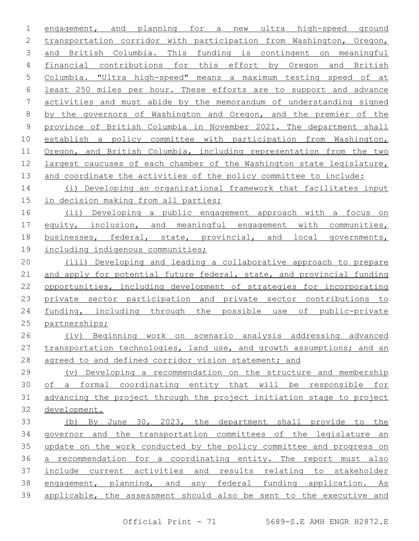engagement, and planning for a new ultra high-speed ground transportation corridor with participation from Washington, Oregon, and British Columbia. This funding is contingent on meaningful financial contributions for this effort by Oregon and British Columbia. "Ultra high-speed" means a maximum testing speed of at least 250 miles per hour. These efforts are to support and advance activities and must abide by the memorandum of understanding signed by the governors of Washington and Oregon, and the premier of the province of British Columbia in November 2021. The department shall establish a policy committee with participation from Washington, Oregon, and British Columbia, including representation from the two largest caucuses of each chamber of the Washington state legislature, 13 and coordinate the activities of the policy committee to include: (i) Developing an organizational framework that facilitates input in decision making from all parties; 16 (ii) Developing a public engagement approach with a focus on equity, inclusion, and meaningful engagement with communities, businesses, federal, state, provincial, and local governments, including indigenous communities; (iii) Developing and leading a collaborative approach to prepare 21 and apply for potential future federal, state, and provincial funding opportunities, including development of strategies for incorporating private sector participation and private sector contributions to funding, including through the possible use of public-private partnerships; (iv) Beginning work on scenario analysis addressing advanced 27 transportation technologies, land use, and growth assumptions; and an agreed to and defined corridor vision statement; and (v) Developing a recommendation on the structure and membership of a formal coordinating entity that will be responsible for advancing the project through the project initiation stage to project development. (b) By June 30, 2023, the department shall provide to the governor and the transportation committees of the legislature an update on the work conducted by the policy committee and progress on a recommendation for a coordinating entity. The report must also include current activities and results relating to stakeholder engagement, planning, and any federal funding application. As applicable, the assessment should also be sent to the executive and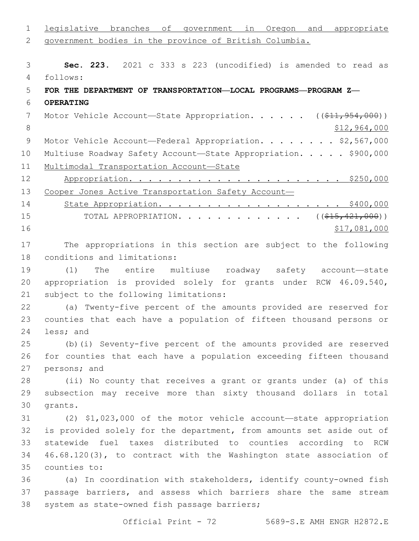legislative branches of government in Oregon and appropriate government bodies in the province of British Columbia. **Sec. 223.** 2021 c 333 s 223 (uncodified) is amended to read as follows: 4 **FOR THE DEPARTMENT OF TRANSPORTATION—LOCAL PROGRAMS—PROGRAM Z— OPERATING** 7 Motor Vehicle Account—State Appropriation. . . . . ((\$11,954,000)) 8 \$12,964,000 9 Motor Vehicle Account—Federal Appropriation. . . . . . . \$2,567,000 10 Multiuse Roadway Safety Account-State Appropriation. . . . . \$900,000 Multimodal Transportation Account—State Appropriation. . . . . . . . . . . . . . . . . . . . . . \$250,000 13 Cooper Jones Active Transportation Safety Account-14 State Appropriation. . . . . . . . . . . . . . . . . . \$400,000 15 TOTAL APPROPRIATION. . . . . . . . . . . . . ((\$15,421,000)) \$17,081,000 The appropriations in this section are subject to the following 18 conditions and limitations: (1) The entire multiuse roadway safety account—state appropriation is provided solely for grants under RCW 46.09.540, 21 subject to the following limitations: (a) Twenty-five percent of the amounts provided are reserved for counties that each have a population of fifteen thousand persons or 24 less; and (b)(i) Seventy-five percent of the amounts provided are reserved for counties that each have a population exceeding fifteen thousand 27 persons; and (ii) No county that receives a grant or grants under (a) of this subsection may receive more than sixty thousand dollars in total 30 grants. (2) \$1,023,000 of the motor vehicle account—state appropriation is provided solely for the department, from amounts set aside out of statewide fuel taxes distributed to counties according to RCW 46.68.120(3), to contract with the Washington state association of counties to:35 (a) In coordination with stakeholders, identify county-owned fish passage barriers, and assess which barriers share the same stream 38 system as state-owned fish passage barriers;

Official Print - 72 5689-S.E AMH ENGR H2872.E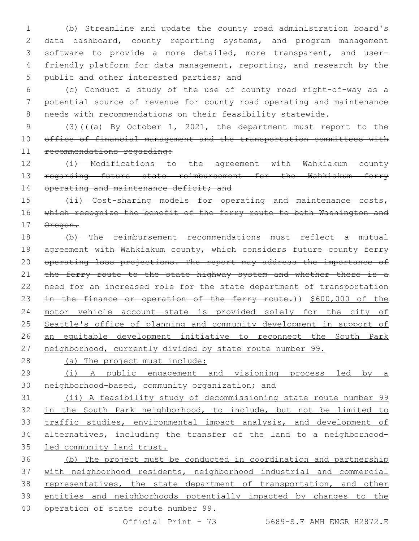(b) Streamline and update the county road administration board's data dashboard, county reporting systems, and program management software to provide a more detailed, more transparent, and user- friendly platform for data management, reporting, and research by the 5 public and other interested parties; and

 (c) Conduct a study of the use of county road right-of-way as a potential source of revenue for county road operating and maintenance needs with recommendations on their feasibility statewide.

9 (3)(((a) By October 1, 2021, the department must report to the office of financial management and the transportation committees with 11 recommendations regarding:

12 (i) Modifications to the agreement with Wahkiakum county 13 regarding future state reimbursement for the Wahkiakum ferry 14 operating and maintenance deficit; and

15 (ii) Cost-sharing models for operating and maintenance costs, 16 which recognize the benefit of the ferry route to both Washington and Oregon.

 (b) The reimbursement recommendations must reflect a mutual 19 agreement with Wahkiakum county, which considers future county ferry 20 operating loss projections. The report may address the importance of 21 the ferry route to the state highway system and whether there is a 22 need for an increased role for the state department of transportation 23 in the finance or operation of the ferry route.)) \$600,000 of the motor vehicle account—state is provided solely for the city of Seattle's office of planning and community development in support of an equitable development initiative to reconnect the South Park neighborhood, currently divided by state route number 99.

(a) The project must include:

 (i) A public engagement and visioning process led by a neighborhood-based, community organization; and

 (ii) A feasibility study of decommissioning state route number 99 in the South Park neighborhood, to include, but not be limited to traffic studies, environmental impact analysis, and development of alternatives, including the transfer of the land to a neighborhood-led community land trust.

 (b) The project must be conducted in coordination and partnership with neighborhood residents, neighborhood industrial and commercial representatives, the state department of transportation, and other entities and neighborhoods potentially impacted by changes to the operation of state route number 99.

Official Print - 73 5689-S.E AMH ENGR H2872.E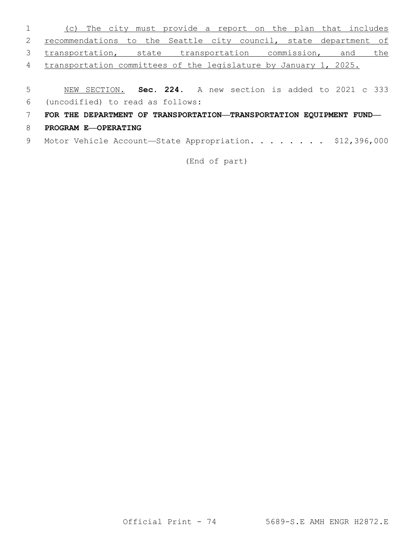| $1 \qquad \qquad$ | (c) The city must provide a report on the plan that includes       |  |  |  |  |
|-------------------|--------------------------------------------------------------------|--|--|--|--|
|                   | 2 recommendations to the Seattle city council, state department of |  |  |  |  |
|                   | 3 transportation, state transportation commission, and the         |  |  |  |  |
|                   | 4 transportation committees of the legislature by January 1, 2025. |  |  |  |  |
|                   |                                                                    |  |  |  |  |

- 5 NEW SECTION. **Sec. 224.** A new section is added to 2021 c 333
- (uncodified) to read as follows: 6
- 7 **FOR THE DEPARTMENT OF TRANSPORTATION—TRANSPORTATION EQUIPMENT FUND—**
- 8 **PROGRAM E—OPERATING**
- 9 Motor Vehicle Account-State Appropriation. . . . . . . \$12,396,000

(End of part)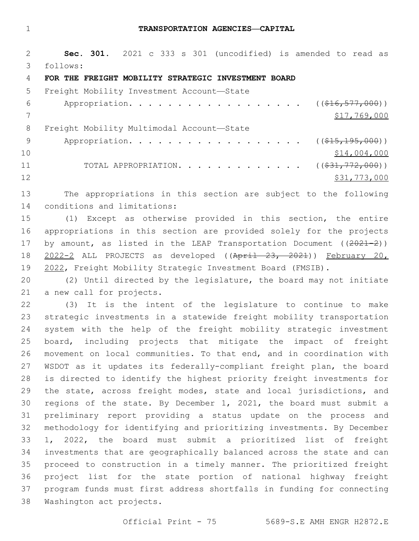#### **TRANSPORTATION AGENCIES—CAPITAL**

 **Sec. 301.** 2021 c 333 s 301 (uncodified) is amended to read as follows: 3

### **FOR THE FREIGHT MOBILITY STRATEGIC INVESTMENT BOARD**

5 Freight Mobility Investment Account-State 6 Appropriation. . . . . . . . . . . . . . . . ( $(\frac{216}{16}, \frac{577}{1000})$ ) \$17,769,000 8 Freight Mobility Multimodal Account-State 9 Appropriation. . . . . . . . . . . . . . . . . (  $(\frac{15}{15}, \frac{195}{195}, 000)$  ) \$14,004,000 11 TOTAL APPROPRIATION. . . . . . . . . . . . . ((\$31,772,000)) 12 \$31,773,000

 The appropriations in this section are subject to the following 14 conditions and limitations:

 (1) Except as otherwise provided in this section, the entire appropriations in this section are provided solely for the projects 17 by amount, as listed in the LEAP Transportation Document ((2021-2)) 2022-2 ALL PROJECTS as developed ((April 23, 2021)) February 20, 2022, Freight Mobility Strategic Investment Board (FMSIB).

 (2) Until directed by the legislature, the board may not initiate 21 a new call for projects.

 (3) It is the intent of the legislature to continue to make strategic investments in a statewide freight mobility transportation system with the help of the freight mobility strategic investment board, including projects that mitigate the impact of freight movement on local communities. To that end, and in coordination with WSDOT as it updates its federally-compliant freight plan, the board is directed to identify the highest priority freight investments for the state, across freight modes, state and local jurisdictions, and regions of the state. By December 1, 2021, the board must submit a preliminary report providing a status update on the process and methodology for identifying and prioritizing investments. By December 1, 2022, the board must submit a prioritized list of freight investments that are geographically balanced across the state and can proceed to construction in a timely manner. The prioritized freight project list for the state portion of national highway freight program funds must first address shortfalls in funding for connecting 38 Washington act projects.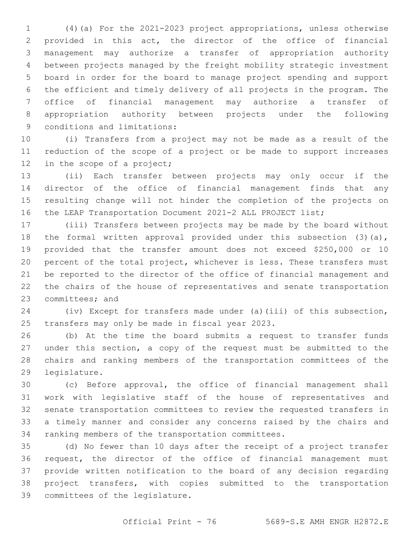(4)(a) For the 2021-2023 project appropriations, unless otherwise provided in this act, the director of the office of financial management may authorize a transfer of appropriation authority between projects managed by the freight mobility strategic investment board in order for the board to manage project spending and support the efficient and timely delivery of all projects in the program. The office of financial management may authorize a transfer of appropriation authority between projects under the following 9 conditions and limitations:

 (i) Transfers from a project may not be made as a result of the reduction of the scope of a project or be made to support increases 12 in the scope of a project;

 (ii) Each transfer between projects may only occur if the director of the office of financial management finds that any resulting change will not hinder the completion of the projects on the LEAP Transportation Document 2021-2 ALL PROJECT list;

 (iii) Transfers between projects may be made by the board without 18 the formal written approval provided under this subsection (3)(a), provided that the transfer amount does not exceed \$250,000 or 10 percent of the total project, whichever is less. These transfers must be reported to the director of the office of financial management and the chairs of the house of representatives and senate transportation 23 committees; and

 (iv) Except for transfers made under (a)(iii) of this subsection, 25 transfers may only be made in fiscal year 2023.

 (b) At the time the board submits a request to transfer funds under this section, a copy of the request must be submitted to the chairs and ranking members of the transportation committees of the 29 legislature.

 (c) Before approval, the office of financial management shall work with legislative staff of the house of representatives and senate transportation committees to review the requested transfers in a timely manner and consider any concerns raised by the chairs and 34 ranking members of the transportation committees.

 (d) No fewer than 10 days after the receipt of a project transfer request, the director of the office of financial management must provide written notification to the board of any decision regarding project transfers, with copies submitted to the transportation 39 committees of the legislature.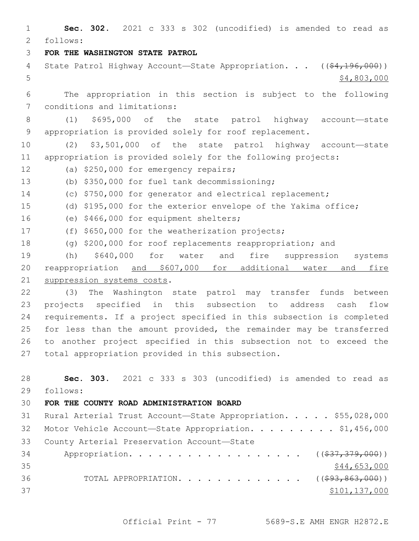1 **Sec. 302.** 2021 c 333 s 302 (uncodified) is amended to read as follows: 2 3 **FOR THE WASHINGTON STATE PATROL** 4 State Patrol Highway Account—State Appropriation. . . ((\$4,196,000))  $5 - 5$  \$4,803,000 6 The appropriation in this section is subject to the following 7 conditions and limitations: 8 (1) \$695,000 of the state patrol highway account—state 9 appropriation is provided solely for roof replacement. 10 (2) \$3,501,000 of the state patrol highway account—state 11 appropriation is provided solely for the following projects: 12 (a) \$250,000 for emergency repairs; (b) \$350,000 for fuel tank decommissioning;13 14 (c) \$750,000 for generator and electrical replacement; 15 (d) \$195,000 for the exterior envelope of the Yakima office; 16 (e) \$466,000 for equipment shelters; 17 (f) \$650,000 for the weatherization projects; 18 (g) \$200,000 for roof replacements reappropriation; and 19 (h) \$640,000 for water and fire suppression systems 20 reappropriation and \$607,000 for additional water and fire 21 suppression systems costs. 22 (3) The Washington state patrol may transfer funds between 23 projects specified in this subsection to address cash flow 24 requirements. If a project specified in this subsection is completed 25 for less than the amount provided, the remainder may be transferred 26 to another project specified in this subsection not to exceed the 27 total appropriation provided in this subsection. 28 **Sec. 303.** 2021 c 333 s 303 (uncodified) is amended to read as follows: 29 30 **FOR THE COUNTY ROAD ADMINISTRATION BOARD** 31 Rural Arterial Trust Account—State Appropriation. . . . . \$55,028,000 32 Motor Vehicle Account-State Appropriation. . . . . . . . \$1,456,000 33 County Arterial Preservation Account-State 34 Appropriation. . . . . . . . . . . . . . . . . (  $(\frac{237}{37}, \frac{379}{900})$  )  $35$  \$44,653,000 36 TOTAL APPROPRIATION. . . . . . . . . . . . ((<del>\$93,863,000</del>))  $37$   $$101,137,000$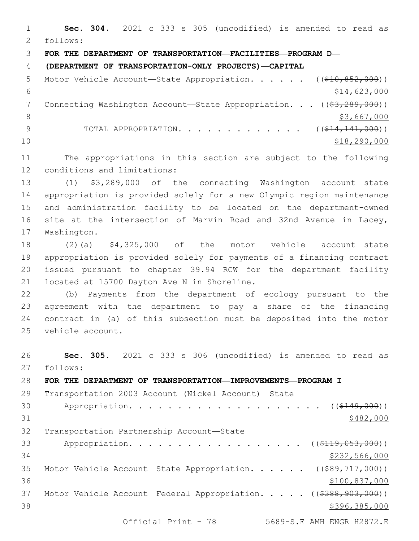**Sec. 304.** 2021 c 333 s 305 (uncodified) is amended to read as follows: 2 **FOR THE DEPARTMENT OF TRANSPORTATION—FACILITIES—PROGRAM D— (DEPARTMENT OF TRANSPORTATION-ONLY PROJECTS)—CAPITAL** 5 Motor Vehicle Account—State Appropriation. . . . . ((\$10,852,000))  $$14,623,000$ 7 Connecting Washington Account—State Appropriation. . . ((\$3,289,000))  $\frac{1}{3}$ ,667,000 9 TOTAL APPROPRIATION. . . . . . . . . . . . ((\$14,141,000)) \$18,290,000 The appropriations in this section are subject to the following 12 conditions and limitations: (1) \$3,289,000 of the connecting Washington account—state appropriation is provided solely for a new Olympic region maintenance and administration facility to be located on the department-owned site at the intersection of Marvin Road and 32nd Avenue in Lacey, 17 Washington. (2)(a) \$4,325,000 of the motor vehicle account—state appropriation is provided solely for payments of a financing contract issued pursuant to chapter 39.94 RCW for the department facility 21 located at 15700 Dayton Ave N in Shoreline. (b) Payments from the department of ecology pursuant to the agreement with the department to pay a share of the financing contract in (a) of this subsection must be deposited into the motor 25 vehicle account. **Sec. 305.** 2021 c 333 s 306 (uncodified) is amended to read as 27 follows: **FOR THE DEPARTMENT OF TRANSPORTATION—IMPROVEMENTS—PROGRAM I**

 Transportation 2003 Account (Nickel Account)—State 30 Appropriation. . . . . . . . . . . . . . . . . . (  $( $149,000)$  )  $$482,000$ 32 Transportation Partnership Account-State 33 Appropriation. . . . . . . . . . . . . . . . . ((\$119,053,000)) \$232,566,000 35 Motor Vehicle Account-State Appropriation. . . . . ((\$89,717,000)) \$100,837,000 37 Motor Vehicle Account—Federal Appropriation. . . . . ((\$388,903,000))  $$396,385,000$ Official Print - 78 5689-S.E AMH ENGR H2872.E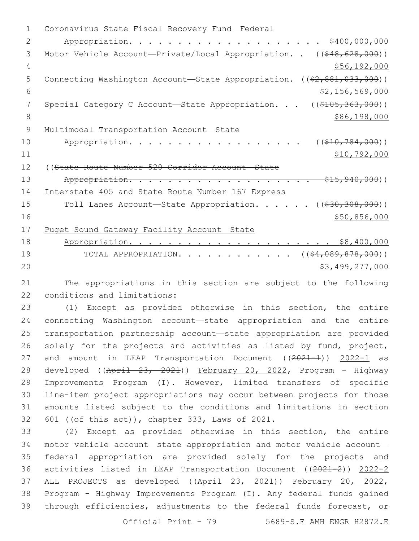1 Coronavirus State Fiscal Recovery Fund-Federal 2 Appropriation. . . . . . . . . . . . . . . . . . . . \$400,000,000 3 Motor Vehicle Account—Private/Local Appropriation. . ((\$48,628,000)) 4 \$56,192,000 5 Connecting Washington Account—State Appropriation. ((\$2,881,033,000))  $\frac{1}{2}$   $\frac{1}{56}$ ,  $\frac{569}{000}$ 7 Special Category C Account—State Appropriation. . . ((\$105,363,000)) 8 \$86,198,000 9 Multimodal Transportation Account-State 10 Appropriation. . . . . . . . . . . . . . . . ((\$10,784,000)) 11 \$10,792,000 12 ((State Route Number 520 Corridor Account—State 13 Appropriation. . . . . . . . . . . . . . . . . . \$15,940,000)) 14 Interstate 405 and State Route Number 167 Express 15 Toll Lanes Account—State Appropriation. . . . . ((\$30,308,000))  $16$   $$50,856,000$ 17 Puget Sound Gateway Facility Account—State 18 Appropriation. . . . . . . . . . . . . . . . . . . . . \$8,400,000 19 TOTAL APPROPRIATION. . . . . . . . . . . ((\$4,089,878,000)) 20 \$3,499,277,000

21 The appropriations in this section are subject to the following 22 conditions and limitations:

 (1) Except as provided otherwise in this section, the entire connecting Washington account—state appropriation and the entire transportation partnership account—state appropriation are provided solely for the projects and activities as listed by fund, project, 27 and amount in LEAP Transportation Document ((2021-1)) 2022-1 as 28 developed ((April 23, 2021)) February 20, 2022, Program - Highway Improvements Program (I). However, limited transfers of specific line-item project appropriations may occur between projects for those amounts listed subject to the conditions and limitations in section 601 (( $ef$  this act)), chapter  $333$ , Laws of  $2021$ .

 (2) Except as provided otherwise in this section, the entire motor vehicle account—state appropriation and motor vehicle account— federal appropriation are provided solely for the projects and activities listed in LEAP Transportation Document ((2021-2)) 2022-2 37 ALL PROJECTS as developed ((April 23, 2021)) February 20, 2022, Program - Highway Improvements Program (I). Any federal funds gained through efficiencies, adjustments to the federal funds forecast, or

Official Print - 79 5689-S.E AMH ENGR H2872.E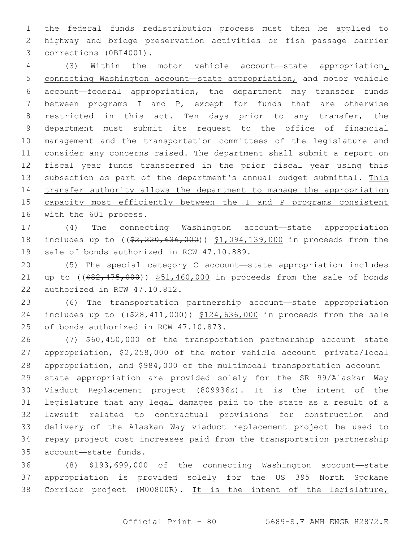the federal funds redistribution process must then be applied to highway and bridge preservation activities or fish passage barrier 3 corrections (0BI4001).

 (3) Within the motor vehicle account—state appropriation, connecting Washington account—state appropriation, and motor vehicle account—federal appropriation, the department may transfer funds between programs I and P, except for funds that are otherwise restricted in this act. Ten days prior to any transfer, the department must submit its request to the office of financial management and the transportation committees of the legislature and consider any concerns raised. The department shall submit a report on fiscal year funds transferred in the prior fiscal year using this subsection as part of the department's annual budget submittal. This transfer authority allows the department to manage the appropriation capacity most efficiently between the I and P programs consistent 16 with the 601 process.

 (4) The connecting Washington account—state appropriation 18 includes up to ((\$2,230,636,000)) \$1,094,139,000 in proceeds from the 19 sale of bonds authorized in RCW 47.10.889.

 (5) The special category C account—state appropriation includes 21 up to  $($   $(*82, 475, 000)$   $*51, 460, 000$  in proceeds from the sale of bonds 22 authorized in RCW 47.10.812.

 (6) The transportation partnership account—state appropriation 24 includes up to ((\$28,411,000)) \$124,636,000 in proceeds from the sale 25 of bonds authorized in RCW 47.10.873.

 (7) \$60,450,000 of the transportation partnership account—state appropriation, \$2,258,000 of the motor vehicle account—private/local appropriation, and \$984,000 of the multimodal transportation account— state appropriation are provided solely for the SR 99/Alaskan Way Viaduct Replacement project (809936Z). It is the intent of the legislature that any legal damages paid to the state as a result of a lawsuit related to contractual provisions for construction and delivery of the Alaskan Way viaduct replacement project be used to repay project cost increases paid from the transportation partnership account—state funds.35

 (8) \$193,699,000 of the connecting Washington account—state appropriation is provided solely for the US 395 North Spokane Corridor project (M00800R). It is the intent of the legislature,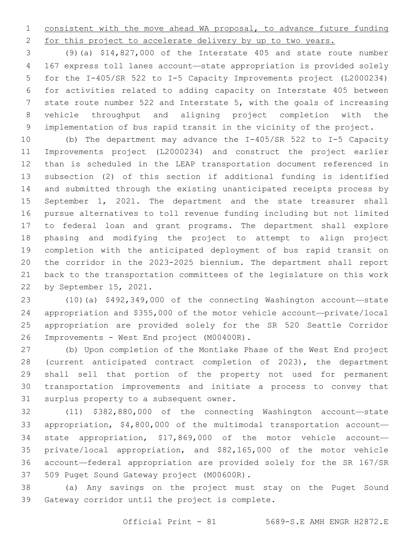consistent with the move ahead WA proposal, to advance future funding 2 for this project to accelerate delivery by up to two years.

 (9)(a) \$14,827,000 of the Interstate 405 and state route number 167 express toll lanes account—state appropriation is provided solely for the I-405/SR 522 to I-5 Capacity Improvements project (L2000234) for activities related to adding capacity on Interstate 405 between state route number 522 and Interstate 5, with the goals of increasing vehicle throughput and aligning project completion with the implementation of bus rapid transit in the vicinity of the project.

 (b) The department may advance the I-405/SR 522 to I-5 Capacity Improvements project (L2000234) and construct the project earlier than is scheduled in the LEAP transportation document referenced in subsection (2) of this section if additional funding is identified and submitted through the existing unanticipated receipts process by September 1, 2021. The department and the state treasurer shall pursue alternatives to toll revenue funding including but not limited to federal loan and grant programs. The department shall explore phasing and modifying the project to attempt to align project completion with the anticipated deployment of bus rapid transit on the corridor in the 2023-2025 biennium. The department shall report back to the transportation committees of the legislature on this work 22 by September 15, 2021.

 (10)(a) \$492,349,000 of the connecting Washington account—state appropriation and \$355,000 of the motor vehicle account—private/local appropriation are provided solely for the SR 520 Seattle Corridor 26 Improvements - West End project (M00400R).

 (b) Upon completion of the Montlake Phase of the West End project (current anticipated contract completion of 2023), the department shall sell that portion of the property not used for permanent transportation improvements and initiate a process to convey that 31 surplus property to a subsequent owner.

 (11) \$382,880,000 of the connecting Washington account—state appropriation, \$4,800,000 of the multimodal transportation account— state appropriation, \$17,869,000 of the motor vehicle account— private/local appropriation, and \$82,165,000 of the motor vehicle account—federal appropriation are provided solely for the SR 167/SR 37 509 Puget Sound Gateway project (M00600R).

 (a) Any savings on the project must stay on the Puget Sound 39 Gateway corridor until the project is complete.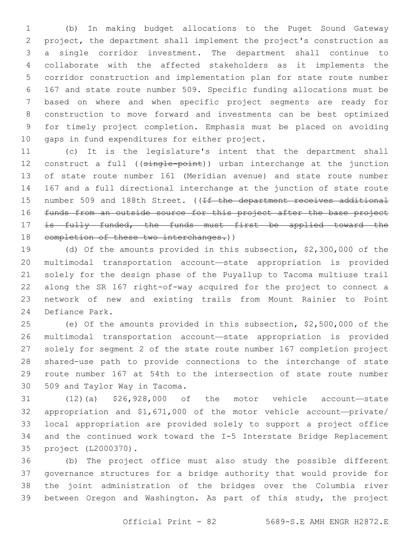(b) In making budget allocations to the Puget Sound Gateway project, the department shall implement the project's construction as a single corridor investment. The department shall continue to collaborate with the affected stakeholders as it implements the corridor construction and implementation plan for state route number 167 and state route number 509. Specific funding allocations must be based on where and when specific project segments are ready for construction to move forward and investments can be best optimized for timely project completion. Emphasis must be placed on avoiding 10 gaps in fund expenditures for either project.

 (c) It is the legislature's intent that the department shall 12 construct a full ((single-point)) urban interchange at the junction of state route number 161 (Meridian avenue) and state route number 167 and a full directional interchange at the junction of state route 15 number 509 and 188th Street. ((If the department receives additional funds from an outside source for this project after the base project 17 is fully funded, the funds must first be applied toward the 18 completion of these two interchanges.))

 (d) Of the amounts provided in this subsection, \$2,300,000 of the multimodal transportation account—state appropriation is provided solely for the design phase of the Puyallup to Tacoma multiuse trail along the SR 167 right-of-way acquired for the project to connect a network of new and existing trails from Mount Rainier to Point 24 Defiance Park.

 (e) Of the amounts provided in this subsection, \$2,500,000 of the multimodal transportation account—state appropriation is provided solely for segment 2 of the state route number 167 completion project shared-use path to provide connections to the interchange of state route number 167 at 54th to the intersection of state route number 30 509 and Taylor Way in Tacoma.

 (12)(a) \$26,928,000 of the motor vehicle account—state appropriation and \$1,671,000 of the motor vehicle account—private/ local appropriation are provided solely to support a project office and the continued work toward the I-5 Interstate Bridge Replacement project (L2000370).35

 (b) The project office must also study the possible different governance structures for a bridge authority that would provide for the joint administration of the bridges over the Columbia river between Oregon and Washington. As part of this study, the project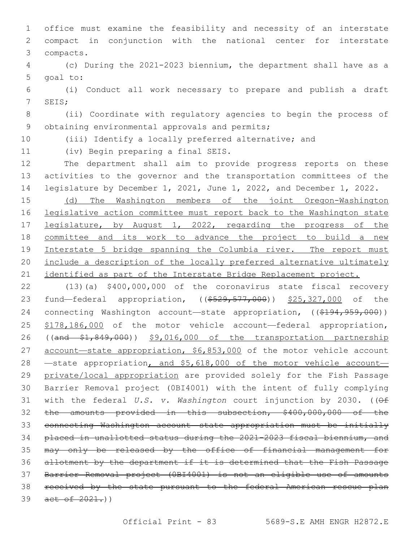office must examine the feasibility and necessity of an interstate compact in conjunction with the national center for interstate compacts.3

 (c) During the 2021-2023 biennium, the department shall have as a 5 goal to:

 (i) Conduct all work necessary to prepare and publish a draft 7 SEIS;

 (ii) Coordinate with regulatory agencies to begin the process of 9 obtaining environmental approvals and permits;

(iii) Identify a locally preferred alternative; and

11 (iv) Begin preparing a final SEIS.

 The department shall aim to provide progress reports on these activities to the governor and the transportation committees of the legislature by December 1, 2021, June 1, 2022, and December 1, 2022.

 (d) The Washington members of the joint Oregon-Washington legislative action committee must report back to the Washington state 17 legislature, by August 1, 2022, regarding the progress of the committee and its work to advance the project to build a new Interstate 5 bridge spanning the Columbia river. The report must include a description of the locally preferred alternative ultimately 21 identified as part of the Interstate Bridge Replacement project.

 (13)(a) \$400,000,000 of the coronavirus state fiscal recovery 23 fund—federal appropriation, ((\$529,577,000)) \$25,327,000 of the 24 connecting Washington account—state appropriation, ((\$194,959,000)) \$178,186,000 of the motor vehicle account—federal appropriation, ((and \$1,849,000)) \$9,016,000 of the transportation partnership 27 account-state appropriation, \$6,853,000 of the motor vehicle account 28 —state appropriation, and \$5,618,000 of the motor vehicle account-29 private/local appropriation are provided solely for the Fish Passage Barrier Removal project (0BI4001) with the intent of fully complying with the federal *U.S. v. Washington* court injunction by 2030. ((Of the amounts provided in this subsection, \$400,000,000 of the connecting Washington account—state appropriation must be initially placed in unallotted status during the 2021-2023 fiscal biennium, and may only be released by the office of financial management for allotment by the department if it is determined that the Fish Passage Barrier Removal project (0BI4001) is not an eligible use of amounts received by the state pursuant to the federal American rescue plan 39 act of .)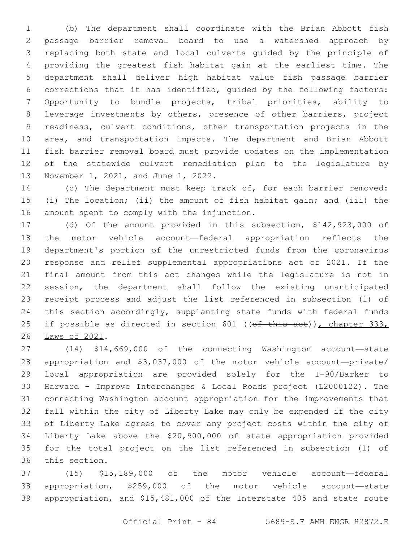(b) The department shall coordinate with the Brian Abbott fish passage barrier removal board to use a watershed approach by replacing both state and local culverts guided by the principle of providing the greatest fish habitat gain at the earliest time. The department shall deliver high habitat value fish passage barrier corrections that it has identified, guided by the following factors: Opportunity to bundle projects, tribal priorities, ability to leverage investments by others, presence of other barriers, project readiness, culvert conditions, other transportation projects in the area, and transportation impacts. The department and Brian Abbott fish barrier removal board must provide updates on the implementation of the statewide culvert remediation plan to the legislature by 13 November 1, 2021, and June 1, 2022.

 (c) The department must keep track of, for each barrier removed: (i) The location; (ii) the amount of fish habitat gain; and (iii) the 16 amount spent to comply with the injunction.

 (d) Of the amount provided in this subsection, \$142,923,000 of the motor vehicle account—federal appropriation reflects the department's portion of the unrestricted funds from the coronavirus response and relief supplemental appropriations act of 2021. If the final amount from this act changes while the legislature is not in session, the department shall follow the existing unanticipated receipt process and adjust the list referenced in subsection (1) of this section accordingly, supplanting state funds with federal funds 25 if possible as directed in section 601 ((of this act)), chapter 333, 26 Laws of 2021.

 (14) \$14,669,000 of the connecting Washington account—state appropriation and \$3,037,000 of the motor vehicle account—private/ local appropriation are provided solely for the I-90/Barker to Harvard – Improve Interchanges & Local Roads project (L2000122). The connecting Washington account appropriation for the improvements that fall within the city of Liberty Lake may only be expended if the city of Liberty Lake agrees to cover any project costs within the city of Liberty Lake above the \$20,900,000 of state appropriation provided for the total project on the list referenced in subsection (1) of 36 this section.

 (15) \$15,189,000 of the motor vehicle account—federal appropriation, \$259,000 of the motor vehicle account—state appropriation, and \$15,481,000 of the Interstate 405 and state route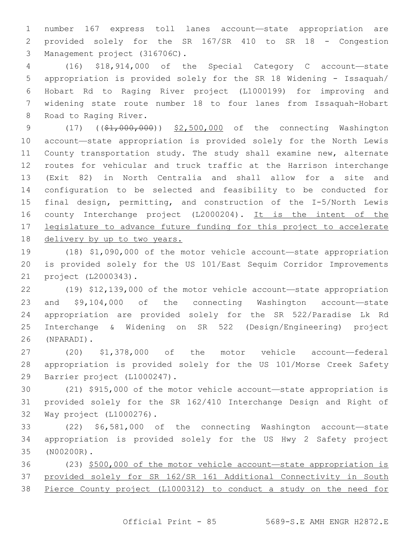number 167 express toll lanes account—state appropriation are provided solely for the SR 167/SR 410 to SR 18 - Congestion 3 Management project (316706C).

 (16) \$18,914,000 of the Special Category C account—state appropriation is provided solely for the SR 18 Widening - Issaquah/ Hobart Rd to Raging River project (L1000199) for improving and widening state route number 18 to four lanes from Issaquah-Hobart 8 Road to Raging River.

9 (17) ((\$1,000,000)) \$2,500,000 of the connecting Washington account—state appropriation is provided solely for the North Lewis County transportation study. The study shall examine new, alternate routes for vehicular and truck traffic at the Harrison interchange (Exit 82) in North Centralia and shall allow for a site and configuration to be selected and feasibility to be conducted for final design, permitting, and construction of the I-5/North Lewis county Interchange project (L2000204). It is the intent of the legislature to advance future funding for this project to accelerate delivery by up to two years.

 (18) \$1,090,000 of the motor vehicle account—state appropriation is provided solely for the US 101/East Sequim Corridor Improvements project (L2000343).21

 (19) \$12,139,000 of the motor vehicle account—state appropriation and \$9,104,000 of the connecting Washington account—state appropriation are provided solely for the SR 522/Paradise Lk Rd Interchange & Widening on SR 522 (Design/Engineering) project (NPARADI).26

 (20) \$1,378,000 of the motor vehicle account—federal appropriation is provided solely for the US 101/Morse Creek Safety 29 Barrier project (L1000247).

 (21) \$915,000 of the motor vehicle account—state appropriation is provided solely for the SR 162/410 Interchange Design and Right of 32 Way project (L1000276).

 (22) \$6,581,000 of the connecting Washington account—state appropriation is provided solely for the US Hwy 2 Safety project (N00200R).35

 (23) \$500,000 of the motor vehicle account—state appropriation is provided solely for SR 162/SR 161 Additional Connectivity in South Pierce County project (L1000312) to conduct a study on the need for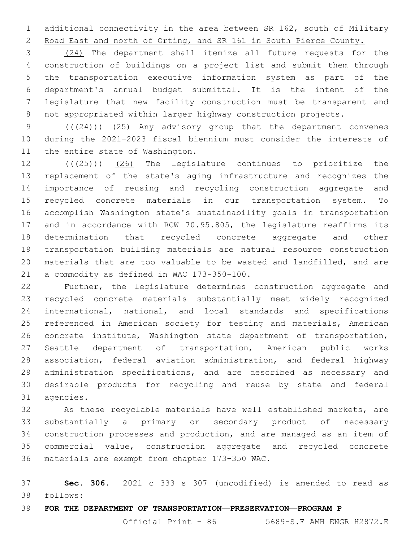additional connectivity in the area between SR 162, south of Military

Road East and north of Orting, and SR 161 in South Pierce County.

 (24) The department shall itemize all future requests for the construction of buildings on a project list and submit them through the transportation executive information system as part of the department's annual budget submittal. It is the intent of the legislature that new facility construction must be transparent and not appropriated within larger highway construction projects.

9 (( $(24)$ )) (25) Any advisory group that the department convenes during the 2021-2023 fiscal biennium must consider the interests of 11 the entire state of Washington.

 $((+25+))$  (26) The legislature continues to prioritize the replacement of the state's aging infrastructure and recognizes the importance of reusing and recycling construction aggregate and recycled concrete materials in our transportation system. To accomplish Washington state's sustainability goals in transportation and in accordance with RCW 70.95.805, the legislature reaffirms its determination that recycled concrete aggregate and other transportation building materials are natural resource construction materials that are too valuable to be wasted and landfilled, and are 21 a commodity as defined in WAC 173-350-100.

 Further, the legislature determines construction aggregate and recycled concrete materials substantially meet widely recognized international, national, and local standards and specifications referenced in American society for testing and materials, American concrete institute, Washington state department of transportation, Seattle department of transportation, American public works association, federal aviation administration, and federal highway administration specifications, and are described as necessary and desirable products for recycling and reuse by state and federal 31 agencies.

 As these recyclable materials have well established markets, are substantially a primary or secondary product of necessary construction processes and production, and are managed as an item of commercial value, construction aggregate and recycled concrete 36 materials are exempt from chapter 173-350 WAC.

 **Sec. 306.** 2021 c 333 s 307 (uncodified) is amended to read as follows: 38

**FOR THE DEPARTMENT OF TRANSPORTATION—PRESERVATION—PROGRAM P**

Official Print - 86 5689-S.E AMH ENGR H2872.E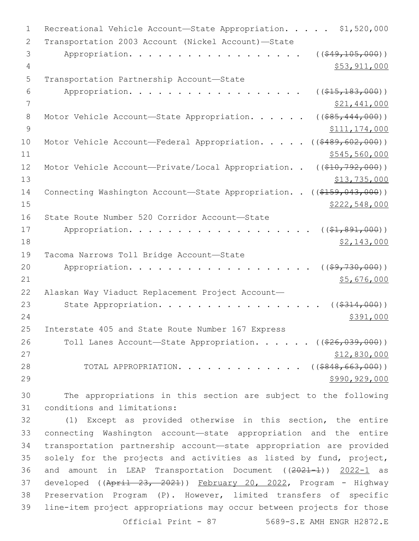| $\mathbf 1$ | Recreational Vehicle Account-State Appropriation. \$1,520,000                 |
|-------------|-------------------------------------------------------------------------------|
| 2           | Transportation 2003 Account (Nickel Account)-State                            |
| 3           | Appropriation.<br>( ( \$49, 105, 000) )                                       |
| 4           | \$53,911,000                                                                  |
| 5           | Transportation Partnership Account-State                                      |
| 6           | Appropriation.<br>( ( \$15, 183, 000) )                                       |
| 7           | \$21,441,000                                                                  |
| 8           | ( ( \$85, 444, 000) )<br>Motor Vehicle Account-State Appropriation.           |
| 9           | \$111,174,000                                                                 |
| 10          | ( ( \$489, 602, 000) )<br>Motor Vehicle Account-Federal Appropriation.        |
| 11          | \$545,560,000                                                                 |
| 12          | ( ( \$10, 792, 000) )<br>Motor Vehicle Account-Private/Local Appropriation. . |
| 13          | \$13,735,000                                                                  |
| 14          | Connecting Washington Account-State Appropriation. . ((\$159,043,000))        |
| 15          | \$222,548,000                                                                 |
| 16          | State Route Number 520 Corridor Account-State                                 |
| 17          | Appropriation.<br>$((\$1,891,000))$                                           |
| 18          | \$2,143,000                                                                   |
| 19          | Tacoma Narrows Toll Bridge Account-State                                      |
| 20          | ( ( \$9, 730, 000) )<br>Appropriation.                                        |
| 21          | \$5,676,000                                                                   |
| 22          | Alaskan Way Viaduct Replacement Project Account-                              |
| 23          | State Appropriation.<br>( ( \$314,000) )                                      |
| 24          | \$391,000                                                                     |
| 25          | Interstate 405 and State Route Number 167 Express                             |
| 26          | Toll Lanes Account-State Appropriation. ((\$26,039,000))                      |
| 27          | \$12,830,000                                                                  |
| 28          | TOTAL APPROPRIATION. ( $(\frac{2848,663,000}{s})$ )                           |
| 29          | \$990,929,000                                                                 |
| 30          | The appropriations in this section are subject to the following               |

 The appropriations in this section are subject to the following 31 conditions and limitations:

 (1) Except as provided otherwise in this section, the entire connecting Washington account—state appropriation and the entire transportation partnership account—state appropriation are provided solely for the projects and activities as listed by fund, project, 36 and amount in LEAP Transportation Document ((2021-1)) 2022-1 as 37 developed ((April 23, 2021)) February 20, 2022, Program - Highway Preservation Program (P). However, limited transfers of specific line-item project appropriations may occur between projects for those Official Print - 87 5689-S.E AMH ENGR H2872.E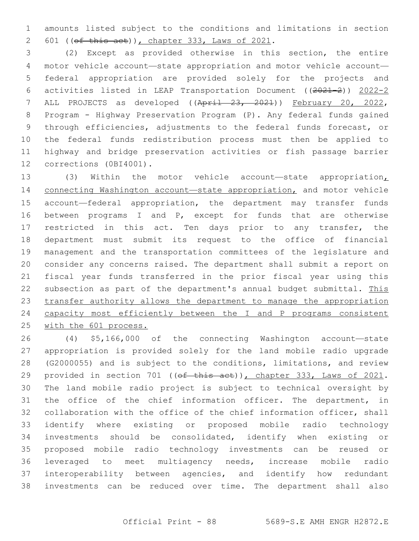amounts listed subject to the conditions and limitations in section 601 (( $ef$  this act)), chapter 333, Laws of 2021.

 (2) Except as provided otherwise in this section, the entire motor vehicle account—state appropriation and motor vehicle account— federal appropriation are provided solely for the projects and activities listed in LEAP Transportation Document ((2021-2)) 2022-2 ALL PROJECTS as developed ((April 23, 2021)) February 20, 2022, Program - Highway Preservation Program (P). Any federal funds gained through efficiencies, adjustments to the federal funds forecast, or the federal funds redistribution process must then be applied to highway and bridge preservation activities or fish passage barrier 12 corrections (0BI4001).

13 (3) Within the motor vehicle account—state appropriation<sub>L</sub> 14 connecting Washington account-state appropriation, and motor vehicle account—federal appropriation, the department may transfer funds between programs I and P, except for funds that are otherwise 17 restricted in this act. Ten days prior to any transfer, the department must submit its request to the office of financial management and the transportation committees of the legislature and consider any concerns raised. The department shall submit a report on fiscal year funds transferred in the prior fiscal year using this 22 subsection as part of the department's annual budget submittal. This transfer authority allows the department to manage the appropriation 24 capacity most efficiently between the I and P programs consistent with the 601 process.

 (4) \$5,166,000 of the connecting Washington account—state appropriation is provided solely for the land mobile radio upgrade (G2000055) and is subject to the conditions, limitations, and review 29 provided in section 701 ((of this act)), chapter 333, Laws of 2021. The land mobile radio project is subject to technical oversight by the office of the chief information officer. The department, in collaboration with the office of the chief information officer, shall identify where existing or proposed mobile radio technology investments should be consolidated, identify when existing or proposed mobile radio technology investments can be reused or leveraged to meet multiagency needs, increase mobile radio interoperability between agencies, and identify how redundant investments can be reduced over time. The department shall also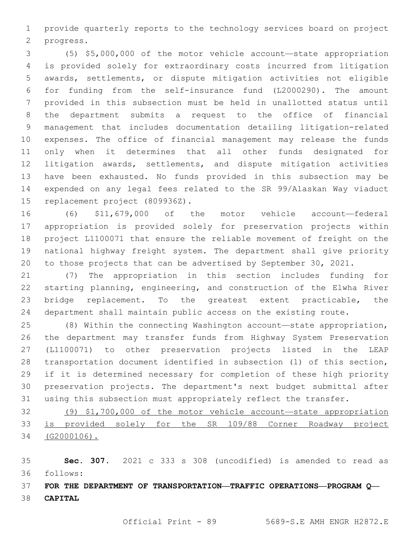provide quarterly reports to the technology services board on project 2 progress.

 (5) \$5,000,000 of the motor vehicle account—state appropriation is provided solely for extraordinary costs incurred from litigation awards, settlements, or dispute mitigation activities not eligible for funding from the self-insurance fund (L2000290). The amount provided in this subsection must be held in unallotted status until the department submits a request to the office of financial management that includes documentation detailing litigation-related expenses. The office of financial management may release the funds only when it determines that all other funds designated for litigation awards, settlements, and dispute mitigation activities have been exhausted. No funds provided in this subsection may be expended on any legal fees related to the SR 99/Alaskan Way viaduct 15 replacement project (809936Z).

 (6) \$11,679,000 of the motor vehicle account—federal appropriation is provided solely for preservation projects within project L1100071 that ensure the reliable movement of freight on the national highway freight system. The department shall give priority to those projects that can be advertised by September 30, 2021.

 (7) The appropriation in this section includes funding for starting planning, engineering, and construction of the Elwha River 23 bridge replacement. To the greatest extent practicable, the department shall maintain public access on the existing route.

 (8) Within the connecting Washington account—state appropriation, the department may transfer funds from Highway System Preservation (L1100071) to other preservation projects listed in the LEAP transportation document identified in subsection (1) of this section, if it is determined necessary for completion of these high priority preservation projects. The department's next budget submittal after using this subsection must appropriately reflect the transfer.

 (9) \$1,700,000 of the motor vehicle account—state appropriation is provided solely for the SR 109/88 Corner Roadway project (G2000106).

 **Sec. 307.** 2021 c 333 s 308 (uncodified) is amended to read as follows: 36

 **FOR THE DEPARTMENT OF TRANSPORTATION—TRAFFIC OPERATIONS—PROGRAM Q— CAPITAL**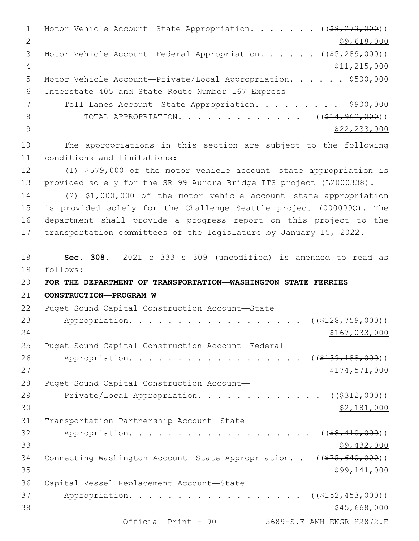1 Motor Vehicle Account—State Appropriation. . . . . . ((\$8,273,000)) 2 \$9,618,000 3 Motor Vehicle Account—Federal Appropriation. . . . . ((\$5,289,000)) 4 \$11,215,000 5 Motor Vehicle Account—Private/Local Appropriation. . . . . \$500,000 Interstate 405 and State Route Number 167 Express6 7 Toll Lanes Account-State Appropriation. . . . . . . . \$900,000 8 TOTAL APPROPRIATION. . . . . . . . . . . . ((\$14,962,000)) 9  $\frac{1}{2}$   $\frac{1}{2}$   $\frac{233}{233}$ ,000 10 The appropriations in this section are subject to the following 11 conditions and limitations: 12 (1) \$579,000 of the motor vehicle account—state appropriation is 13 provided solely for the SR 99 Aurora Bridge ITS project (L2000338). 14 (2) \$1,000,000 of the motor vehicle account—state appropriation 15 is provided solely for the Challenge Seattle project (000009Q). The 16 department shall provide a progress report on this project to the 17 transportation committees of the legislature by January 15, 2022. 18 **Sec. 308.** 2021 c 333 s 309 (uncodified) is amended to read as follows: 19 20 **FOR THE DEPARTMENT OF TRANSPORTATION—WASHINGTON STATE FERRIES**  21 **CONSTRUCTION—PROGRAM W** 22 Puget Sound Capital Construction Account-State 23 Appropriation. . . . . . . . . . . . . . . . . ((\$128,759,000)) 24 \$167,033,000 25 Puget Sound Capital Construction Account-Federal 26 Appropriation. . . . . . . . . . . . . . . . (  $(\frac{2139,188,000}{1})$  $27$   $\$174,571,000$ 28 Puget Sound Capital Construction Account— 29 Private/Local Appropriation. . . . . . . . . . . . ((\$312,000))  $30$  \$2,181,000 31 Transportation Partnership Account-State 32 Appropriation. . . . . . . . . . . . . . . . .  $($   $(*8,410,000))$  $33$  \$9,432,000 34 Connecting Washington Account-State Appropriation. . ((\$75,640,000))  $35$  \$99,141,000 36 Capital Vessel Replacement Account-State 37 Appropriation. . . . . . . . . . . . . . . . (  $(\frac{2152}{152}, \frac{453}{100})$  )  $38$  \$45,668,000 Official Print - 90 5689-S.E AMH ENGR H2872.E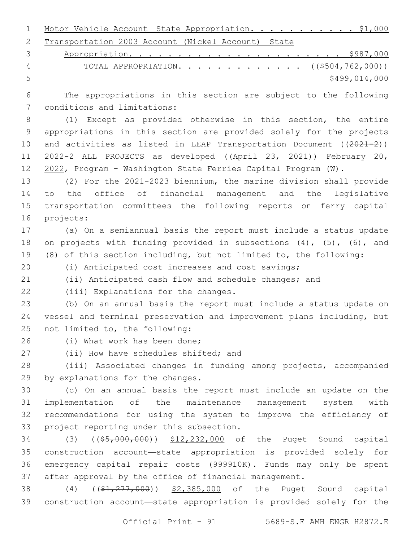| 1 Motor Vehicle Account-State Appropriation. \$1,000 |  |  |  |  |
|------------------------------------------------------|--|--|--|--|
| 2 Transportation 2003 Account (Nickel Account)-State |  |  |  |  |

|   | 4 TOTAL APPROPRIATION. ((\$504,762,000)) |
|---|------------------------------------------|
| 5 | \$499,014,000                            |

 The appropriations in this section are subject to the following 7 conditions and limitations:

 (1) Except as provided otherwise in this section, the entire appropriations in this section are provided solely for the projects 10 and activities as listed in LEAP Transportation Document ((2021-2)) 11 2022-2 ALL PROJECTS as developed ((April 23, 2021)) February 20, 2022, Program - Washington State Ferries Capital Program (W).

 (2) For the 2021-2023 biennium, the marine division shall provide to the office of financial management and the legislative transportation committees the following reports on ferry capital 16 projects:

 (a) On a semiannual basis the report must include a status update 18 on projects with funding provided in subsections (4), (5), (6), and (8) of this section including, but not limited to, the following:

(i) Anticipated cost increases and cost savings;

(ii) Anticipated cash flow and schedule changes; and

22 (iii) Explanations for the changes.

 (b) On an annual basis the report must include a status update on vessel and terminal preservation and improvement plans including, but 25 not limited to, the following:

26 (i) What work has been done:

27 (ii) How have schedules shifted; and

 (iii) Associated changes in funding among projects, accompanied 29 by explanations for the changes.

 (c) On an annual basis the report must include an update on the implementation of the maintenance management system with recommendations for using the system to improve the efficiency of 33 project reporting under this subsection.

 (3) ((\$5,000,000)) \$12,232,000 of the Puget Sound capital construction account—state appropriation is provided solely for emergency capital repair costs (999910K). Funds may only be spent after approval by the office of financial management.

38 (4) ((\$1,277,000)) \$2,385,000 of the Puget Sound capital construction account—state appropriation is provided solely for the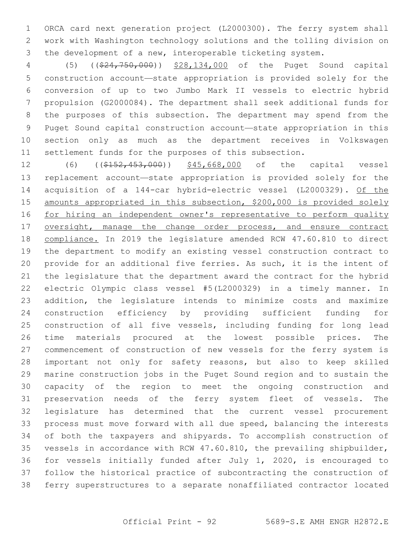ORCA card next generation project (L2000300). The ferry system shall work with Washington technology solutions and the tolling division on the development of a new, interoperable ticketing system.

 (5) ((\$24,750,000)) \$28,134,000 of the Puget Sound capital construction account—state appropriation is provided solely for the conversion of up to two Jumbo Mark II vessels to electric hybrid propulsion (G2000084). The department shall seek additional funds for the purposes of this subsection. The department may spend from the Puget Sound capital construction account—state appropriation in this section only as much as the department receives in Volkswagen settlement funds for the purposes of this subsection.

12 (6) ((\$152,453,000)) \$45,668,000 of the capital vessel replacement account—state appropriation is provided solely for the acquisition of a 144-car hybrid-electric vessel (L2000329). Of the amounts appropriated in this subsection, \$200,000 is provided solely for hiring an independent owner's representative to perform quality 17 oversight, manage the change order process, and ensure contract compliance. In 2019 the legislature amended RCW 47.60.810 to direct the department to modify an existing vessel construction contract to provide for an additional five ferries. As such, it is the intent of the legislature that the department award the contract for the hybrid electric Olympic class vessel #5(L2000329) in a timely manner. In addition, the legislature intends to minimize costs and maximize construction efficiency by providing sufficient funding for construction of all five vessels, including funding for long lead time materials procured at the lowest possible prices. The commencement of construction of new vessels for the ferry system is important not only for safety reasons, but also to keep skilled marine construction jobs in the Puget Sound region and to sustain the capacity of the region to meet the ongoing construction and preservation needs of the ferry system fleet of vessels. The legislature has determined that the current vessel procurement process must move forward with all due speed, balancing the interests of both the taxpayers and shipyards. To accomplish construction of vessels in accordance with RCW 47.60.810, the prevailing shipbuilder, for vessels initially funded after July 1, 2020, is encouraged to follow the historical practice of subcontracting the construction of ferry superstructures to a separate nonaffiliated contractor located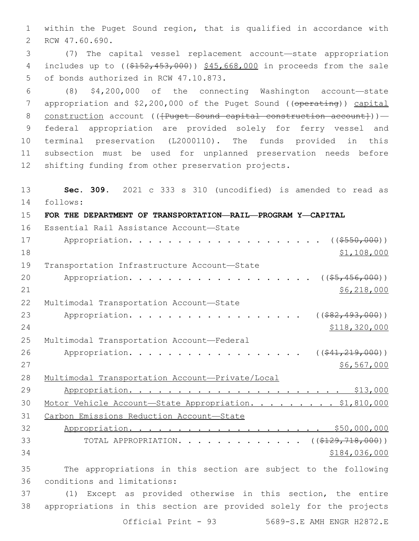1 within the Puget Sound region, that is qualified in accordance with 2 RCW 47.60.690.

3 (7) The capital vessel replacement account—state appropriation 4 includes up to ((\$152,453,000)) \$45,668,000 in proceeds from the sale 5 of bonds authorized in RCW 47.10.873.

 (8) \$4,200,000 of the connecting Washington account—state 7 appropriation and \$2,200,000 of the Puget Sound ((operating)) capital 8 construction account (( ${Puqet}$  Sound capital construction account})) - federal appropriation are provided solely for ferry vessel and terminal preservation (L2000110). The funds provided in this subsection must be used for unplanned preservation needs before shifting funding from other preservation projects.

13 **Sec. 309.** 2021 c 333 s 310 (uncodified) is amended to read as follows: 14 15 **FOR THE DEPARTMENT OF TRANSPORTATION—RAIL—PROGRAM Y—CAPITAL** 16 Essential Rail Assistance Account-State 17 Appropriation. . . . . . . . . . . . . . . . . . (  $(\frac{2550,000}{1})$  $18$  \$1,108,000 19 Transportation Infrastructure Account-State 20 Appropriation. . . . . . . . . . . . . . . . . (  $(\frac{25}{1000})$  )  $21$  \$6,218,000 22 Multimodal Transportation Account-State 23 Appropriation. . . . . . . . . . . . . . . . . (  $(*82,493,000)$  ) 24 \$118,320,000 25 Multimodal Transportation Account-Federal 26 Appropriation. . . . . . . . . . . . . . . . ((<del>\$41,219,000</del>))  $27$  \$6,567,000 28 Multimodal Transportation Account—Private/Local 29 Appropriation. . . . . . . . . . . . . . . . . . . . . . \$13,000 30 Motor Vehicle Account—State Appropriation. . . . . . . . . \$1,810,000 31 Carbon Emissions Reduction Account—State 32 Appropriation. . . . . . . . . . . . . . . . . . . . \$50,000,000 33 TOTAL APPROPRIATION. . . . . . . . . . . . . ((\$129,718,000))  $34$   $$184,036,000$ 35 The appropriations in this section are subject to the following 36 conditions and limitations: 37 (1) Except as provided otherwise in this section, the entire 38 appropriations in this section are provided solely for the projects

Official Print - 93 5689-S.E AMH ENGR H2872.E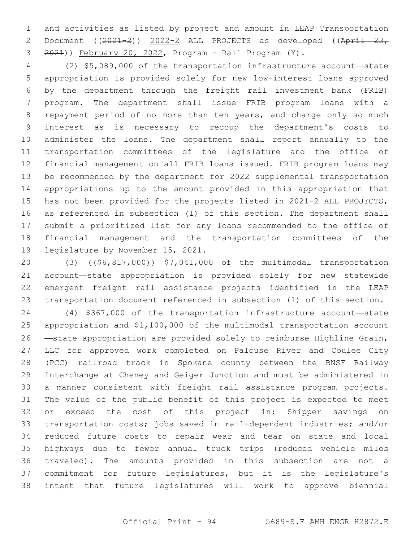and activities as listed by project and amount in LEAP Transportation 2 Document ((2021-2)) 2022-2 ALL PROJECTS as developed ((April 23, 2021)) February 20, 2022, Program - Rail Program (Y).

 (2) \$5,089,000 of the transportation infrastructure account—state appropriation is provided solely for new low-interest loans approved by the department through the freight rail investment bank (FRIB) program. The department shall issue FRIB program loans with a repayment period of no more than ten years, and charge only so much interest as is necessary to recoup the department's costs to administer the loans. The department shall report annually to the transportation committees of the legislature and the office of financial management on all FRIB loans issued. FRIB program loans may be recommended by the department for 2022 supplemental transportation appropriations up to the amount provided in this appropriation that has not been provided for the projects listed in 2021-2 ALL PROJECTS, as referenced in subsection (1) of this section. The department shall submit a prioritized list for any loans recommended to the office of financial management and the transportation committees of the 19 legislature by November 15, 2021.

20 (3) ((\$6,817,000)) \$7,041,000 of the multimodal transportation account—state appropriation is provided solely for new statewide emergent freight rail assistance projects identified in the LEAP transportation document referenced in subsection (1) of this section.

 (4) \$367,000 of the transportation infrastructure account—state appropriation and \$1,100,000 of the multimodal transportation account —state appropriation are provided solely to reimburse Highline Grain, LLC for approved work completed on Palouse River and Coulee City (PCC) railroad track in Spokane county between the BNSF Railway Interchange at Cheney and Geiger Junction and must be administered in a manner consistent with freight rail assistance program projects. The value of the public benefit of this project is expected to meet or exceed the cost of this project in: Shipper savings on transportation costs; jobs saved in rail-dependent industries; and/or reduced future costs to repair wear and tear on state and local highways due to fewer annual truck trips (reduced vehicle miles traveled). The amounts provided in this subsection are not a commitment for future legislatures, but it is the legislature's intent that future legislatures will work to approve biennial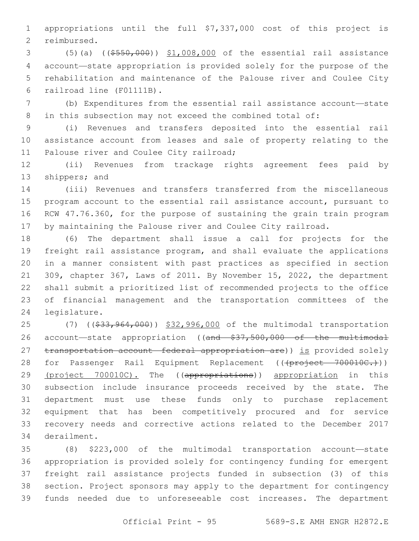appropriations until the full \$7,337,000 cost of this project is 2 reimbursed.

 (5)(a) ((\$550,000)) \$1,008,000 of the essential rail assistance account—state appropriation is provided solely for the purpose of the rehabilitation and maintenance of the Palouse river and Coulee City 6 railroad line (F01111B).

 (b) Expenditures from the essential rail assistance account—state in this subsection may not exceed the combined total of:

 (i) Revenues and transfers deposited into the essential rail assistance account from leases and sale of property relating to the 11 Palouse river and Coulee City railroad;

 (ii) Revenues from trackage rights agreement fees paid by 13 shippers; and

 (iii) Revenues and transfers transferred from the miscellaneous program account to the essential rail assistance account, pursuant to RCW 47.76.360, for the purpose of sustaining the grain train program 17 by maintaining the Palouse river and Coulee City railroad.

 (6) The department shall issue a call for projects for the freight rail assistance program, and shall evaluate the applications in a manner consistent with past practices as specified in section 309, chapter 367, Laws of 2011. By November 15, 2022, the department shall submit a prioritized list of recommended projects to the office of financial management and the transportation committees of the 24 legislature.

25 (7) ((\$33,964,000)) \$32,996,000 of the multimodal transportation 26 account—state appropriation ((and \$37,500,000 of the multimodal 27 transportation account—federal appropriation are)) is provided solely 28 for Passenger Rail Equipment Replacement (((project 700010C.))) 29 (project 700010C). The ((appropriations)) appropriation in this subsection include insurance proceeds received by the state. The department must use these funds only to purchase replacement equipment that has been competitively procured and for service recovery needs and corrective actions related to the December 2017 34 derailment.

 (8) \$223,000 of the multimodal transportation account—state appropriation is provided solely for contingency funding for emergent freight rail assistance projects funded in subsection (3) of this section. Project sponsors may apply to the department for contingency funds needed due to unforeseeable cost increases. The department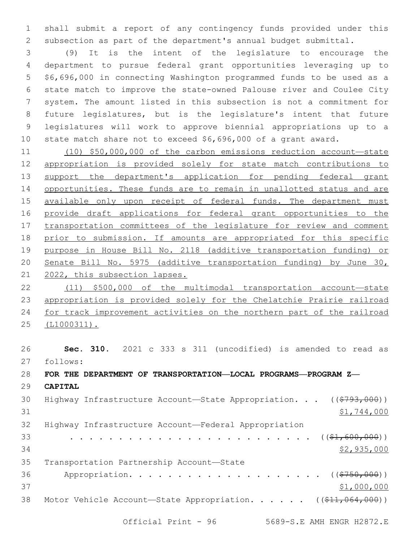shall submit a report of any contingency funds provided under this subsection as part of the department's annual budget submittal.

 (9) It is the intent of the legislature to encourage the department to pursue federal grant opportunities leveraging up to \$6,696,000 in connecting Washington programmed funds to be used as a state match to improve the state-owned Palouse river and Coulee City system. The amount listed in this subsection is not a commitment for future legislatures, but is the legislature's intent that future legislatures will work to approve biennial appropriations up to a state match share not to exceed \$6,696,000 of a grant award.

 (10) \$50,000,000 of the carbon emissions reduction account—state appropriation is provided solely for state match contributions to 13 support the department's application for pending federal grant opportunities. These funds are to remain in unallotted status and are 15 available only upon receipt of federal funds. The department must provide draft applications for federal grant opportunities to the transportation committees of the legislature for review and comment prior to submission. If amounts are appropriated for this specific purpose in House Bill No. 2118 (additive transportation funding) or Senate Bill No. 5975 (additive transportation funding) by June 30, 2022, this subsection lapses.

 (11) \$500,000 of the multimodal transportation account—state appropriation is provided solely for the Chelatchie Prairie railroad for track improvement activities on the northern part of the railroad (L1000311).

 **Sec. 310.** 2021 c 333 s 311 (uncodified) is amended to read as follows: 27 **FOR THE DEPARTMENT OF TRANSPORTATION—LOCAL PROGRAMS—PROGRAM Z— CAPITAL** 30 Highway Infrastructure Account—State Appropriation. . . ((\$793,000))  $$1,744,000$  Highway Infrastructure Account—Federal Appropriation . . . . . . . . . . . . . . . . . . . . . . . . . ((\$1,600,000)) \$2,935,000 35 Transportation Partnership Account-State 36 Appropriation. . . . . . . . . . . . . . . . . . (  $(\frac{2750,000}{1})$ 37 \$1,000,000 38 Motor Vehicle Account—State Appropriation. . . . . ((\$11,064,000))

Official Print - 96 5689-S.E AMH ENGR H2872.E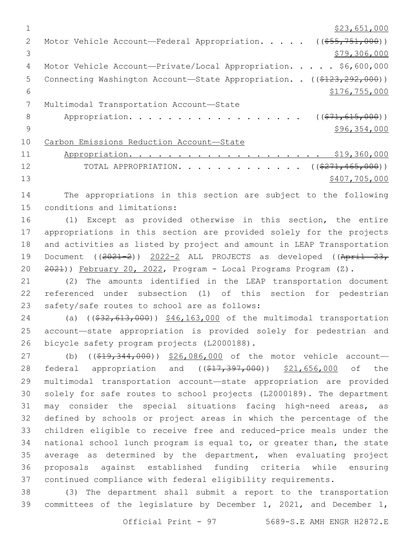|               | \$23,651,000                                                           |
|---------------|------------------------------------------------------------------------|
| $\mathcal{L}$ | Motor Vehicle Account—Federal Appropriation. $($ $($ \$55,751,000))    |
| 3             | \$79,306,000                                                           |
| 4             | Motor Vehicle Account-Private/Local Appropriation. \$6,600,000         |
| 5             | Connecting Washington Account-State Appropriation. . ((\$123,292,000)) |
| 6             | \$176, 755, 000                                                        |
|               | Multimodal Transportation Account-State                                |
| 8             | Appropriation.<br>$((\$71,615,000))$                                   |
| 9             | \$96,354,000                                                           |
| 10            | Carbon Emissions Reduction Account-State                               |
| 11            | \$19,360,000                                                           |
| 12            | TOTAL APPROPRIATION. ( $(\frac{271,465,000}{271,000})$ )               |
| 13            | \$407,705,000                                                          |
|               |                                                                        |

14 The appropriations in this section are subject to the following 15 conditions and limitations:

 (1) Except as provided otherwise in this section, the entire appropriations in this section are provided solely for the projects and activities as listed by project and amount in LEAP Transportation 19 Document ((2021-2)) 2022-2 ALL PROJECTS as developed ((April 23, 2021)) February 20, 2022, Program - Local Programs Program (Z).

21 (2) The amounts identified in the LEAP transportation document 22 referenced under subsection (1) of this section for pedestrian 23 safety/safe routes to school are as follows:

24 (a) ((\$32,613,000)) \$46,163,000 of the multimodal transportation 25 account—state appropriation is provided solely for pedestrian and 26 bicycle safety program projects (L2000188).

27 (b) ((\$19,344,000)) \$26,086,000 of the motor vehicle account-28 federal appropriation and ((\$17,397,000)) \$21,656,000 of the multimodal transportation account—state appropriation are provided solely for safe routes to school projects (L2000189). The department may consider the special situations facing high-need areas, as defined by schools or project areas in which the percentage of the children eligible to receive free and reduced-price meals under the national school lunch program is equal to, or greater than, the state average as determined by the department, when evaluating project proposals against established funding criteria while ensuring continued compliance with federal eligibility requirements.

38 (3) The department shall submit a report to the transportation 39 committees of the legislature by December 1, 2021, and December 1,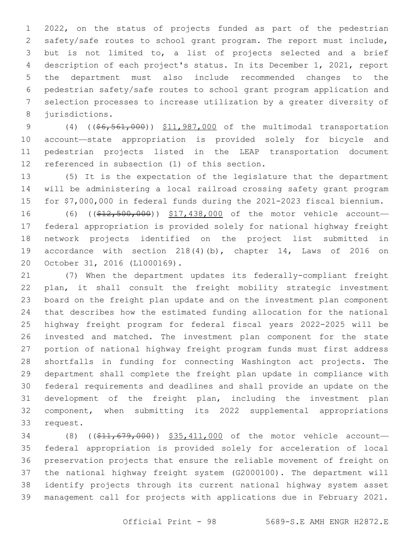2022, on the status of projects funded as part of the pedestrian safety/safe routes to school grant program. The report must include, but is not limited to, a list of projects selected and a brief description of each project's status. In its December 1, 2021, report the department must also include recommended changes to the pedestrian safety/safe routes to school grant program application and selection processes to increase utilization by a greater diversity of 8 jurisdictions.

9 (4) ((\$6,561,000)) \$11,987,000 of the multimodal transportation account—state appropriation is provided solely for bicycle and pedestrian projects listed in the LEAP transportation document 12 referenced in subsection (1) of this section.

 (5) It is the expectation of the legislature that the department will be administering a local railroad crossing safety grant program for \$7,000,000 in federal funds during the 2021-2023 fiscal biennium.

16 (6) ((\$12,500,000)) \$17,438,000 of the motor vehicle account- federal appropriation is provided solely for national highway freight network projects identified on the project list submitted in accordance with section 218(4)(b), chapter 14, Laws of 2016 on 20 October 31, 2016 (L1000169).

 (7) When the department updates its federally-compliant freight plan, it shall consult the freight mobility strategic investment board on the freight plan update and on the investment plan component that describes how the estimated funding allocation for the national highway freight program for federal fiscal years 2022-2025 will be invested and matched. The investment plan component for the state portion of national highway freight program funds must first address shortfalls in funding for connecting Washington act projects. The department shall complete the freight plan update in compliance with federal requirements and deadlines and shall provide an update on the development of the freight plan, including the investment plan component, when submitting its 2022 supplemental appropriations 33 request.

34 (8) ((\$11,679,000)) \$35,411,000 of the motor vehicle account- federal appropriation is provided solely for acceleration of local preservation projects that ensure the reliable movement of freight on the national highway freight system (G2000100). The department will identify projects through its current national highway system asset management call for projects with applications due in February 2021.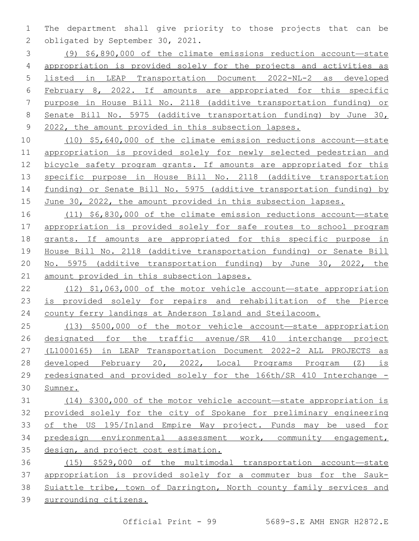The department shall give priority to those projects that can be 2 obligated by September 30, 2021.

 (9) \$6,890,000 of the climate emissions reduction account—state appropriation is provided solely for the projects and activities as listed in LEAP Transportation Document 2022-NL-2 as developed February 8, 2022. If amounts are appropriated for this specific purpose in House Bill No. 2118 (additive transportation funding) or Senate Bill No. 5975 (additive transportation funding) by June 30, 2022, the amount provided in this subsection lapses.

 (10) \$5,640,000 of the climate emission reductions account—state appropriation is provided solely for newly selected pedestrian and bicycle safety program grants. If amounts are appropriated for this 13 specific purpose in House Bill No. 2118 (additive transportation funding) or Senate Bill No. 5975 (additive transportation funding) by June 30, 2022, the amount provided in this subsection lapses.

 (11) \$6,830,000 of the climate emission reductions account—state appropriation is provided solely for safe routes to school program grants. If amounts are appropriated for this specific purpose in House Bill No. 2118 (additive transportation funding) or Senate Bill No. 5975 (additive transportation funding) by June 30, 2022, the amount provided in this subsection lapses.

 (12) \$1,063,000 of the motor vehicle account—state appropriation is provided solely for repairs and rehabilitation of the Pierce county ferry landings at Anderson Island and Steilacoom.

 (13) \$500,000 of the motor vehicle account—state appropriation designated for the traffic avenue/SR 410 interchange project (L1000165) in LEAP Transportation Document 2022-2 ALL PROJECTS as developed February 20, 2022, Local Programs Program (Z) is redesignated and provided solely for the 166th/SR 410 Interchange - Sumner.

 (14) \$300,000 of the motor vehicle account—state appropriation is provided solely for the city of Spokane for preliminary engineering of the US 195/Inland Empire Way project. Funds may be used for predesign environmental assessment work, community engagement, 35 design, and project cost estimation.

 (15) \$529,000 of the multimodal transportation account—state appropriation is provided solely for a commuter bus for the Sauk- Suiattle tribe, town of Darrington, North county family services and surrounding citizens.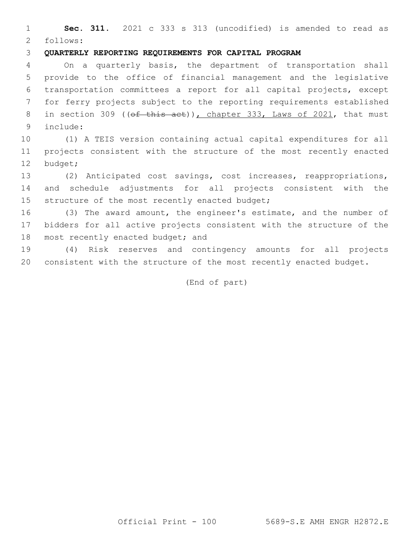**Sec. 311.** 2021 c 333 s 313 (uncodified) is amended to read as follows: 2

## **QUARTERLY REPORTING REQUIREMENTS FOR CAPITAL PROGRAM**

 On a quarterly basis, the department of transportation shall provide to the office of financial management and the legislative transportation committees a report for all capital projects, except for ferry projects subject to the reporting requirements established 8 in section 309 ((of this act)), chapter 333, Laws of 2021, that must include:9

 (1) A TEIS version containing actual capital expenditures for all projects consistent with the structure of the most recently enacted 12 budget;

 (2) Anticipated cost savings, cost increases, reappropriations, and schedule adjustments for all projects consistent with the 15 structure of the most recently enacted budget;

 (3) The award amount, the engineer's estimate, and the number of bidders for all active projects consistent with the structure of the 18 most recently enacted budget; and

 (4) Risk reserves and contingency amounts for all projects consistent with the structure of the most recently enacted budget.

(End of part)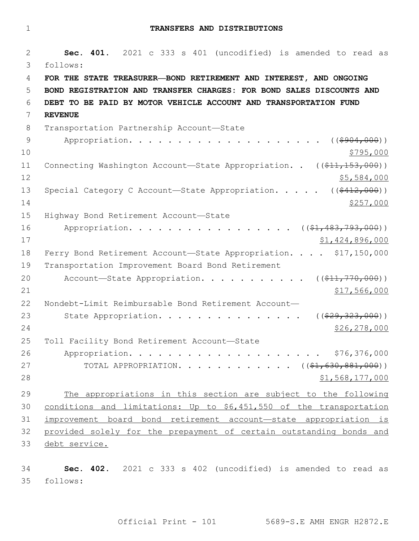1 **TRANSFERS AND DISTRIBUTIONS**

2 **Sec. 401.** 2021 c 333 s 401 (uncodified) is amended to read as follows: 3 4 **FOR THE STATE TREASURER—BOND RETIREMENT AND INTEREST, AND ONGOING**  5 **BOND REGISTRATION AND TRANSFER CHARGES: FOR BOND SALES DISCOUNTS AND**  6 **DEBT TO BE PAID BY MOTOR VEHICLE ACCOUNT AND TRANSPORTATION FUND**  7 **REVENUE** 8 Transportation Partnership Account-State 9 Appropriation. . . . . . . . . . . . . . . . . . ((\$904,000))  $10 \frac{\$795,000}{}$ 11 Connecting Washington Account—State Appropriation. . ((\$11,153,000))  $12$  \$5,584,000 13 Special Category C Account—State Appropriation. . . . . ((\$412,000))  $14$   $\frac{$257,000}{}$ 15 Highway Bond Retirement Account-State 16 Appropriation. . . . . . . . . . . . . . . . ((\$1,483,793,000)) 17 \$1,424,896,000 18 Ferry Bond Retirement Account-State Appropriation. . . . \$17,150,000 19 Transportation Improvement Board Bond Retirement 20 Account—State Appropriation. . . . . . . . . .  $($   $($ \$11,770,000))  $21$   $$17,566,000$ 22 Nondebt-Limit Reimbursable Bond Retirement Account— 23 State Appropriation. . . . . . . . . . . . . . . ((\$29,323,000)) 24 \$26,278,000 25 Toll Facility Bond Retirement Account-State 26 Appropriation. . . . . . . . . . . . . . . . . . . . \$76,376,000 27 TOTAL APPROPRIATION. . . . . . . . . . . ((\$1,630,881,000))  $28$   $51,568,177,000$ 29 The appropriations in this section are subject to the following 30 conditions and limitations: Up to \$6,451,550 of the transportation 31 improvement board bond retirement account—state appropriation is 32 provided solely for the prepayment of certain outstanding bonds and 33 debt service.

34 **Sec. 402.** 2021 c 333 s 402 (uncodified) is amended to read as follows: 35

Official Print - 101 5689-S.E AMH ENGR H2872.E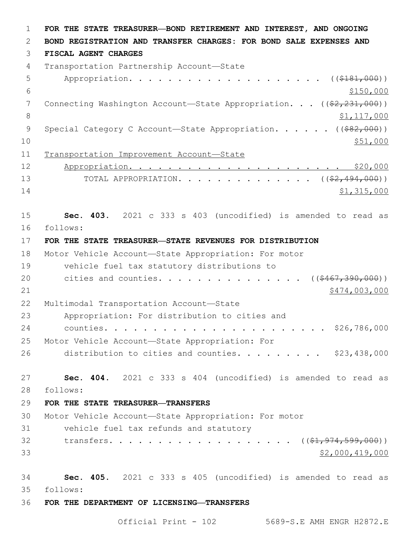1 **FOR THE STATE TREASURER—BOND RETIREMENT AND INTEREST, AND ONGOING**  2 **BOND REGISTRATION AND TRANSFER CHARGES: FOR BOND SALE EXPENSES AND**  3 **FISCAL AGENT CHARGES** 4 Transportation Partnership Account-State 5 Appropriation. . . . . . . . . . . . . . . . . . (  $(\frac{2181,000}{100})$  $\frac{$150,000}{ }$ 7 Connecting Washington Account—State Appropriation. . . ((\$2,231,000)) 8 \$1,117,000 9 Special Category C Account—State Appropriation. . . . . ((\$82,000))  $10 \frac{\$51,000}{\$}$ 11 Transportation Improvement Account—State 12 Appropriation. . . . . . . . . . . . . . . . . . . . . . \$20,000 13 TOTAL APPROPRIATION. . . . . . . . . . . . . ((<del>\$2,494,000</del>))  $14$  \$1,315,000 15 **Sec. 403.** 2021 c 333 s 403 (uncodified) is amended to read as follows: 16 17 **FOR THE STATE TREASURER—STATE REVENUES FOR DISTRIBUTION** 18 Motor Vehicle Account—State Appropriation: For motor 19 vehicle fuel tax statutory distributions to 20 cities and counties. . . . . . . . . . . . . . ((\$467,390,000)) 21 \$474,003,000 \$474,003,000 \$474,003,000 \$474,003,000 \$474,003,000 \$474,003,000 \$474,003,000 \$474,003,000 \$17 22 Multimodal Transportation Account-State 23 Appropriation: For distribution to cities and 24 counties. . . . . . . . . . . . . . . . . . . . . . . \$26,786,000 25 Motor Vehicle Account—State Appropriation: For 26 distribution to cities and counties.  $\ldots$  . . . . . \$23,438,000 27 **Sec. 404.** 2021 c 333 s 404 (uncodified) is amended to read as follows: 28 29 **FOR THE STATE TREASURER—TRANSFERS** 30 Motor Vehicle Account—State Appropriation: For motor 31 vehicle fuel tax refunds and statutory 32 transfers. . . . . . . . . . . . . . . . . ((\$1,974,599,000))  $33$   $$2,000,419,000$ 34 **Sec. 405.** 2021 c 333 s 405 (uncodified) is amended to read as follows: 35 36 **FOR THE DEPARTMENT OF LICENSING—TRANSFERS**

Official Print - 102 5689-S.E AMH ENGR H2872.E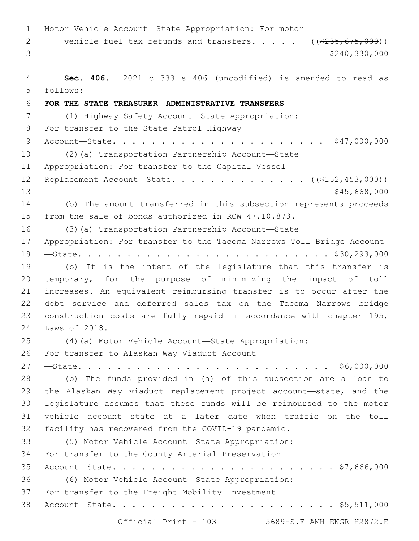Motor Vehicle Account—State Appropriation: For motor 2 vehicle fuel tax refunds and transfers. . . . . ((\$235,675,000))  $3<sup>3</sup>$  \$240,330,000 **Sec. 406.** 2021 c 333 s 406 (uncodified) is amended to read as follows: 5 **FOR THE STATE TREASURER—ADMINISTRATIVE TRANSFERS** (1) Highway Safety Account—State Appropriation: 8 For transfer to the State Patrol Highway Account—State. . . . . . . . . . . . . . . . . . . . . . \$47,000,000 (2)(a) Transportation Partnership Account—State 11 Appropriation: For transfer to the Capital Vessel 12 Replacement Account—State. . . . . . . . . . . . . ((<del>\$152,453,000</del>)) 13 \$45,668,000 (b) The amount transferred in this subsection represents proceeds from the sale of bonds authorized in RCW 47.10.873. (3)(a) Transportation Partnership Account—State Appropriation: For transfer to the Tacoma Narrows Toll Bridge Account —State. . . . . . . . . . . . . . . . . . . . . . . . . . \$30,293,000 (b) It is the intent of the legislature that this transfer is temporary, for the purpose of minimizing the impact of toll increases. An equivalent reimbursing transfer is to occur after the debt service and deferred sales tax on the Tacoma Narrows bridge construction costs are fully repaid in accordance with chapter 195, 24 Laws of 2018. (4)(a) Motor Vehicle Account—State Appropriation: 26 For transfer to Alaskan Way Viaduct Account —State. . . . . . . . . . . . . . . . . . . . . . . . . . \$6,000,000 (b) The funds provided in (a) of this subsection are a loan to the Alaskan Way viaduct replacement project account—state, and the legislature assumes that these funds will be reimbursed to the motor vehicle account—state at a later date when traffic on the toll facility has recovered from the COVID-19 pandemic. (5) Motor Vehicle Account—State Appropriation: 34 For transfer to the County Arterial Preservation Account—State. . . . . . . . . . . . . . . . . . . . . . . \$7,666,000 (6) Motor Vehicle Account—State Appropriation: 37 For transfer to the Freight Mobility Investment Account—State. . . . . . . . . . . . . . . . . . . . . . . \$5,511,000

Official Print - 103 5689-S.E AMH ENGR H2872.E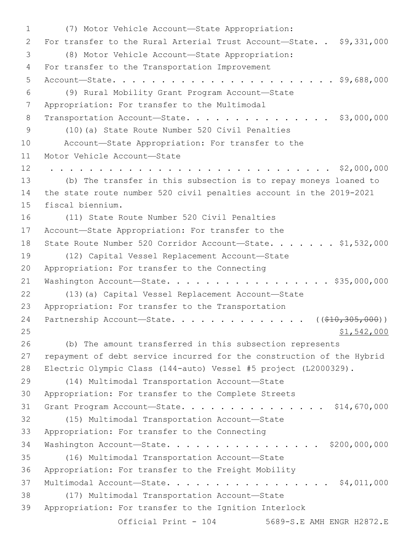(7) Motor Vehicle Account—State Appropriation:1 2 For transfer to the Rural Arterial Trust Account-State. . \$9,331,000 (8) Motor Vehicle Account—State Appropriation:3 4 For transfer to the Transportation Improvement 5 Account—State. . . . . . . . . . . . . . . . . . . . . . . \$9,688,000 (9) Rural Mobility Grant Program Account—State6 7 Appropriation: For transfer to the Multimodal 8 Transportation Account-State. . . . . . . . . . . . . . \$3,000,000 (10)(a) State Route Number 520 Civil Penalties9 10 Account—State Appropriation: For transfer to the 11 Motor Vehicle Account-State 12 . . . . . . . . . . . . . . . . . . . . . . . . . . . . . \$2,000,000 13 (b) The transfer in this subsection is to repay moneys loaned to 14 the state route number 520 civil penalties account in the 2019-2021 15 fiscal biennium. 16 (11) State Route Number 520 Civil Penalties 17 Account—State Appropriation: For transfer to the 18 State Route Number 520 Corridor Account-State. . . . . . \$1,532,000 (12) Capital Vessel Replacement Account—State19 20 Appropriation: For transfer to the Connecting 21 Washington Account-State. . . . . . . . . . . . . . . . \$35,000,000 22 (13)(a) Capital Vessel Replacement Account—State 23 Appropriation: For transfer to the Transportation 24 Partnership Account—State. . . . . . . . . . . . . . ((\$10,305,000)) 25 \$1,542,000 26 (b) The amount transferred in this subsection represents 27 repayment of debt service incurred for the construction of the Hybrid 28 Electric Olympic Class (144-auto) Vessel #5 project (L2000329). (14) Multimodal Transportation Account—State29 30 Appropriation: For transfer to the Complete Streets 31 Grant Program Account—State. . . . . . . . . . . . . . . \$14,670,000 (15) Multimodal Transportation Account—State32 33 Appropriation: For transfer to the Connecting 34 Washington Account—State. . . . . . . . . . . . . . . . \$200,000,000 (16) Multimodal Transportation Account—State35 36 Appropriation: For transfer to the Freight Mobility 37 Multimodal Account—State. . . . . . . . . . . . . . . . . \$4,011,000 (17) Multimodal Transportation Account—State38 39 Appropriation: For transfer to the Ignition Interlock Official Print - 104 5689-S.E AMH ENGR H2872.E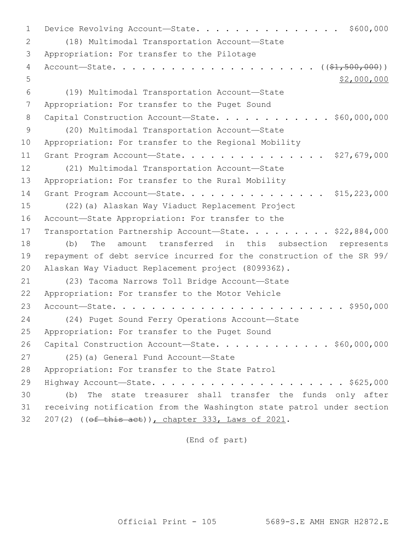1 Device Revolving Account—State. . . . . . . . . . . . . . \$600,000 (18) Multimodal Transportation Account—State2 3 Appropriation: For transfer to the Pilotage 4 Account—State. . . . . . . . . . . . . . . . . . . . . ((\$1,500,000))  $5$  \$2,000,000 (19) Multimodal Transportation Account—State6 7 Appropriation: For transfer to the Puget Sound 8 Capital Construction Account-State. . . . . . . . . . . \$60,000,000 (20) Multimodal Transportation Account—State9 10 Appropriation: For transfer to the Regional Mobility 11 Grant Program Account—State. . . . . . . . . . . . . . . \$27,679,000 12 (21) Multimodal Transportation Account-State 13 Appropriation: For transfer to the Rural Mobility 14 Grant Program Account-State. . . . . . . . . . . . . . . \$15,223,000 15 (22)(a) Alaskan Way Viaduct Replacement Project 16 Account-State Appropriation: For transfer to the 17 Transportation Partnership Account-State. . . . . . . . \$22,884,000 18 (b) The amount transferred in this subsection represents 19 repayment of debt service incurred for the construction of the SR 99/ 20 Alaskan Way Viaduct Replacement project (809936Z). 21 (23) Tacoma Narrows Toll Bridge Account-State 22 Appropriation: For transfer to the Motor Vehicle 23 Account—State. . . . . . . . . . . . . . . . . . . . . . . . \$950,000 24 (24) Puget Sound Ferry Operations Account—State 25 Appropriation: For transfer to the Puget Sound 26 Capital Construction Account-State. . . . . . . . . . . \$60,000,000 27 (25)(a) General Fund Account—State 28 Appropriation: For transfer to the State Patrol 29 Highway Account—State. . . . . . . . . . . . . . . . . . . . \$625,000 30 (b) The state treasurer shall transfer the funds only after 31 receiving notification from the Washington state patrol under section 32 207(2) ((of this act)), chapter 333, Laws of 2021.

(End of part)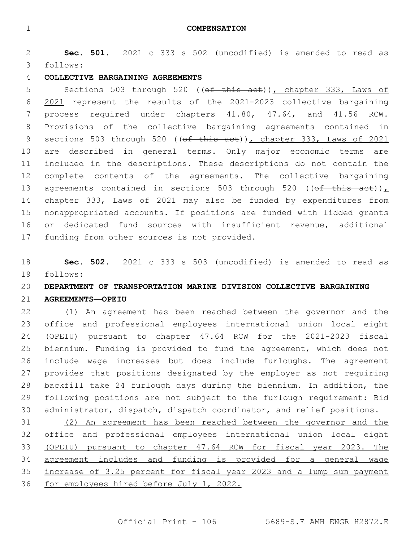**Sec. 501.** 2021 c 333 s 502 (uncodified) is amended to read as follows: 3

## **COLLECTIVE BARGAINING AGREEMENTS**

5 Sections 503 through 520 ((of this act)), chapter 333, Laws of 2021 represent the results of the 2021-2023 collective bargaining process required under chapters 41.80, 47.64, and 41.56 RCW. Provisions of the collective bargaining agreements contained in 9 sections 503 through 520 (( $ef$  this act)), chapter 333, Laws of 2021 are described in general terms. Only major economic terms are included in the descriptions. These descriptions do not contain the complete contents of the agreements. The collective bargaining 13 agreements contained in sections 503 through 520 (( $\theta$ f this act)), 14 chapter 333, Laws of 2021 may also be funded by expenditures from nonappropriated accounts. If positions are funded with lidded grants or dedicated fund sources with insufficient revenue, additional 17 funding from other sources is not provided.

 **Sec. 502.** 2021 c 333 s 503 (uncodified) is amended to read as follows: 19

# **DEPARTMENT OF TRANSPORTATION MARINE DIVISION COLLECTIVE BARGAINING**

### **AGREEMENTS—OPEIU**

 (1) An agreement has been reached between the governor and the office and professional employees international union local eight (OPEIU) pursuant to chapter 47.64 RCW for the 2021-2023 fiscal biennium. Funding is provided to fund the agreement, which does not include wage increases but does include furloughs. The agreement provides that positions designated by the employer as not requiring backfill take 24 furlough days during the biennium. In addition, the following positions are not subject to the furlough requirement: Bid administrator, dispatch, dispatch coordinator, and relief positions.

 (2) An agreement has been reached between the governor and the office and professional employees international union local eight (OPEIU) pursuant to chapter 47.64 RCW for fiscal year 2023. The agreement includes and funding is provided for a general wage increase of 3.25 percent for fiscal year 2023 and a lump sum payment for employees hired before July 1, 2022.

Official Print - 106 5689-S.E AMH ENGR H2872.E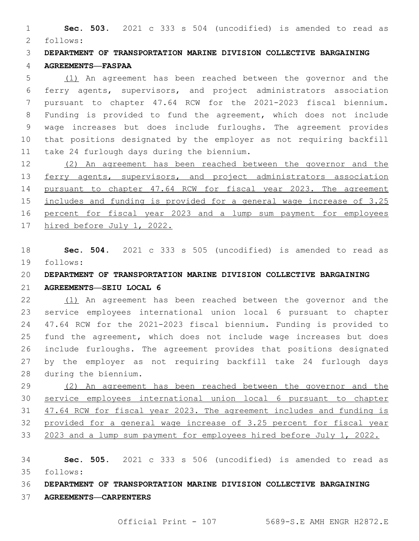**Sec. 503.** 2021 c 333 s 504 (uncodified) is amended to read as follows: 2

 **DEPARTMENT OF TRANSPORTATION MARINE DIVISION COLLECTIVE BARGAINING AGREEMENTS—FASPAA**

 (1) An agreement has been reached between the governor and the ferry agents, supervisors, and project administrators association pursuant to chapter 47.64 RCW for the 2021-2023 fiscal biennium. Funding is provided to fund the agreement, which does not include wage increases but does include furloughs. The agreement provides that positions designated by the employer as not requiring backfill 11 take 24 furlough days during the biennium.

 (2) An agreement has been reached between the governor and the 13 ferry agents, supervisors, and project administrators association pursuant to chapter 47.64 RCW for fiscal year 2023. The agreement includes and funding is provided for a general wage increase of 3.25 percent for fiscal year 2023 and a lump sum payment for employees hired before July 1, 2022.

 **Sec. 504.** 2021 c 333 s 505 (uncodified) is amended to read as follows: 19

**DEPARTMENT OF TRANSPORTATION MARINE DIVISION COLLECTIVE BARGAINING** 

**AGREEMENTS—SEIU LOCAL 6**

 (1) An agreement has been reached between the governor and the service employees international union local 6 pursuant to chapter 47.64 RCW for the 2021-2023 fiscal biennium. Funding is provided to fund the agreement, which does not include wage increases but does include furloughs. The agreement provides that positions designated by the employer as not requiring backfill take 24 furlough days 28 during the biennium.

 (2) An agreement has been reached between the governor and the service employees international union local 6 pursuant to chapter 47.64 RCW for fiscal year 2023. The agreement includes and funding is provided for a general wage increase of 3.25 percent for fiscal year 33 2023 and a lump sum payment for employees hired before July 1, 2022.

 **Sec. 505.** 2021 c 333 s 506 (uncodified) is amended to read as follows: 35

**DEPARTMENT OF TRANSPORTATION MARINE DIVISION COLLECTIVE BARGAINING** 

**AGREEMENTS—CARPENTERS**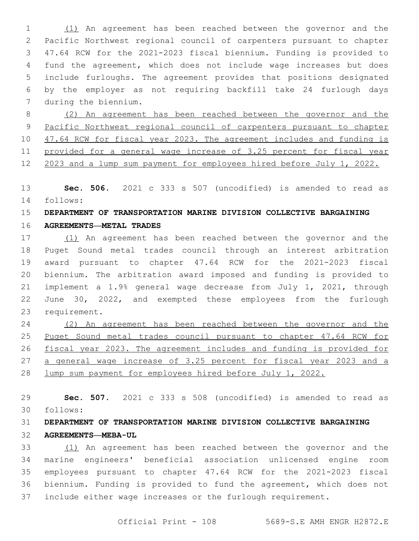(1) An agreement has been reached between the governor and the Pacific Northwest regional council of carpenters pursuant to chapter 47.64 RCW for the 2021-2023 fiscal biennium. Funding is provided to fund the agreement, which does not include wage increases but does include furloughs. The agreement provides that positions designated by the employer as not requiring backfill take 24 furlough days 7 during the biennium.

 (2) An agreement has been reached between the governor and the Pacific Northwest regional council of carpenters pursuant to chapter 10 47.64 RCW for fiscal year 2023. The agreement includes and funding is provided for a general wage increase of 3.25 percent for fiscal year 2023 and a lump sum payment for employees hired before July 1, 2022.

 **Sec. 506.** 2021 c 333 s 507 (uncodified) is amended to read as follows: 14

### **DEPARTMENT OF TRANSPORTATION MARINE DIVISION COLLECTIVE BARGAINING**

**AGREEMENTS—METAL TRADES**

 (1) An agreement has been reached between the governor and the Puget Sound metal trades council through an interest arbitration award pursuant to chapter 47.64 RCW for the 2021-2023 fiscal biennium. The arbitration award imposed and funding is provided to implement a 1.9% general wage decrease from July 1, 2021, through June 30, 2022, and exempted these employees from the furlough 23 requirement.

 (2) An agreement has been reached between the governor and the Puget Sound metal trades council pursuant to chapter 47.64 RCW for fiscal year 2023. The agreement includes and funding is provided for a general wage increase of 3.25 percent for fiscal year 2023 and a lump sum payment for employees hired before July 1, 2022.

 **Sec. 507.** 2021 c 333 s 508 (uncodified) is amended to read as follows: 30

# **DEPARTMENT OF TRANSPORTATION MARINE DIVISION COLLECTIVE BARGAINING AGREEMENTS—MEBA-UL**

 (1) An agreement has been reached between the governor and the marine engineers' beneficial association unlicensed engine room employees pursuant to chapter 47.64 RCW for the 2021-2023 fiscal biennium. Funding is provided to fund the agreement, which does not include either wage increases or the furlough requirement.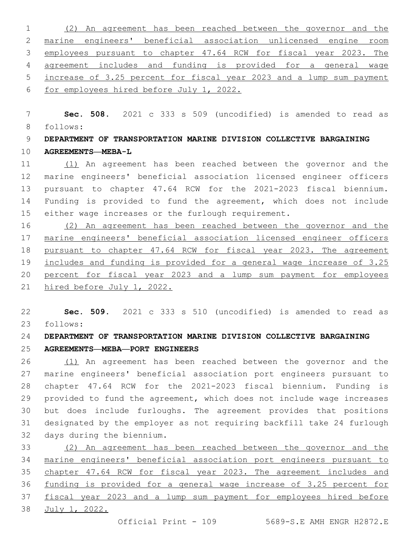(2) An agreement has been reached between the governor and the marine engineers' beneficial association unlicensed engine room 3 employees pursuant to chapter 47.64 RCW for fiscal year 2023. The agreement includes and funding is provided for a general wage increase of 3.25 percent for fiscal year 2023 and a lump sum payment for employees hired before July 1, 2022.

 **Sec. 508.** 2021 c 333 s 509 (uncodified) is amended to read as follows: 8

 **DEPARTMENT OF TRANSPORTATION MARINE DIVISION COLLECTIVE BARGAINING AGREEMENTS—MEBA-L**

 (1) An agreement has been reached between the governor and the marine engineers' beneficial association licensed engineer officers pursuant to chapter 47.64 RCW for the 2021-2023 fiscal biennium. Funding is provided to fund the agreement, which does not include either wage increases or the furlough requirement.

 (2) An agreement has been reached between the governor and the marine engineers' beneficial association licensed engineer officers pursuant to chapter 47.64 RCW for fiscal year 2023. The agreement includes and funding is provided for a general wage increase of 3.25 percent for fiscal year 2023 and a lump sum payment for employees hired before July 1, 2022.

 **Sec. 509.** 2021 c 333 s 510 (uncodified) is amended to read as follows: 23

**DEPARTMENT OF TRANSPORTATION MARINE DIVISION COLLECTIVE BARGAINING** 

**AGREEMENTS—MEBA—PORT ENGINEERS**

 (1) An agreement has been reached between the governor and the marine engineers' beneficial association port engineers pursuant to chapter 47.64 RCW for the 2021-2023 fiscal biennium. Funding is provided to fund the agreement, which does not include wage increases but does include furloughs. The agreement provides that positions designated by the employer as not requiring backfill take 24 furlough 32 days during the biennium.

 (2) An agreement has been reached between the governor and the marine engineers' beneficial association port engineers pursuant to chapter 47.64 RCW for fiscal year 2023. The agreement includes and funding is provided for a general wage increase of 3.25 percent for fiscal year 2023 and a lump sum payment for employees hired before July 1, 2022.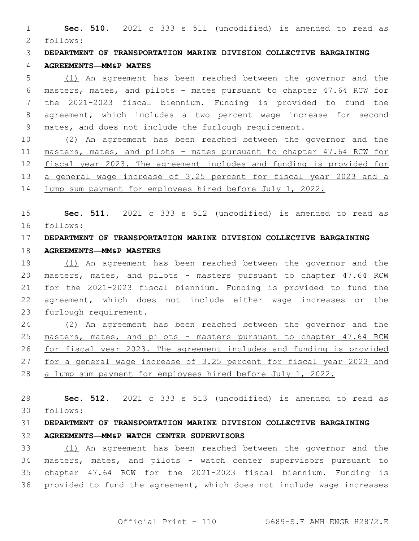**Sec. 510.** 2021 c 333 s 511 (uncodified) is amended to read as follows: 2

**DEPARTMENT OF TRANSPORTATION MARINE DIVISION COLLECTIVE BARGAINING** 

#### **AGREEMENTS—MM&P MATES**

 (1) An agreement has been reached between the governor and the masters, mates, and pilots - mates pursuant to chapter 47.64 RCW for the 2021-2023 fiscal biennium. Funding is provided to fund the agreement, which includes a two percent wage increase for second mates, and does not include the furlough requirement.

 (2) An agreement has been reached between the governor and the masters, mates, and pilots - mates pursuant to chapter 47.64 RCW for fiscal year 2023. The agreement includes and funding is provided for 13 a general wage increase of 3.25 percent for fiscal year 2023 and a lump sum payment for employees hired before July 1, 2022.

 **Sec. 511.** 2021 c 333 s 512 (uncodified) is amended to read as follows: 16

# **DEPARTMENT OF TRANSPORTATION MARINE DIVISION COLLECTIVE BARGAINING**

#### **AGREEMENTS—MM&P MASTERS**

 (1) An agreement has been reached between the governor and the masters, mates, and pilots - masters pursuant to chapter 47.64 RCW for the 2021-2023 fiscal biennium. Funding is provided to fund the agreement, which does not include either wage increases or the 23 furlough requirement.

 (2) An agreement has been reached between the governor and the masters, mates, and pilots - masters pursuant to chapter 47.64 RCW for fiscal year 2023. The agreement includes and funding is provided for a general wage increase of 3.25 percent for fiscal year 2023 and a lump sum payment for employees hired before July 1, 2022.

 **Sec. 512.** 2021 c 333 s 513 (uncodified) is amended to read as follows: 30

# **DEPARTMENT OF TRANSPORTATION MARINE DIVISION COLLECTIVE BARGAINING AGREEMENTS—MM&P WATCH CENTER SUPERVISORS**

 (1) An agreement has been reached between the governor and the masters, mates, and pilots - watch center supervisors pursuant to chapter 47.64 RCW for the 2021-2023 fiscal biennium. Funding is provided to fund the agreement, which does not include wage increases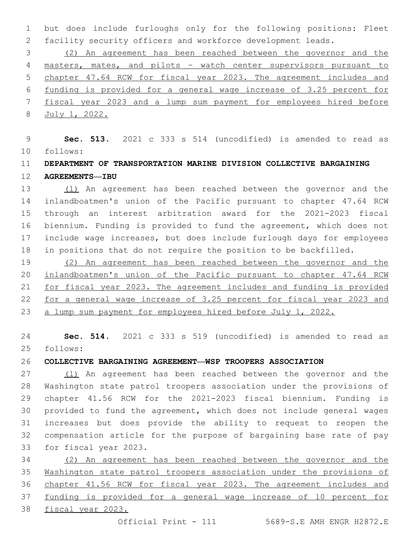but does include furloughs only for the following positions: Fleet facility security officers and workforce development leads.

 (2) An agreement has been reached between the governor and the masters, mates, and pilots – watch center supervisors pursuant to chapter 47.64 RCW for fiscal year 2023. The agreement includes and funding is provided for a general wage increase of 3.25 percent for fiscal year 2023 and a lump sum payment for employees hired before July 1, 2022.

 **Sec. 513.** 2021 c 333 s 514 (uncodified) is amended to read as follows: 10

## **DEPARTMENT OF TRANSPORTATION MARINE DIVISION COLLECTIVE BARGAINING AGREEMENTS—IBU**

 (1) An agreement has been reached between the governor and the inlandboatmen's union of the Pacific pursuant to chapter 47.64 RCW through an interest arbitration award for the 2021-2023 fiscal biennium. Funding is provided to fund the agreement, which does not include wage increases, but does include furlough days for employees in positions that do not require the position to be backfilled.

 (2) An agreement has been reached between the governor and the inlandboatmen's union of the Pacific pursuant to chapter 47.64 RCW for fiscal year 2023. The agreement includes and funding is provided for a general wage increase of 3.25 percent for fiscal year 2023 and a lump sum payment for employees hired before July 1, 2022.

 **Sec. 514.** 2021 c 333 s 519 (uncodified) is amended to read as follows: 25

**COLLECTIVE BARGAINING AGREEMENT—WSP TROOPERS ASSOCIATION**

 (1) An agreement has been reached between the governor and the Washington state patrol troopers association under the provisions of chapter 41.56 RCW for the 2021-2023 fiscal biennium. Funding is provided to fund the agreement, which does not include general wages increases but does provide the ability to request to reopen the compensation article for the purpose of bargaining base rate of pay 33 for fiscal year 2023.

 (2) An agreement has been reached between the governor and the Washington state patrol troopers association under the provisions of chapter 41.56 RCW for fiscal year 2023. The agreement includes and funding is provided for a general wage increase of 10 percent for fiscal year 2023.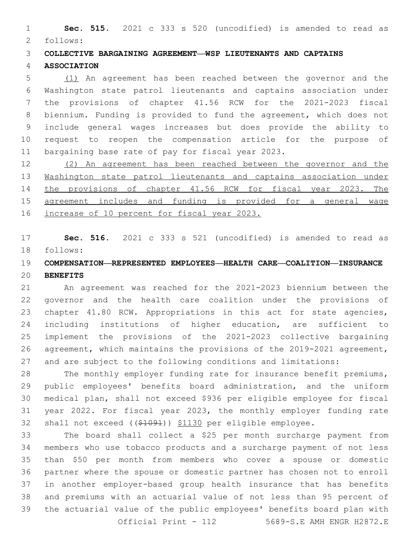**Sec. 515.** 2021 c 333 s 520 (uncodified) is amended to read as 2 follows:

**COLLECTIVE BARGAINING AGREEMENT—WSP LIEUTENANTS AND CAPTAINS** 

#### **ASSOCIATION**

 (1) An agreement has been reached between the governor and the Washington state patrol lieutenants and captains association under the provisions of chapter 41.56 RCW for the 2021-2023 fiscal biennium. Funding is provided to fund the agreement, which does not include general wages increases but does provide the ability to request to reopen the compensation article for the purpose of 11 bargaining base rate of pay for fiscal year 2023.

 (2) An agreement has been reached between the governor and the Washington state patrol lieutenants and captains association under the provisions of chapter 41.56 RCW for fiscal year 2023. The agreement includes and funding is provided for a general wage increase of 10 percent for fiscal year 2023.

 **Sec. 516.** 2021 c 333 s 521 (uncodified) is amended to read as follows: 18

## **COMPENSATION—REPRESENTED EMPLOYEES—HEALTH CARE—COALITION—INSURANCE BENEFITS**

 An agreement was reached for the 2021-2023 biennium between the governor and the health care coalition under the provisions of 23 chapter 41.80 RCW. Appropriations in this act for state agencies, including institutions of higher education, are sufficient to implement the provisions of the 2021-2023 collective bargaining agreement, which maintains the provisions of the 2019-2021 agreement, and are subject to the following conditions and limitations:

 The monthly employer funding rate for insurance benefit premiums, public employees' benefits board administration, and the uniform medical plan, shall not exceed \$936 per eligible employee for fiscal year 2022. For fiscal year 2023, the monthly employer funding rate 32 shall not exceed ((\$1091)) \$1130 per eligible employee.

 The board shall collect a \$25 per month surcharge payment from members who use tobacco products and a surcharge payment of not less than \$50 per month from members who cover a spouse or domestic partner where the spouse or domestic partner has chosen not to enroll in another employer-based group health insurance that has benefits and premiums with an actuarial value of not less than 95 percent of the actuarial value of the public employees' benefits board plan with Official Print - 112 5689-S.E AMH ENGR H2872.E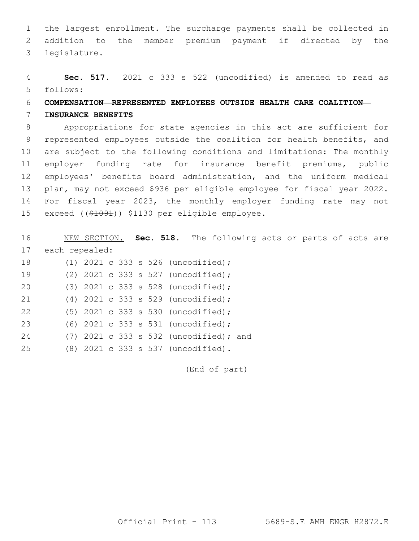1 the largest enrollment. The surcharge payments shall be collected in 2 addition to the member premium payment if directed by the legislature.3

4 **Sec. 517.** 2021 c 333 s 522 (uncodified) is amended to read as follows: 5

## 6 **COMPENSATION—REPRESENTED EMPLOYEES OUTSIDE HEALTH CARE COALITION—**

#### 7 **INSURANCE BENEFITS**

 Appropriations for state agencies in this act are sufficient for represented employees outside the coalition for health benefits, and are subject to the following conditions and limitations: The monthly employer funding rate for insurance benefit premiums, public employees' benefits board administration, and the uniform medical plan, may not exceed \$936 per eligible employee for fiscal year 2022. For fiscal year 2023, the monthly employer funding rate may not 15 exceed ((\$1091)) \$1130 per eligible employee.

16 NEW SECTION. **Sec. 518.** The following acts or parts of acts are 17 each repealed: 18 (1) 2021 c 333 s 526 (uncodified);

| 19 |  |  |  | (2) $2021$ c 333 s 527 (uncodified);     |  |
|----|--|--|--|------------------------------------------|--|
| 20 |  |  |  | (3) 2021 c 333 s 528 (uncodified);       |  |
| 21 |  |  |  | $(4)$ 2021 c 333 s 529 (uncodified);     |  |
| 22 |  |  |  | $(5)$ 2021 c 333 s 530 (uncodified);     |  |
| 23 |  |  |  | (6) 2021 c 333 s 531 (uncodified);       |  |
| 24 |  |  |  | $(7)$ 2021 c 333 s 532 (uncodified); and |  |
| 25 |  |  |  | (8) 2021 c 333 s 537 (uncodified).       |  |

(End of part)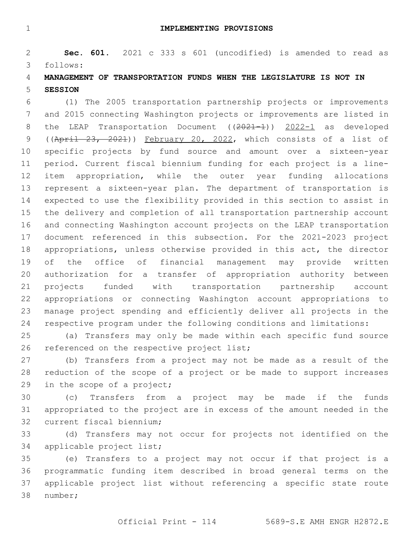**Sec. 601.** 2021 c 333 s 601 (uncodified) is amended to read as follows: 3

## **MANAGEMENT OF TRANSPORTATION FUNDS WHEN THE LEGISLATURE IS NOT IN SESSION**

 (1) The 2005 transportation partnership projects or improvements and 2015 connecting Washington projects or improvements are listed in 8 the LEAP Transportation Document ((2021-1)) 2022-1 as developed ((April 23, 2021)) February 20, 2022, which consists of a list of specific projects by fund source and amount over a sixteen-year period. Current fiscal biennium funding for each project is a line- item appropriation, while the outer year funding allocations represent a sixteen-year plan. The department of transportation is expected to use the flexibility provided in this section to assist in the delivery and completion of all transportation partnership account and connecting Washington account projects on the LEAP transportation document referenced in this subsection. For the 2021-2023 project appropriations, unless otherwise provided in this act, the director of the office of financial management may provide written authorization for a transfer of appropriation authority between projects funded with transportation partnership account appropriations or connecting Washington account appropriations to manage project spending and efficiently deliver all projects in the respective program under the following conditions and limitations:

 (a) Transfers may only be made within each specific fund source 26 referenced on the respective project list;

 (b) Transfers from a project may not be made as a result of the reduction of the scope of a project or be made to support increases 29 in the scope of a project;

 (c) Transfers from a project may be made if the funds appropriated to the project are in excess of the amount needed in the 32 current fiscal biennium;

 (d) Transfers may not occur for projects not identified on the 34 applicable project list;

 (e) Transfers to a project may not occur if that project is a programmatic funding item described in broad general terms on the applicable project list without referencing a specific state route 38 number;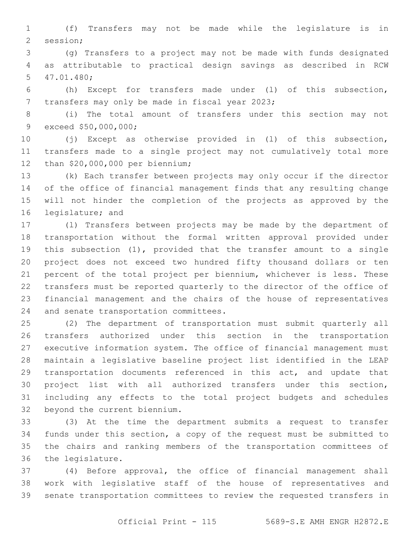(f) Transfers may not be made while the legislature is in 2 session;

 (g) Transfers to a project may not be made with funds designated as attributable to practical design savings as described in RCW 47.01.480;5

 (h) Except for transfers made under (l) of this subsection, 7 transfers may only be made in fiscal year 2023;

 (i) The total amount of transfers under this section may not 9 exceed \$50,000,000;

 (j) Except as otherwise provided in (l) of this subsection, transfers made to a single project may not cumulatively total more 12 than \$20,000,000 per biennium;

 (k) Each transfer between projects may only occur if the director of the office of financial management finds that any resulting change will not hinder the completion of the projects as approved by the 16 legislature; and

 (l) Transfers between projects may be made by the department of transportation without the formal written approval provided under this subsection (1), provided that the transfer amount to a single project does not exceed two hundred fifty thousand dollars or ten percent of the total project per biennium, whichever is less. These transfers must be reported quarterly to the director of the office of financial management and the chairs of the house of representatives 24 and senate transportation committees.

 (2) The department of transportation must submit quarterly all transfers authorized under this section in the transportation executive information system. The office of financial management must maintain a legislative baseline project list identified in the LEAP transportation documents referenced in this act, and update that project list with all authorized transfers under this section, including any effects to the total project budgets and schedules 32 beyond the current biennium.

 (3) At the time the department submits a request to transfer funds under this section, a copy of the request must be submitted to the chairs and ranking members of the transportation committees of 36 the legislature.

 (4) Before approval, the office of financial management shall work with legislative staff of the house of representatives and senate transportation committees to review the requested transfers in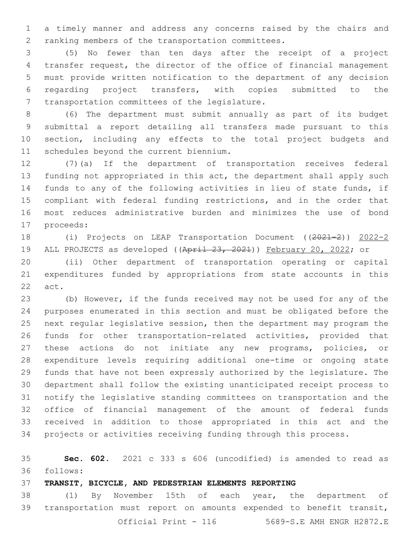a timely manner and address any concerns raised by the chairs and 2 ranking members of the transportation committees.

 (5) No fewer than ten days after the receipt of a project transfer request, the director of the office of financial management must provide written notification to the department of any decision regarding project transfers, with copies submitted to the 7 transportation committees of the legislature.

 (6) The department must submit annually as part of its budget submittal a report detailing all transfers made pursuant to this section, including any effects to the total project budgets and 11 schedules beyond the current biennium.

 (7)(a) If the department of transportation receives federal 13 funding not appropriated in this act, the department shall apply such funds to any of the following activities in lieu of state funds, if compliant with federal funding restrictions, and in the order that most reduces administrative burden and minimizes the use of bond 17 proceeds:

 (i) Projects on LEAP Transportation Document ((2021-2)) 2022-2 19 ALL PROJECTS as developed ((April 23, 2021)) February 20, 2022; or

 (ii) Other department of transportation operating or capital expenditures funded by appropriations from state accounts in this 22 act.

 (b) However, if the funds received may not be used for any of the purposes enumerated in this section and must be obligated before the next regular legislative session, then the department may program the funds for other transportation-related activities, provided that these actions do not initiate any new programs, policies, or expenditure levels requiring additional one-time or ongoing state funds that have not been expressly authorized by the legislature. The department shall follow the existing unanticipated receipt process to notify the legislative standing committees on transportation and the office of financial management of the amount of federal funds received in addition to those appropriated in this act and the projects or activities receiving funding through this process.

 **Sec. 602.** 2021 c 333 s 606 (uncodified) is amended to read as follows: 36

#### **TRANSIT, BICYCLE, AND PEDESTRIAN ELEMENTS REPORTING**

 (1) By November 15th of each year, the department of transportation must report on amounts expended to benefit transit, Official Print - 116 5689-S.E AMH ENGR H2872.E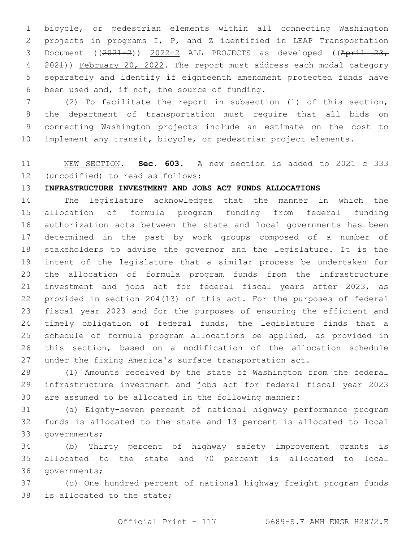bicycle, or pedestrian elements within all connecting Washington projects in programs I, P, and Z identified in LEAP Transportation 3 Document  $((2021-2))$   $2022-2$  ALL PROJECTS as developed  $((April - 23, 23)$ 4 2021)) February 20, 2022. The report must address each modal category separately and identify if eighteenth amendment protected funds have 6 been used and, if not, the source of funding.

 (2) To facilitate the report in subsection (1) of this section, the department of transportation must require that all bids on connecting Washington projects include an estimate on the cost to implement any transit, bicycle, or pedestrian project elements.

## NEW SECTION. **Sec. 603.** A new section is added to 2021 c 333 12 (uncodified) to read as follows:

## **INFRASTRUCTURE INVESTMENT AND JOBS ACT FUNDS ALLOCATIONS**

 The legislature acknowledges that the manner in which the allocation of formula program funding from federal funding authorization acts between the state and local governments has been determined in the past by work groups composed of a number of stakeholders to advise the governor and the legislature. It is the intent of the legislature that a similar process be undertaken for the allocation of formula program funds from the infrastructure investment and jobs act for federal fiscal years after 2023, as provided in section 204(13) of this act. For the purposes of federal fiscal year 2023 and for the purposes of ensuring the efficient and 24 timely obligation of federal funds, the legislature finds that a schedule of formula program allocations be applied, as provided in this section, based on a modification of the allocation schedule under the fixing America's surface transportation act.

 (1) Amounts received by the state of Washington from the federal infrastructure investment and jobs act for federal fiscal year 2023 are assumed to be allocated in the following manner:

 (a) Eighty-seven percent of national highway performance program funds is allocated to the state and 13 percent is allocated to local 33 governments;

 (b) Thirty percent of highway safety improvement grants is allocated to the state and 70 percent is allocated to local 36 governments;

 (c) One hundred percent of national highway freight program funds 38 is allocated to the state;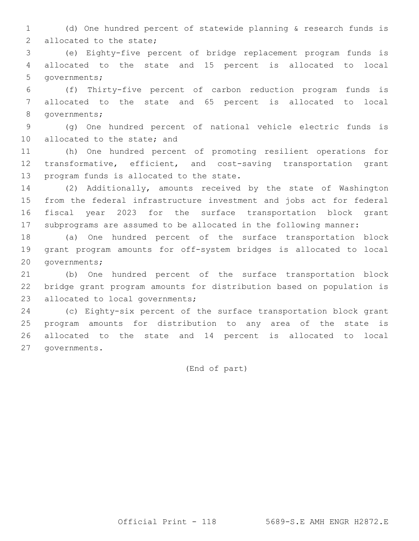(d) One hundred percent of statewide planning & research funds is 2 allocated to the state;

 (e) Eighty-five percent of bridge replacement program funds is allocated to the state and 15 percent is allocated to local 5 governments;

 (f) Thirty-five percent of carbon reduction program funds is allocated to the state and 65 percent is allocated to local 8 qovernments;

 (g) One hundred percent of national vehicle electric funds is 10 allocated to the state; and

 (h) One hundred percent of promoting resilient operations for transformative, efficient, and cost-saving transportation grant 13 program funds is allocated to the state.

 (2) Additionally, amounts received by the state of Washington from the federal infrastructure investment and jobs act for federal fiscal year 2023 for the surface transportation block grant subprograms are assumed to be allocated in the following manner:

 (a) One hundred percent of the surface transportation block grant program amounts for off-system bridges is allocated to local 20 governments;

 (b) One hundred percent of the surface transportation block bridge grant program amounts for distribution based on population is 23 allocated to local governments;

 (c) Eighty-six percent of the surface transportation block grant program amounts for distribution to any area of the state is allocated to the state and 14 percent is allocated to local 27 qovernments.

(End of part)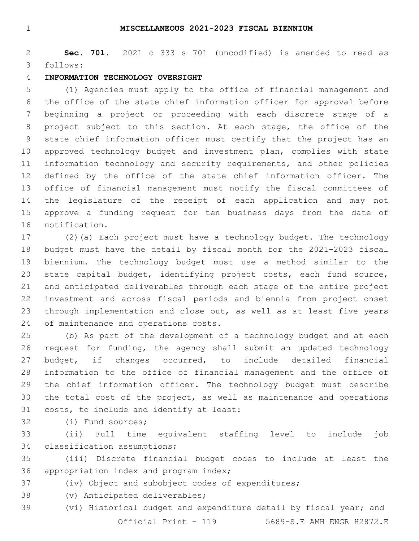#### **MISCELLANEOUS 2021-2023 FISCAL BIENNIUM**

 **Sec. 701.** 2021 c 333 s 701 (uncodified) is amended to read as follows: 3

#### **INFORMATION TECHNOLOGY OVERSIGHT**

 (1) Agencies must apply to the office of financial management and the office of the state chief information officer for approval before beginning a project or proceeding with each discrete stage of a project subject to this section. At each stage, the office of the state chief information officer must certify that the project has an approved technology budget and investment plan, complies with state information technology and security requirements, and other policies defined by the office of the state chief information officer. The office of financial management must notify the fiscal committees of the legislature of the receipt of each application and may not approve a funding request for ten business days from the date of 16 notification.

 (2)(a) Each project must have a technology budget. The technology budget must have the detail by fiscal month for the 2021-2023 fiscal biennium. The technology budget must use a method similar to the state capital budget, identifying project costs, each fund source, and anticipated deliverables through each stage of the entire project investment and across fiscal periods and biennia from project onset 23 through implementation and close out, as well as at least five years 24 of maintenance and operations costs.

 (b) As part of the development of a technology budget and at each request for funding, the agency shall submit an updated technology budget, if changes occurred, to include detailed financial information to the office of financial management and the office of the chief information officer. The technology budget must describe the total cost of the project, as well as maintenance and operations 31 costs, to include and identify at least:

32 (i) Fund sources;

 (ii) Full time equivalent staffing level to include job 34 classification assumptions;

 (iii) Discrete financial budget codes to include at least the 36 appropriation index and program index;

(iv) Object and subobject codes of expenditures;

38 (v) Anticipated deliverables;

 (vi) Historical budget and expenditure detail by fiscal year; and Official Print - 119 5689-S.E AMH ENGR H2872.E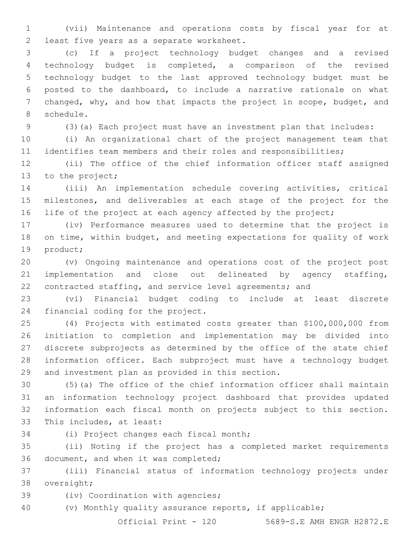(vii) Maintenance and operations costs by fiscal year for at 2 least five years as a separate worksheet.

 (c) If a project technology budget changes and a revised technology budget is completed, a comparison of the revised technology budget to the last approved technology budget must be posted to the dashboard, to include a narrative rationale on what changed, why, and how that impacts the project in scope, budget, and 8 schedule.

(3)(a) Each project must have an investment plan that includes:

 (i) An organizational chart of the project management team that identifies team members and their roles and responsibilities;

 (ii) The office of the chief information officer staff assigned 13 to the project;

 (iii) An implementation schedule covering activities, critical milestones, and deliverables at each stage of the project for the 16 life of the project at each agency affected by the project;

 (iv) Performance measures used to determine that the project is on time, within budget, and meeting expectations for quality of work 19 product;

 (v) Ongoing maintenance and operations cost of the project post implementation and close out delineated by agency staffing, contracted staffing, and service level agreements; and

 (vi) Financial budget coding to include at least discrete 24 financial coding for the project.

 (4) Projects with estimated costs greater than \$100,000,000 from initiation to completion and implementation may be divided into discrete subprojects as determined by the office of the state chief information officer. Each subproject must have a technology budget 29 and investment plan as provided in this section.

 (5)(a) The office of the chief information officer shall maintain an information technology project dashboard that provides updated information each fiscal month on projects subject to this section. 33 This includes, at least:

34 (i) Project changes each fiscal month;

 (ii) Noting if the project has a completed market requirements 36 document, and when it was completed;

 (iii) Financial status of information technology projects under 38 oversight;

39 (iv) Coordination with agencies;

(v) Monthly quality assurance reports, if applicable;

Official Print - 120 5689-S.E AMH ENGR H2872.E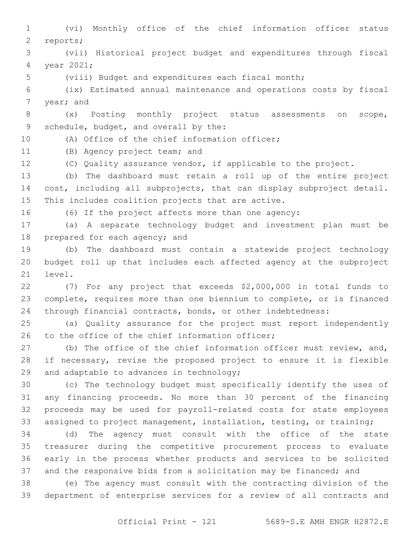(vi) Monthly office of the chief information officer status 2 reports; (vii) Historical project budget and expenditures through fiscal 4 year 2021; (viii) Budget and expenditures each fiscal month; (ix) Estimated annual maintenance and operations costs by fiscal 7 year; and (x) Posting monthly project status assessments on scope, 9 schedule, budget, and overall by the: 10 (A) Office of the chief information officer; 11 (B) Agency project team; and (C) Quality assurance vendor, if applicable to the project. (b) The dashboard must retain a roll up of the entire project cost, including all subprojects, that can display subproject detail. 15 This includes coalition projects that are active. (6) If the project affects more than one agency: (a) A separate technology budget and investment plan must be 18 prepared for each agency; and (b) The dashboard must contain a statewide project technology budget roll up that includes each affected agency at the subproject 21 level. (7) For any project that exceeds \$2,000,000 in total funds to complete, requires more than one biennium to complete, or is financed through financial contracts, bonds, or other indebtedness: (a) Quality assurance for the project must report independently 26 to the office of the chief information officer; 27 (b) The office of the chief information officer must review, and, if necessary, revise the proposed project to ensure it is flexible 29 and adaptable to advances in technology; (c) The technology budget must specifically identify the uses of any financing proceeds. No more than 30 percent of the financing proceeds may be used for payroll-related costs for state employees assigned to project management, installation, testing, or training; (d) The agency must consult with the office of the state treasurer during the competitive procurement process to evaluate early in the process whether products and services to be solicited and the responsive bids from a solicitation may be financed; and (e) The agency must consult with the contracting division of the department of enterprise services for a review of all contracts and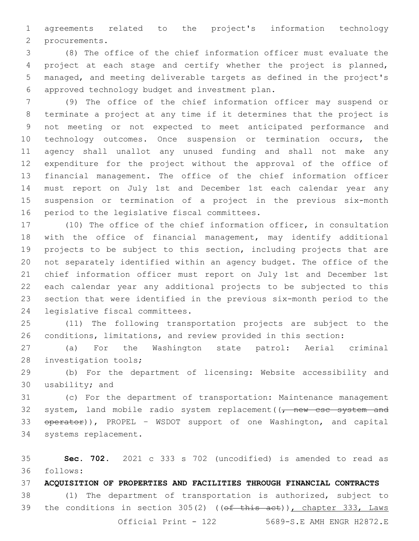agreements related to the project's information technology 2 procurements.

 (8) The office of the chief information officer must evaluate the project at each stage and certify whether the project is planned, managed, and meeting deliverable targets as defined in the project's approved technology budget and investment plan.6

 (9) The office of the chief information officer may suspend or terminate a project at any time if it determines that the project is not meeting or not expected to meet anticipated performance and technology outcomes. Once suspension or termination occurs, the agency shall unallot any unused funding and shall not make any expenditure for the project without the approval of the office of financial management. The office of the chief information officer must report on July 1st and December 1st each calendar year any suspension or termination of a project in the previous six-month 16 period to the legislative fiscal committees.

 (10) The office of the chief information officer, in consultation with the office of financial management, may identify additional projects to be subject to this section, including projects that are not separately identified within an agency budget. The office of the chief information officer must report on July 1st and December 1st each calendar year any additional projects to be subjected to this section that were identified in the previous six-month period to the 24 legislative fiscal committees.

 (11) The following transportation projects are subject to the conditions, limitations, and review provided in this section:

 (a) For the Washington state patrol: Aerial criminal 28 investigation tools;

 (b) For the department of licensing: Website accessibility and 30 usability; and

 (c) For the department of transportation: Maintenance management 32 system, land mobile radio system replacement  $(\tau$  new csc system and 33 operator)), PROPEL - WSDOT support of one Washington, and capital 34 systems replacement.

 **Sec. 702.** 2021 c 333 s 702 (uncodified) is amended to read as follows: 36

**ACQUISITION OF PROPERTIES AND FACILITIES THROUGH FINANCIAL CONTRACTS**

 (1) The department of transportation is authorized, subject to 39 the conditions in section 305(2) ((of this act)), chapter 333, Laws Official Print - 122 5689-S.E AMH ENGR H2872.E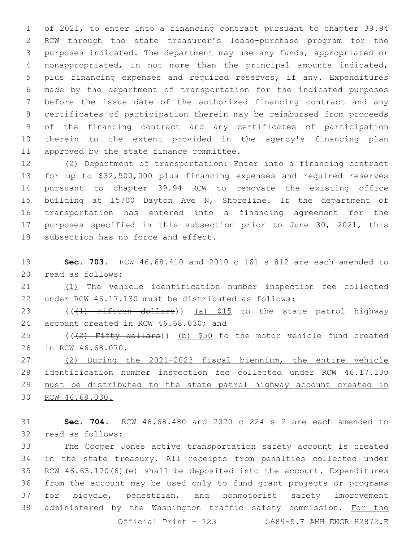1 of 2021, to enter into a financing contract pursuant to chapter 39.94 RCW through the state treasurer's lease-purchase program for the purposes indicated. The department may use any funds, appropriated or nonappropriated, in not more than the principal amounts indicated, plus financing expenses and required reserves, if any. Expenditures made by the department of transportation for the indicated purposes before the issue date of the authorized financing contract and any certificates of participation therein may be reimbursed from proceeds of the financing contract and any certificates of participation therein to the extent provided in the agency's financing plan 11 approved by the state finance committee.

 (2) Department of transportation: Enter into a financing contract for up to \$32,500,000 plus financing expenses and required reserves pursuant to chapter 39.94 RCW to renovate the existing office building at 15700 Dayton Ave N, Shoreline. If the department of transportation has entered into a financing agreement for the purposes specified in this subsection prior to June 30, 2021, this 18 subsection has no force and effect.

 **Sec. 703.** RCW 46.68.410 and 2010 c 161 s 812 are each amended to 20 read as follows:

 (1) The vehicle identification number inspection fee collected under RCW 46.17.130 must be distributed as follows:

23 (((1) Fifteen dollars)) (a) \$15 to the state patrol highway 24 account created in RCW 46.68.030; and

25 ( $(42)$  Fifty dollars)) (b) \$50 to the motor vehicle fund created 26 in RCW 46.68.070.

 (2) During the 2021-2023 fiscal biennium, the entire vehicle identification number inspection fee collected under RCW 46.17.130 must be distributed to the state patrol highway account created in RCW 46.68.030.

 **Sec. 704.** RCW 46.68.480 and 2020 c 224 s 2 are each amended to 32 read as follows:

 The Cooper Jones active transportation safety account is created in the state treasury. All receipts from penalties collected under RCW 46.63.170(6)(e) shall be deposited into the account. Expenditures from the account may be used only to fund grant projects or programs for bicycle, pedestrian, and nonmotorist safety improvement 38 administered by the Washington traffic safety commission. For the Official Print - 123 5689-S.E AMH ENGR H2872.E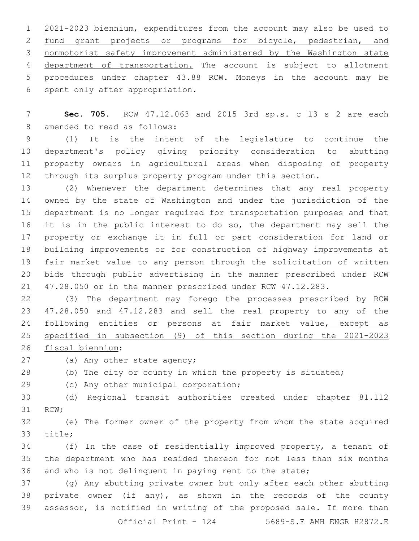2021-2023 biennium, expenditures from the account may also be used to 2 fund grant projects or programs for bicycle, pedestrian, and nonmotorist safety improvement administered by the Washington state department of transportation. The account is subject to allotment procedures under chapter 43.88 RCW. Moneys in the account may be 6 spent only after appropriation.

 **Sec. 705.** RCW 47.12.063 and 2015 3rd sp.s. c 13 s 2 are each 8 amended to read as follows:

 (1) It is the intent of the legislature to continue the department's policy giving priority consideration to abutting property owners in agricultural areas when disposing of property through its surplus property program under this section.

 (2) Whenever the department determines that any real property owned by the state of Washington and under the jurisdiction of the department is no longer required for transportation purposes and that 16 it is in the public interest to do so, the department may sell the property or exchange it in full or part consideration for land or building improvements or for construction of highway improvements at fair market value to any person through the solicitation of written bids through public advertising in the manner prescribed under RCW 47.28.050 or in the manner prescribed under RCW 47.12.283.

 (3) The department may forego the processes prescribed by RCW 47.28.050 and 47.12.283 and sell the real property to any of the 24 following entities or persons at fair market value, except as specified in subsection (9) of this section during the 2021-2023

26 fiscal biennium:

27 (a) Any other state agency;

(b) The city or county in which the property is situated;

29 (c) Any other municipal corporation;

 (d) Regional transit authorities created under chapter 81.112 31 RCW;

 (e) The former owner of the property from whom the state acquired 33 title;

 (f) In the case of residentially improved property, a tenant of the department who has resided thereon for not less than six months and who is not delinquent in paying rent to the state;

 (g) Any abutting private owner but only after each other abutting private owner (if any), as shown in the records of the county assessor, is notified in writing of the proposed sale. If more than Official Print - 124 5689-S.E AMH ENGR H2872.E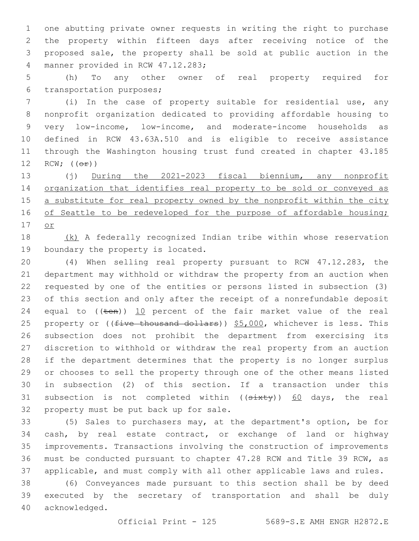one abutting private owner requests in writing the right to purchase the property within fifteen days after receiving notice of the proposed sale, the property shall be sold at public auction in the 4 manner provided in RCW 47.12.283;

 (h) To any other owner of real property required for 6 transportation purposes;

 (i) In the case of property suitable for residential use, any nonprofit organization dedicated to providing affordable housing to very low-income, low-income, and moderate-income households as defined in RCW 43.63A.510 and is eligible to receive assistance through the Washington housing trust fund created in chapter 43.185  $RCW$ ;  $(\Theta \pm)$ )

 (j) During the 2021-2023 fiscal biennium, any nonprofit 14 organization that identifies real property to be sold or conveyed as 15 a substitute for real property owned by the nonprofit within the city 16 of Seattle to be redeveloped for the purpose of affordable housing; or

 (k) A federally recognized Indian tribe within whose reservation 19 boundary the property is located.

 (4) When selling real property pursuant to RCW 47.12.283, the department may withhold or withdraw the property from an auction when requested by one of the entities or persons listed in subsection (3) of this section and only after the receipt of a nonrefundable deposit 24 equal to  $((\text{ten}))$  10 percent of the fair market value of the real 25 property or ((five thousand dollars)) \$5,000, whichever is less. This subsection does not prohibit the department from exercising its discretion to withhold or withdraw the real property from an auction if the department determines that the property is no longer surplus or chooses to sell the property through one of the other means listed in subsection (2) of this section. If a transaction under this 31 subsection is not completed within ((sixty)) 60 days, the real 32 property must be put back up for sale.

 (5) Sales to purchasers may, at the department's option, be for cash, by real estate contract, or exchange of land or highway improvements. Transactions involving the construction of improvements must be conducted pursuant to chapter 47.28 RCW and Title 39 RCW, as applicable, and must comply with all other applicable laws and rules.

 (6) Conveyances made pursuant to this section shall be by deed executed by the secretary of transportation and shall be duly 40 acknowledged.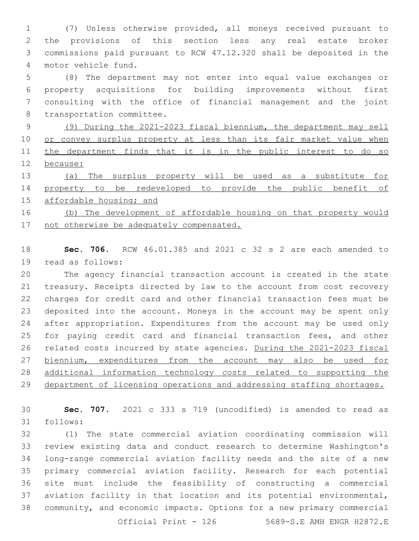(7) Unless otherwise provided, all moneys received pursuant to the provisions of this section less any real estate broker commissions paid pursuant to RCW 47.12.320 shall be deposited in the 4 motor vehicle fund.

 (8) The department may not enter into equal value exchanges or property acquisitions for building improvements without first consulting with the office of financial management and the joint 8 transportation committee.

 (9) During the 2021-2023 fiscal biennium, the department may sell 10 or convey surplus property at less than its fair market value when 11 the department finds that it is in the public interest to do so because:

 (a) The surplus property will be used as a substitute for property to be redeveloped to provide the public benefit of 15 affordable housing; and

 (b) The development of affordable housing on that property would 17 not otherwise be adequately compensated.

 **Sec. 706.** RCW 46.01.385 and 2021 c 32 s 2 are each amended to 19 read as follows:

 The agency financial transaction account is created in the state treasury. Receipts directed by law to the account from cost recovery charges for credit card and other financial transaction fees must be deposited into the account. Moneys in the account may be spent only after appropriation. Expenditures from the account may be used only for paying credit card and financial transaction fees, and other related costs incurred by state agencies. During the 2021-2023 fiscal 27 biennium, expenditures from the account may also be used for additional information technology costs related to supporting the 29 department of licensing operations and addressing staffing shortages.

 **Sec. 707.** 2021 c 333 s 719 (uncodified) is amended to read as follows:31

 (1) The state commercial aviation coordinating commission will review existing data and conduct research to determine Washington's long-range commercial aviation facility needs and the site of a new primary commercial aviation facility. Research for each potential site must include the feasibility of constructing a commercial aviation facility in that location and its potential environmental, community, and economic impacts. Options for a new primary commercial

Official Print - 5689-S.E AMH ENGR H2872.E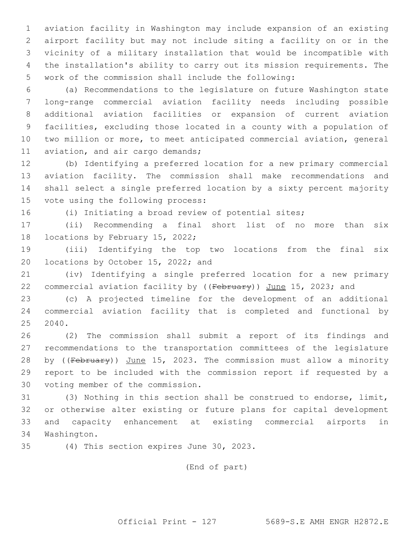aviation facility in Washington may include expansion of an existing airport facility but may not include siting a facility on or in the vicinity of a military installation that would be incompatible with the installation's ability to carry out its mission requirements. The work of the commission shall include the following:

 (a) Recommendations to the legislature on future Washington state long-range commercial aviation facility needs including possible additional aviation facilities or expansion of current aviation facilities, excluding those located in a county with a population of two million or more, to meet anticipated commercial aviation, general 11 aviation, and air cargo demands;

 (b) Identifying a preferred location for a new primary commercial aviation facility. The commission shall make recommendations and shall select a single preferred location by a sixty percent majority 15 vote using the following process:

(i) Initiating a broad review of potential sites;

 (ii) Recommending a final short list of no more than six 18 locations by February 15, 2022;

 (iii) Identifying the top two locations from the final six 20 locations by October 15, 2022; and

 (iv) Identifying a single preferred location for a new primary 22 commercial aviation facility by ((February)) June 15, 2023; and

 (c) A projected timeline for the development of an additional commercial aviation facility that is completed and functional by 2040.

 (2) The commission shall submit a report of its findings and recommendations to the transportation committees of the legislature 28 by ((February)) June 15, 2023. The commission must allow a minority report to be included with the commission report if requested by a 30 voting member of the commission.

 (3) Nothing in this section shall be construed to endorse, limit, or otherwise alter existing or future plans for capital development and capacity enhancement at existing commercial airports in 34 Washington.

35 (4) This section expires June 30, 2023.

(End of part)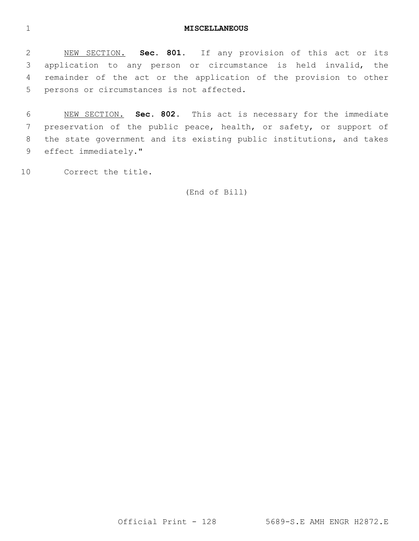#### **MISCELLANEOUS**

 NEW SECTION. **Sec. 801.** If any provision of this act or its application to any person or circumstance is held invalid, the remainder of the act or the application of the provision to other persons or circumstances is not affected.

 NEW SECTION. **Sec. 802.** This act is necessary for the immediate preservation of the public peace, health, or safety, or support of the state government and its existing public institutions, and takes effect immediately."

10 Correct the title.

(End of Bill)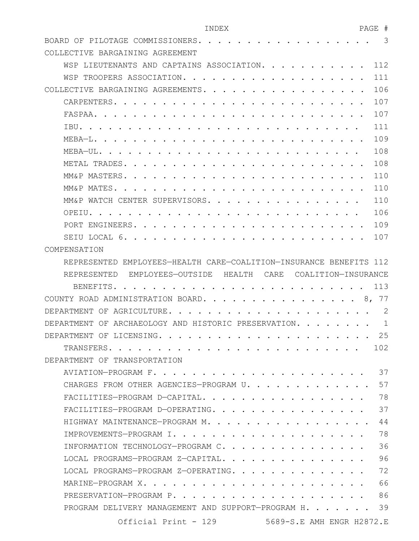| INDEX                                                                     | PAGE | #            |
|---------------------------------------------------------------------------|------|--------------|
| BOARD OF PILOTAGE COMMISSIONERS. .                                        |      | 3            |
| COLLECTIVE BARGAINING AGREEMENT                                           |      |              |
| LIEUTENANTS AND CAPTAINS ASSOCIATION.<br>WSP                              |      | 112          |
| TROOPERS ASSOCIATION.<br>WSP                                              |      | 111          |
| COLLECTIVE BARGAINING AGREEMENTS                                          |      | 106          |
| CARPENTERS.                                                               |      | 107          |
| FASPAA.                                                                   |      | 107          |
| TBU.                                                                      |      | 111          |
| MEBA—L.                                                                   |      | 109          |
| MEBA-UL.                                                                  |      | 108          |
| METAL TRADES                                                              |      | 108          |
| MM&P MASTERS                                                              |      | 110          |
| MM&P MATES                                                                |      | 110          |
| MM&P WATCH CENTER SUPERVISORS.                                            |      | 110          |
| OPEIU.                                                                    |      | 106          |
| PORT ENGINEERS.                                                           |      | 109          |
| SETU LOCAL<br>-6                                                          |      | 107          |
| COMPENSATION                                                              |      |              |
| REPRESENTED EMPLOYEES-HEALTH CARE-COALITION-INSURANCE BENEFITS            |      | 112          |
| REPRESENTED<br>EMPLOYEES-OUTSIDE<br>HEALTH<br>CARE<br>COALITION-INSURANCE |      |              |
| <b>BENEFITS</b>                                                           |      | 113          |
| ADMINISTRATION BOARD.<br>COUNTY ROAD                                      | 8,   | 77           |
| AGRICULTURE<br>DEPARTMENT<br>ΟF                                           |      | $\mathbf{2}$ |
| DEPARTMENT<br>OF<br>ARCHAEOLOGY AND HISTORIC PRESERVATION.                |      | 1            |
| DEPARTMENT OF LICENSING.<br>$\cdots$                                      |      | 25           |
| TRANSFERS.                                                                |      | 102          |
| DEPARTMENT OF TRANSPORTATION                                              |      |              |
| AVIATION-PROGRAM F.                                                       |      | 37           |
| CHARGES FROM OTHER AGENCIES-PROGRAM U.                                    |      | 57           |
| FACILITIES-PROGRAM D-CAPITAL,                                             |      | 78           |
| FACILITIES-PROGRAM D-OPERATING.                                           |      | 37           |
| HIGHWAY MAINTENANCE-PROGRAM M.                                            |      | 44           |
| IMPROVEMENTS-PROGRAM I.                                                   |      | 78           |
| INFORMATION TECHNOLOGY-PROGRAM C.                                         |      | 36           |
| LOCAL PROGRAMS-PROGRAM Z-CAPITAL.                                         |      | 96           |
| LOCAL PROGRAMS-PROGRAM Z-OPERATING.                                       |      | 72           |
| MARINE-PROGRAM X.                                                         |      | 66           |
| PRESERVATION-PROGRAM P.                                                   |      | 86           |

PROGRAM DELIVERY MANAGEMENT AND SUPPORT-PROGRAM H. . . . . . . 39

Official Print - 129 5689-S.E AMH ENGR H2872.E